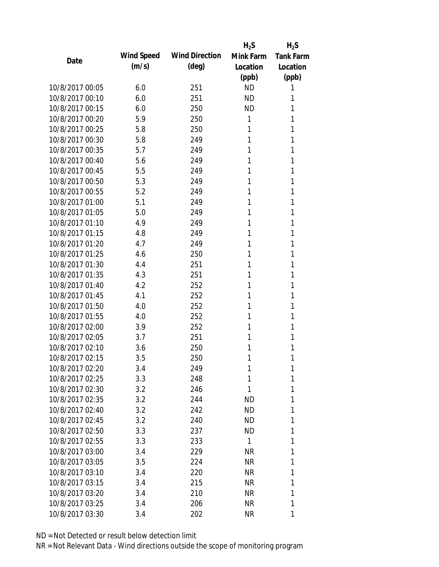|                 |            |                       | $H_2S$       | $H_2S$           |
|-----------------|------------|-----------------------|--------------|------------------|
| Date            | Wind Speed | <b>Wind Direction</b> | Mink Farm    | <b>Tank Farm</b> |
|                 | (m/s)      | $(\text{deg})$        | Location     | Location         |
|                 |            |                       | (ppb)        | (ppb)            |
| 10/8/2017 00:05 | 6.0        | 251                   | <b>ND</b>    | 1                |
| 10/8/2017 00:10 | 6.0        | 251                   | <b>ND</b>    | 1                |
| 10/8/2017 00:15 | 6.0        | 250                   | <b>ND</b>    | 1                |
| 10/8/2017 00:20 | 5.9        | 250                   | 1            | 1                |
| 10/8/2017 00:25 | 5.8        | 250                   | 1            | 1                |
| 10/8/2017 00:30 | 5.8        | 249                   | 1            | 1                |
| 10/8/2017 00:35 | 5.7        | 249                   | 1            | 1                |
| 10/8/2017 00:40 | 5.6        | 249                   | 1            | 1                |
| 10/8/2017 00:45 | 5.5        | 249                   | 1            | 1                |
| 10/8/2017 00:50 | 5.3        | 249                   | 1            | 1                |
| 10/8/2017 00:55 | 5.2        | 249                   | 1            | 1                |
| 10/8/2017 01:00 | 5.1        | 249                   | 1            | 1                |
| 10/8/2017 01:05 | 5.0        | 249                   | 1            | 1                |
| 10/8/2017 01:10 | 4.9        | 249                   | 1            | 1                |
| 10/8/2017 01:15 | 4.8        | 249                   | 1            | 1                |
| 10/8/2017 01:20 | 4.7        | 249                   | 1            | 1                |
| 10/8/2017 01:25 | 4.6        | 250                   | 1            | 1                |
| 10/8/2017 01:30 | 4.4        | 251                   | 1            | 1                |
| 10/8/2017 01:35 | 4.3        | 251                   | 1            | 1                |
| 10/8/2017 01:40 | 4.2        | 252                   | 1            | 1                |
| 10/8/2017 01:45 | 4.1        | 252                   | 1            | 1                |
| 10/8/2017 01:50 | 4.0        | 252                   | 1            | 1                |
| 10/8/2017 01:55 | 4.0        | 252                   | 1            | 1                |
| 10/8/2017 02:00 | 3.9        | 252                   | 1            | 1                |
| 10/8/2017 02:05 | 3.7        | 251                   | 1            | 1                |
| 10/8/2017 02:10 | 3.6        | 250                   | 1            | 1                |
| 10/8/2017 02:15 | 3.5        | 250                   | 1            | 1                |
| 10/8/2017 02:20 | 3.4        | 249                   | 1            | 1                |
| 10/8/2017 02:25 | 3.3        | 248                   | 1            | 1                |
| 10/8/2017 02:30 | 3.2        | 246                   | 1            | 1                |
| 10/8/2017 02:35 | 3.2        | 244                   | <b>ND</b>    | 1                |
| 10/8/2017 02:40 | 3.2        | 242                   | ND           | 1                |
| 10/8/2017 02:45 | 3.2        | 240                   | ND           | 1                |
| 10/8/2017 02:50 | 3.3        | 237                   | <b>ND</b>    | 1                |
| 10/8/2017 02:55 | 3.3        | 233                   | $\mathbf{1}$ | 1                |
| 10/8/2017 03:00 | 3.4        | 229                   | <b>NR</b>    | 1                |
| 10/8/2017 03:05 | 3.5        | 224                   | NR           | 1                |
| 10/8/2017 03:10 | 3.4        | 220                   | <b>NR</b>    | 1                |
| 10/8/2017 03:15 | 3.4        | 215                   | NR           | 1                |
| 10/8/2017 03:20 | 3.4        | 210                   | NR           | 1                |
| 10/8/2017 03:25 | 3.4        | 206                   | <b>NR</b>    | 1                |
| 10/8/2017 03:30 | 3.4        | 202                   | <b>NR</b>    | 1                |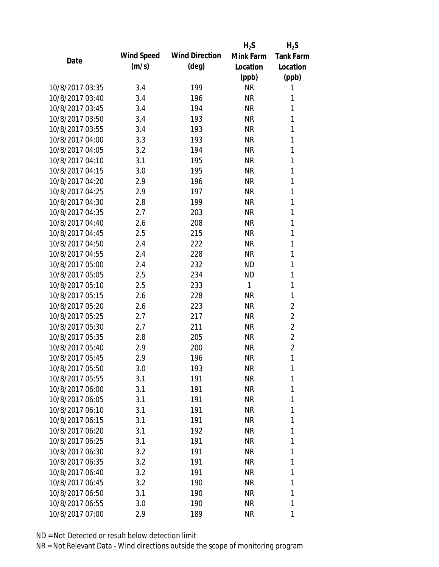|                 |            |                       | $H_2S$    | $H_2S$           |
|-----------------|------------|-----------------------|-----------|------------------|
| Date            | Wind Speed | <b>Wind Direction</b> | Mink Farm | <b>Tank Farm</b> |
|                 | (m/s)      | $(\text{deg})$        | Location  | Location         |
|                 |            |                       | (ppb)     | (ppb)            |
| 10/8/2017 03:35 | 3.4        | 199                   | <b>NR</b> | 1                |
| 10/8/2017 03:40 | 3.4        | 196                   | <b>NR</b> | 1                |
| 10/8/2017 03:45 | 3.4        | 194                   | <b>NR</b> | 1                |
| 10/8/2017 03:50 | 3.4        | 193                   | <b>NR</b> | 1                |
| 10/8/2017 03:55 | 3.4        | 193                   | <b>NR</b> | 1                |
| 10/8/2017 04:00 | 3.3        | 193                   | <b>NR</b> | 1                |
| 10/8/2017 04:05 | 3.2        | 194                   | <b>NR</b> | 1                |
| 10/8/2017 04:10 | 3.1        | 195                   | <b>NR</b> | 1                |
| 10/8/2017 04:15 | 3.0        | 195                   | <b>NR</b> | 1                |
| 10/8/2017 04:20 | 2.9        | 196                   | <b>NR</b> | 1                |
| 10/8/2017 04:25 | 2.9        | 197                   | <b>NR</b> | 1                |
| 10/8/2017 04:30 | 2.8        | 199                   | <b>NR</b> | 1                |
| 10/8/2017 04:35 | 2.7        | 203                   | <b>NR</b> | 1                |
| 10/8/2017 04:40 | 2.6        | 208                   | <b>NR</b> | 1                |
| 10/8/2017 04:45 | 2.5        | 215                   | <b>NR</b> | 1                |
| 10/8/2017 04:50 | 2.4        | 222                   | <b>NR</b> | 1                |
| 10/8/2017 04:55 | 2.4        | 228                   | <b>NR</b> | 1                |
| 10/8/2017 05:00 | 2.4        | 232                   | <b>ND</b> | 1                |
| 10/8/2017 05:05 | 2.5        | 234                   | <b>ND</b> | 1                |
| 10/8/2017 05:10 | 2.5        | 233                   | 1         | 1                |
| 10/8/2017 05:15 | 2.6        | 228                   | <b>NR</b> | 1                |
| 10/8/2017 05:20 | 2.6        | 223                   | <b>NR</b> | $\overline{2}$   |
| 10/8/2017 05:25 | 2.7        | 217                   | <b>NR</b> | $\overline{2}$   |
| 10/8/2017 05:30 | 2.7        | 211                   | <b>NR</b> | $\overline{2}$   |
| 10/8/2017 05:35 | 2.8        | 205                   | <b>NR</b> | $\overline{2}$   |
| 10/8/2017 05:40 | 2.9        | 200                   | <b>NR</b> | $\overline{2}$   |
| 10/8/2017 05:45 | 2.9        | 196                   | <b>NR</b> | 1                |
| 10/8/2017 05:50 | 3.0        | 193                   | NR        | 1                |
| 10/8/2017 05:55 | 3.1        | 191                   | <b>NR</b> | 1                |
| 10/8/2017 06:00 | 3.1        | 191                   | NR        | 1                |
| 10/8/2017 06:05 | 3.1        | 191                   | <b>NR</b> | 1                |
| 10/8/2017 06:10 | 3.1        | 191                   | <b>NR</b> | 1                |
| 10/8/2017 06:15 | 3.1        | 191                   | NR        | 1                |
| 10/8/2017 06:20 | 3.1        | 192                   | NR        | 1                |
| 10/8/2017 06:25 | 3.1        | 191                   | NR        | 1                |
| 10/8/2017 06:30 | 3.2        | 191                   | <b>NR</b> | 1                |
| 10/8/2017 06:35 | 3.2        | 191                   | NR        | 1                |
| 10/8/2017 06:40 | 3.2        | 191                   | NR        | 1                |
| 10/8/2017 06:45 | 3.2        | 190                   | NR        | 1                |
| 10/8/2017 06:50 | 3.1        | 190                   | NR        | 1                |
| 10/8/2017 06:55 | 3.0        | 190                   | <b>NR</b> | 1                |
| 10/8/2017 07:00 | 2.9        | 189                   | <b>NR</b> | 1                |
|                 |            |                       |           |                  |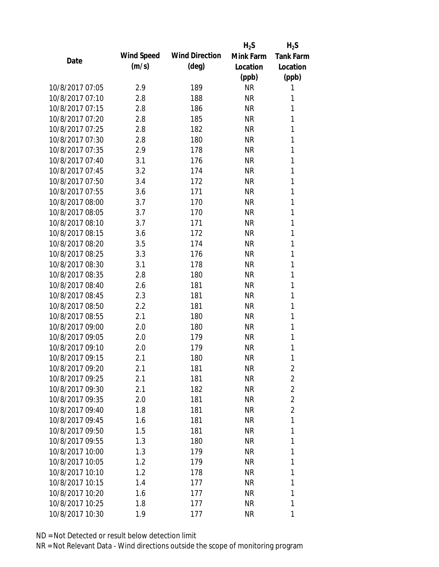|                 |                   |                       | $H_2S$    | $H_2S$           |
|-----------------|-------------------|-----------------------|-----------|------------------|
| Date            | <b>Wind Speed</b> | <b>Wind Direction</b> | Mink Farm | <b>Tank Farm</b> |
|                 | (m/s)             | $(\text{deg})$        | Location  | Location         |
|                 |                   |                       | (ppb)     | (ppb)            |
| 10/8/2017 07:05 | 2.9               | 189                   | <b>NR</b> | 1                |
| 10/8/2017 07:10 | 2.8               | 188                   | <b>NR</b> | 1                |
| 10/8/2017 07:15 | 2.8               | 186                   | <b>NR</b> | 1                |
| 10/8/2017 07:20 | 2.8               | 185                   | <b>NR</b> | 1                |
| 10/8/2017 07:25 | 2.8               | 182                   | <b>NR</b> | 1                |
| 10/8/2017 07:30 | 2.8               | 180                   | <b>NR</b> | 1                |
| 10/8/2017 07:35 | 2.9               | 178                   | <b>NR</b> | 1                |
| 10/8/2017 07:40 | 3.1               | 176                   | <b>NR</b> | 1                |
| 10/8/2017 07:45 | 3.2               | 174                   | <b>NR</b> | 1                |
| 10/8/2017 07:50 | 3.4               | 172                   | <b>NR</b> | 1                |
| 10/8/2017 07:55 | 3.6               | 171                   | <b>NR</b> | 1                |
| 10/8/2017 08:00 | 3.7               | 170                   | <b>NR</b> | 1                |
| 10/8/2017 08:05 | 3.7               | 170                   | <b>NR</b> | 1                |
| 10/8/2017 08:10 | 3.7               | 171                   | <b>NR</b> | 1                |
| 10/8/2017 08:15 | 3.6               | 172                   | <b>NR</b> | 1                |
| 10/8/2017 08:20 | 3.5               | 174                   | <b>NR</b> | 1                |
| 10/8/2017 08:25 | 3.3               | 176                   | <b>NR</b> | 1                |
| 10/8/2017 08:30 | 3.1               | 178                   | <b>NR</b> | 1                |
| 10/8/2017 08:35 | 2.8               | 180                   | <b>NR</b> | 1                |
| 10/8/2017 08:40 | 2.6               | 181                   | <b>NR</b> | 1                |
| 10/8/2017 08:45 | 2.3               | 181                   | <b>NR</b> | 1                |
| 10/8/2017 08:50 | 2.2               | 181                   | <b>NR</b> | 1                |
| 10/8/2017 08:55 | 2.1               | 180                   | <b>NR</b> | 1                |
| 10/8/2017 09:00 | 2.0               | 180                   | <b>NR</b> | 1                |
| 10/8/2017 09:05 | 2.0               | 179                   | <b>NR</b> | 1                |
| 10/8/2017 09:10 | 2.0               | 179                   | <b>NR</b> | 1                |
| 10/8/2017 09:15 | 2.1               | 180                   | <b>NR</b> | 1                |
| 10/8/2017 09:20 | 2.1               | 181                   | NR        | 2                |
| 10/8/2017 09:25 | 2.1               | 181                   | <b>NR</b> | $\overline{2}$   |
| 10/8/2017 09:30 | 2.1               | 182                   | <b>NR</b> | $\overline{2}$   |
| 10/8/2017 09:35 | 2.0               | 181                   | NR        | $\overline{2}$   |
| 10/8/2017 09:40 | 1.8               | 181                   | NR        | $\overline{2}$   |
| 10/8/2017 09:45 | 1.6               | 181                   | NR        | 1                |
| 10/8/2017 09:50 | 1.5               | 181                   | NR        | 1                |
| 10/8/2017 09:55 | 1.3               | 180                   | <b>NR</b> | 1                |
| 10/8/2017 10:00 | 1.3               | 179                   | <b>NR</b> | 1                |
| 10/8/2017 10:05 | 1.2               | 179                   | <b>NR</b> | 1                |
| 10/8/2017 10:10 | 1.2               | 178                   | NR        | 1                |
| 10/8/2017 10:15 | 1.4               | 177                   | NR        | 1                |
| 10/8/2017 10:20 | 1.6               | 177                   | NR        | 1                |
| 10/8/2017 10:25 | 1.8               | 177                   | <b>NR</b> | 1                |
| 10/8/2017 10:30 | 1.9               | 177                   | <b>NR</b> | 1                |
|                 |                   |                       |           |                  |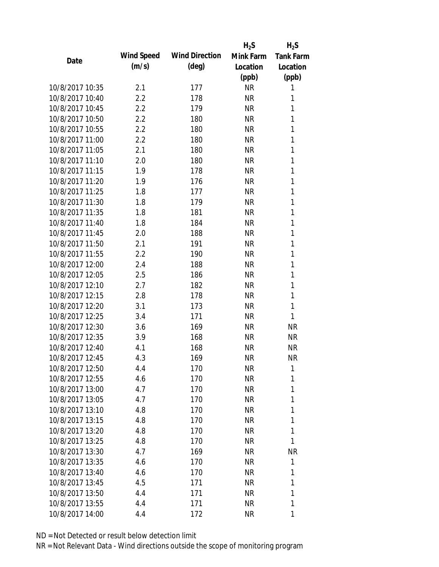|                 |            |                       | $H_2S$    | $H_2S$           |
|-----------------|------------|-----------------------|-----------|------------------|
| Date            | Wind Speed | <b>Wind Direction</b> | Mink Farm | <b>Tank Farm</b> |
|                 | (m/s)      | $(\text{deg})$        | Location  | Location         |
|                 |            |                       | (ppb)     | (ppb)            |
| 10/8/2017 10:35 | 2.1        | 177                   | <b>NR</b> | 1                |
| 10/8/2017 10:40 | 2.2        | 178                   | <b>NR</b> | 1                |
| 10/8/2017 10:45 | 2.2        | 179                   | <b>NR</b> | 1                |
| 10/8/2017 10:50 | 2.2        | 180                   | <b>NR</b> | 1                |
| 10/8/2017 10:55 | 2.2        | 180                   | <b>NR</b> | 1                |
| 10/8/2017 11:00 | 2.2        | 180                   | <b>NR</b> | 1                |
| 10/8/2017 11:05 | 2.1        | 180                   | <b>NR</b> | 1                |
| 10/8/2017 11:10 | 2.0        | 180                   | <b>NR</b> | 1                |
| 10/8/2017 11:15 | 1.9        | 178                   | <b>NR</b> | 1                |
| 10/8/2017 11:20 | 1.9        | 176                   | <b>NR</b> | 1                |
| 10/8/2017 11:25 | 1.8        | 177                   | <b>NR</b> | 1                |
| 10/8/2017 11:30 | 1.8        | 179                   | <b>NR</b> | 1                |
| 10/8/2017 11:35 | 1.8        | 181                   | <b>NR</b> | 1                |
| 10/8/2017 11:40 | 1.8        | 184                   | <b>NR</b> | 1                |
| 10/8/2017 11:45 | 2.0        | 188                   | <b>NR</b> | 1                |
| 10/8/2017 11:50 | 2.1        | 191                   | <b>NR</b> | 1                |
| 10/8/2017 11:55 | 2.2        | 190                   | <b>NR</b> | 1                |
| 10/8/2017 12:00 | 2.4        | 188                   | <b>NR</b> | 1                |
| 10/8/2017 12:05 | 2.5        | 186                   | <b>NR</b> | 1                |
| 10/8/2017 12:10 | 2.7        | 182                   | <b>NR</b> | 1                |
| 10/8/2017 12:15 | 2.8        | 178                   | <b>NR</b> | 1                |
| 10/8/2017 12:20 | 3.1        | 173                   | <b>NR</b> | 1                |
| 10/8/2017 12:25 | 3.4        | 171                   | <b>NR</b> | 1                |
| 10/8/2017 12:30 | 3.6        | 169                   | <b>NR</b> | <b>NR</b>        |
| 10/8/2017 12:35 | 3.9        | 168                   | <b>NR</b> | <b>NR</b>        |
| 10/8/2017 12:40 | 4.1        | 168                   | <b>NR</b> | <b>NR</b>        |
| 10/8/2017 12:45 | 4.3        | 169                   | <b>NR</b> | <b>NR</b>        |
| 10/8/2017 12:50 | 4.4        | 170                   | NR        | 1                |
| 10/8/2017 12:55 | 4.6        | 170                   | <b>NR</b> | 1                |
| 10/8/2017 13:00 | 4.7        | 170                   | <b>NR</b> | 1                |
| 10/8/2017 13:05 | 4.7        | 170                   | <b>NR</b> | 1                |
| 10/8/2017 13:10 | 4.8        | 170                   | <b>NR</b> | 1                |
| 10/8/2017 13:15 | 4.8        | 170                   | NR        | 1                |
| 10/8/2017 13:20 | 4.8        | 170                   | <b>NR</b> | 1                |
| 10/8/2017 13:25 | 4.8        | 170                   | <b>NR</b> | 1                |
| 10/8/2017 13:30 | 4.7        | 169                   | <b>NR</b> | <b>NR</b>        |
| 10/8/2017 13:35 | 4.6        | 170                   | NR        | 1                |
| 10/8/2017 13:40 |            |                       |           | 1                |
|                 | 4.6        | 170                   | NR        |                  |
| 10/8/2017 13:45 | 4.5        | 171                   | <b>NR</b> | 1                |
| 10/8/2017 13:50 | 4.4        | 171                   | NR        | 1                |
| 10/8/2017 13:55 | 4.4        | 171                   | <b>NR</b> | 1                |
| 10/8/2017 14:00 | 4.4        | 172                   | <b>NR</b> | 1                |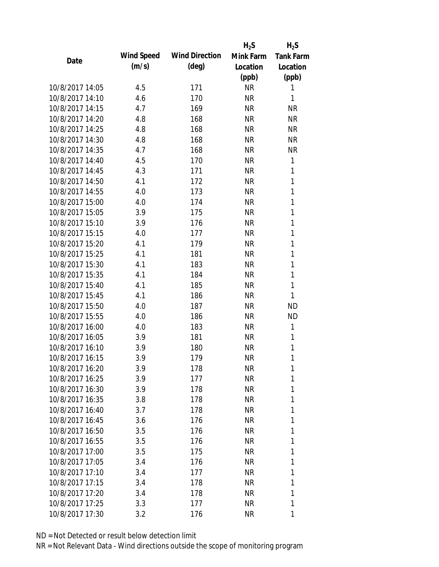|                 |            |                       | $H_2S$    | $H_2S$           |
|-----------------|------------|-----------------------|-----------|------------------|
| Date            | Wind Speed | <b>Wind Direction</b> | Mink Farm | <b>Tank Farm</b> |
|                 | (m/s)      | $(\text{deg})$        | Location  | Location         |
|                 |            |                       | (ppb)     | (ppb)            |
| 10/8/2017 14:05 | 4.5        | 171                   | <b>NR</b> | 1                |
| 10/8/2017 14:10 | 4.6        | 170                   | <b>NR</b> | 1                |
| 10/8/2017 14:15 | 4.7        | 169                   | <b>NR</b> | <b>NR</b>        |
| 10/8/2017 14:20 | 4.8        | 168                   | <b>NR</b> | <b>NR</b>        |
| 10/8/2017 14:25 | 4.8        | 168                   | <b>NR</b> | <b>NR</b>        |
| 10/8/2017 14:30 | 4.8        | 168                   | <b>NR</b> | <b>NR</b>        |
| 10/8/2017 14:35 | 4.7        | 168                   | <b>NR</b> | <b>NR</b>        |
| 10/8/2017 14:40 | 4.5        | 170                   | <b>NR</b> | 1                |
| 10/8/2017 14:45 | 4.3        | 171                   | <b>NR</b> | 1                |
| 10/8/2017 14:50 | 4.1        | 172                   | <b>NR</b> | 1                |
| 10/8/2017 14:55 | 4.0        | 173                   | <b>NR</b> | 1                |
| 10/8/2017 15:00 | 4.0        | 174                   | <b>NR</b> | 1                |
| 10/8/2017 15:05 | 3.9        | 175                   | <b>NR</b> | 1                |
| 10/8/2017 15:10 | 3.9        | 176                   | <b>NR</b> | 1                |
| 10/8/2017 15:15 | 4.0        | 177                   | <b>NR</b> | 1                |
| 10/8/2017 15:20 | 4.1        | 179                   | <b>NR</b> | 1                |
| 10/8/2017 15:25 | 4.1        | 181                   | <b>NR</b> | 1                |
| 10/8/2017 15:30 | 4.1        | 183                   | <b>NR</b> | 1                |
| 10/8/2017 15:35 | 4.1        | 184                   | <b>NR</b> | 1                |
| 10/8/2017 15:40 | 4.1        | 185                   | <b>NR</b> | 1                |
| 10/8/2017 15:45 | 4.1        | 186                   | <b>NR</b> | 1                |
| 10/8/2017 15:50 | 4.0        | 187                   | <b>NR</b> | <b>ND</b>        |
| 10/8/2017 15:55 | 4.0        | 186                   | <b>NR</b> | <b>ND</b>        |
| 10/8/2017 16:00 | 4.0        | 183                   | <b>NR</b> | 1                |
| 10/8/2017 16:05 | 3.9        | 181                   | <b>NR</b> | 1                |
| 10/8/2017 16:10 | 3.9        | 180                   | <b>NR</b> | 1                |
| 10/8/2017 16:15 | 3.9        | 179                   | <b>NR</b> | 1                |
| 10/8/2017 16:20 | 3.9        | 178                   | NR        | 1                |
| 10/8/2017 16:25 | 3.9        | 177                   | <b>NR</b> | 1                |
| 10/8/2017 16:30 | 3.9        | 178                   | NR        | 1                |
| 10/8/2017 16:35 | 3.8        | 178                   | <b>NR</b> | 1                |
| 10/8/2017 16:40 | 3.7        | 178                   | NR        | 1                |
| 10/8/2017 16:45 | 3.6        | 176                   | NR        | 1                |
| 10/8/2017 16:50 | 3.5        | 176                   | NR        | 1                |
| 10/8/2017 16:55 | 3.5        | 176                   | NR        | 1                |
| 10/8/2017 17:00 | 3.5        | 175                   | <b>NR</b> | 1                |
| 10/8/2017 17:05 | 3.4        | 176                   | NR        | 1                |
| 10/8/2017 17:10 | 3.4        | 177                   | NR        | 1                |
| 10/8/2017 17:15 | 3.4        | 178                   | NR        | 1                |
| 10/8/2017 17:20 | 3.4        | 178                   | NR        | 1                |
| 10/8/2017 17:25 |            |                       | <b>NR</b> | 1                |
|                 | 3.3        | 177                   |           |                  |
| 10/8/2017 17:30 | 3.2        | 176                   | <b>NR</b> | 1                |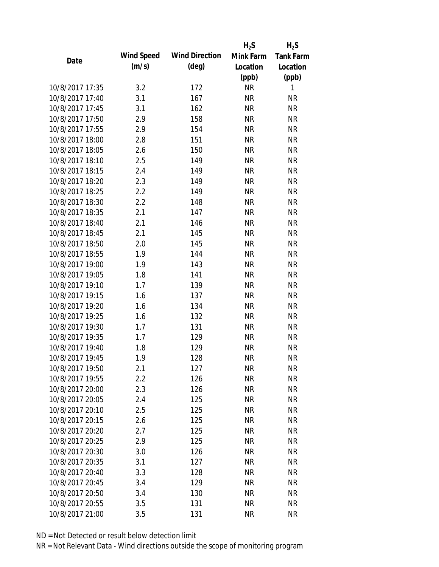|                 |            |                       | $H_2S$    | $H_2S$           |
|-----------------|------------|-----------------------|-----------|------------------|
| Date            | Wind Speed | <b>Wind Direction</b> | Mink Farm | <b>Tank Farm</b> |
|                 | (m/s)      | $(\text{deg})$        | Location  | Location         |
|                 |            |                       | (ppb)     | (ppb)            |
| 10/8/2017 17:35 | 3.2        | 172                   | <b>NR</b> | 1                |
| 10/8/2017 17:40 | 3.1        | 167                   | <b>NR</b> | <b>NR</b>        |
| 10/8/2017 17:45 | 3.1        | 162                   | <b>NR</b> | <b>NR</b>        |
| 10/8/2017 17:50 | 2.9        | 158                   | <b>NR</b> | <b>NR</b>        |
| 10/8/2017 17:55 | 2.9        | 154                   | <b>NR</b> | <b>NR</b>        |
| 10/8/2017 18:00 | 2.8        | 151                   | <b>NR</b> | <b>NR</b>        |
| 10/8/2017 18:05 | 2.6        | 150                   | <b>NR</b> | <b>NR</b>        |
| 10/8/2017 18:10 | 2.5        | 149                   | <b>NR</b> | <b>NR</b>        |
| 10/8/2017 18:15 | 2.4        | 149                   | <b>NR</b> | <b>NR</b>        |
| 10/8/2017 18:20 | 2.3        | 149                   | <b>NR</b> | <b>NR</b>        |
| 10/8/2017 18:25 | 2.2        | 149                   | <b>NR</b> | <b>NR</b>        |
| 10/8/2017 18:30 | 2.2        | 148                   | <b>NR</b> | <b>NR</b>        |
| 10/8/2017 18:35 | 2.1        | 147                   | <b>NR</b> | <b>NR</b>        |
| 10/8/2017 18:40 | 2.1        | 146                   | <b>NR</b> | <b>NR</b>        |
| 10/8/2017 18:45 | 2.1        | 145                   | <b>NR</b> | <b>NR</b>        |
| 10/8/2017 18:50 | 2.0        | 145                   | <b>NR</b> | <b>NR</b>        |
| 10/8/2017 18:55 | 1.9        | 144                   | <b>NR</b> | <b>NR</b>        |
| 10/8/2017 19:00 | 1.9        | 143                   | <b>NR</b> | <b>NR</b>        |
| 10/8/2017 19:05 | 1.8        | 141                   | <b>NR</b> | <b>NR</b>        |
| 10/8/2017 19:10 | 1.7        | 139                   | <b>NR</b> | <b>NR</b>        |
| 10/8/2017 19:15 | 1.6        | 137                   | <b>NR</b> | <b>NR</b>        |
| 10/8/2017 19:20 | 1.6        | 134                   | <b>NR</b> | <b>NR</b>        |
| 10/8/2017 19:25 | 1.6        | 132                   | <b>NR</b> | <b>NR</b>        |
| 10/8/2017 19:30 | 1.7        | 131                   | <b>NR</b> | <b>NR</b>        |
| 10/8/2017 19:35 | 1.7        | 129                   | <b>NR</b> | <b>NR</b>        |
| 10/8/2017 19:40 | 1.8        | 129                   | <b>NR</b> | <b>NR</b>        |
| 10/8/2017 19:45 | 1.9        | 128                   | <b>NR</b> | <b>NR</b>        |
| 10/8/2017 19:50 | 2.1        | 127                   | <b>NR</b> | NR               |
| 10/8/2017 19:55 | 2.2        | 126                   | <b>NR</b> | <b>NR</b>        |
| 10/8/2017 20:00 | 2.3        | 126                   | <b>NR</b> | <b>NR</b>        |
| 10/8/2017 20:05 | 2.4        | 125                   | <b>NR</b> | <b>NR</b>        |
| 10/8/2017 20:10 | 2.5        | 125                   | <b>NR</b> | <b>NR</b>        |
| 10/8/2017 20:15 | 2.6        | 125                   | <b>NR</b> | <b>NR</b>        |
| 10/8/2017 20:20 | 2.7        | 125                   | <b>NR</b> | <b>NR</b>        |
| 10/8/2017 20:25 | 2.9        | 125                   | <b>NR</b> | <b>NR</b>        |
| 10/8/2017 20:30 | 3.0        | 126                   | <b>NR</b> | <b>NR</b>        |
| 10/8/2017 20:35 | 3.1        | 127                   | <b>NR</b> | <b>NR</b>        |
| 10/8/2017 20:40 | 3.3        | 128                   | NR        | <b>NR</b>        |
| 10/8/2017 20:45 | 3.4        | 129                   | <b>NR</b> | <b>NR</b>        |
| 10/8/2017 20:50 | 3.4        | 130                   | <b>NR</b> | <b>NR</b>        |
| 10/8/2017 20:55 | 3.5        | 131                   | <b>NR</b> | <b>NR</b>        |
| 10/8/2017 21:00 | 3.5        | 131                   | <b>NR</b> | <b>NR</b>        |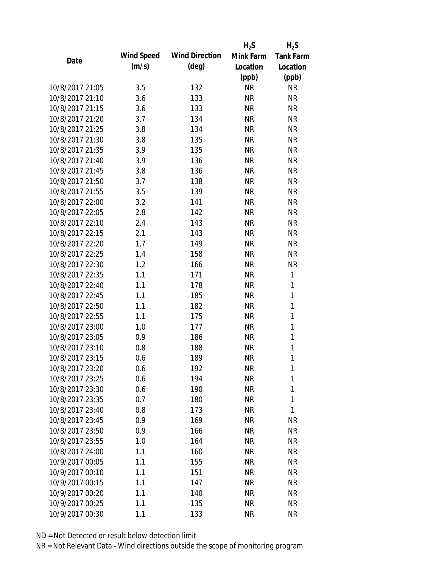|                 |            |                       | $H_2S$    | $H_2S$           |
|-----------------|------------|-----------------------|-----------|------------------|
| Date            | Wind Speed | <b>Wind Direction</b> | Mink Farm | <b>Tank Farm</b> |
|                 | (m/s)      | $(\text{deg})$        | Location  | Location         |
|                 |            |                       | (ppb)     | (ppb)            |
| 10/8/2017 21:05 | 3.5        | 132                   | <b>NR</b> | <b>NR</b>        |
| 10/8/2017 21:10 | 3.6        | 133                   | <b>NR</b> | <b>NR</b>        |
| 10/8/2017 21:15 | 3.6        | 133                   | <b>NR</b> | <b>NR</b>        |
| 10/8/2017 21:20 | 3.7        | 134                   | <b>NR</b> | <b>NR</b>        |
| 10/8/2017 21:25 | 3.8        | 134                   | <b>NR</b> | <b>NR</b>        |
| 10/8/2017 21:30 | 3.8        | 135                   | <b>NR</b> | <b>NR</b>        |
| 10/8/2017 21:35 | 3.9        | 135                   | <b>NR</b> | <b>NR</b>        |
| 10/8/2017 21:40 | 3.9        | 136                   | <b>NR</b> | <b>NR</b>        |
| 10/8/2017 21:45 | 3.8        | 136                   | <b>NR</b> | <b>NR</b>        |
| 10/8/2017 21:50 | 3.7        | 138                   | <b>NR</b> | <b>NR</b>        |
| 10/8/2017 21:55 | 3.5        | 139                   | <b>NR</b> | <b>NR</b>        |
| 10/8/2017 22:00 | 3.2        | 141                   | <b>NR</b> | <b>NR</b>        |
| 10/8/2017 22:05 | 2.8        | 142                   | <b>NR</b> | <b>NR</b>        |
| 10/8/2017 22:10 | 2.4        | 143                   | <b>NR</b> | <b>NR</b>        |
| 10/8/2017 22:15 | 2.1        | 143                   | <b>NR</b> | <b>NR</b>        |
| 10/8/2017 22:20 | 1.7        | 149                   | <b>NR</b> | <b>NR</b>        |
| 10/8/2017 22:25 | 1.4        | 158                   | <b>NR</b> | <b>NR</b>        |
| 10/8/2017 22:30 | 1.2        | 166                   | <b>NR</b> | <b>NR</b>        |
| 10/8/2017 22:35 | 1.1        | 171                   | <b>NR</b> | 1                |
| 10/8/2017 22:40 | 1.1        | 178                   | <b>NR</b> | 1                |
| 10/8/2017 22:45 | 1.1        | 185                   | <b>NR</b> | $\mathbf{1}$     |
| 10/8/2017 22:50 | 1.1        | 182                   | <b>NR</b> | $\mathbf{1}$     |
| 10/8/2017 22:55 | 1.1        | 175                   | <b>NR</b> | 1                |
| 10/8/2017 23:00 | 1.0        | 177                   | <b>NR</b> | 1                |
| 10/8/2017 23:05 | 0.9        | 186                   | <b>NR</b> | 1                |
| 10/8/2017 23:10 | 0.8        | 188                   | <b>NR</b> | $\mathbf{1}$     |
| 10/8/2017 23:15 | 0.6        | 189                   | <b>NR</b> | 1                |
| 10/8/2017 23:20 | 0.6        | 192                   | NR        | 1                |
| 10/8/2017 23:25 | 0.6        | 194                   | <b>NR</b> | 1                |
| 10/8/2017 23:30 | 0.6        | 190                   | <b>NR</b> | 1                |
| 10/8/2017 23:35 | 0.7        | 180                   | <b>NR</b> | 1                |
| 10/8/2017 23:40 | 0.8        | 173                   | <b>NR</b> | 1                |
| 10/8/2017 23:45 | 0.9        | 169                   | <b>NR</b> | <b>NR</b>        |
| 10/8/2017 23:50 | 0.9        | 166                   | <b>NR</b> | <b>NR</b>        |
| 10/8/2017 23:55 | 1.0        | 164                   | <b>NR</b> | <b>NR</b>        |
| 10/8/2017 24:00 | 1.1        | 160                   | <b>NR</b> | <b>NR</b>        |
| 10/9/2017 00:05 | 1.1        | 155                   | <b>NR</b> | <b>NR</b>        |
| 10/9/2017 00:10 | 1.1        | 151                   | <b>NR</b> | <b>NR</b>        |
| 10/9/2017 00:15 | 1.1        | 147                   | <b>NR</b> | <b>NR</b>        |
| 10/9/2017 00:20 | 1.1        | 140                   | <b>NR</b> | <b>NR</b>        |
| 10/9/2017 00:25 | 1.1        | 135                   | <b>NR</b> | <b>NR</b>        |
| 10/9/2017 00:30 | 1.1        | 133                   | <b>NR</b> | <b>NR</b>        |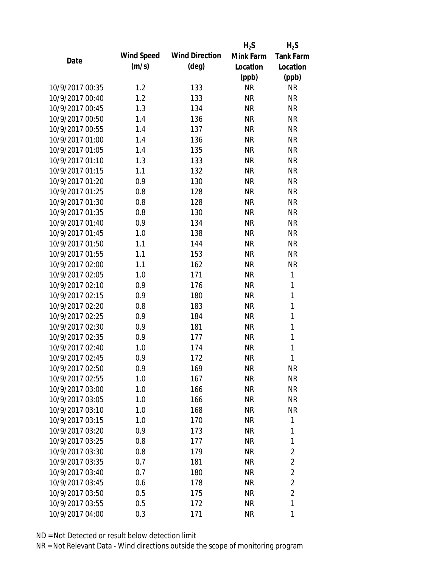|                 |                   |                       | $H_2S$    | $H_2S$           |
|-----------------|-------------------|-----------------------|-----------|------------------|
| Date            | <b>Wind Speed</b> | <b>Wind Direction</b> | Mink Farm | <b>Tank Farm</b> |
|                 | (m/s)             | $(\text{deg})$        | Location  | Location         |
|                 |                   |                       | (ppb)     | (ppb)            |
| 10/9/2017 00:35 | 1.2               | 133                   | <b>NR</b> | <b>NR</b>        |
| 10/9/2017 00:40 | 1.2               | 133                   | <b>NR</b> | <b>NR</b>        |
| 10/9/2017 00:45 | 1.3               | 134                   | <b>NR</b> | <b>NR</b>        |
| 10/9/2017 00:50 | 1.4               | 136                   | <b>NR</b> | <b>NR</b>        |
| 10/9/2017 00:55 | 1.4               | 137                   | <b>NR</b> | <b>NR</b>        |
| 10/9/2017 01:00 | 1.4               | 136                   | <b>NR</b> | <b>NR</b>        |
| 10/9/2017 01:05 | 1.4               | 135                   | <b>NR</b> | <b>NR</b>        |
| 10/9/2017 01:10 | 1.3               | 133                   | <b>NR</b> | <b>NR</b>        |
| 10/9/2017 01:15 | 1.1               | 132                   | <b>NR</b> | <b>NR</b>        |
| 10/9/2017 01:20 | 0.9               | 130                   | <b>NR</b> | <b>NR</b>        |
| 10/9/2017 01:25 | 0.8               | 128                   | <b>NR</b> | <b>NR</b>        |
| 10/9/2017 01:30 | 0.8               | 128                   | <b>NR</b> | <b>NR</b>        |
| 10/9/2017 01:35 | 0.8               | 130                   | <b>NR</b> | <b>NR</b>        |
| 10/9/2017 01:40 | 0.9               | 134                   | <b>NR</b> | <b>NR</b>        |
| 10/9/2017 01:45 | 1.0               | 138                   | <b>NR</b> | <b>NR</b>        |
| 10/9/2017 01:50 | 1.1               | 144                   | <b>NR</b> | <b>NR</b>        |
| 10/9/2017 01:55 | 1.1               | 153                   | <b>NR</b> | <b>NR</b>        |
| 10/9/2017 02:00 | 1.1               | 162                   | <b>NR</b> | <b>NR</b>        |
| 10/9/2017 02:05 | 1.0               | 171                   | <b>NR</b> | 1                |
| 10/9/2017 02:10 | 0.9               | 176                   | <b>NR</b> | 1                |
| 10/9/2017 02:15 | 0.9               | 180                   | <b>NR</b> | $\mathbf{1}$     |
| 10/9/2017 02:20 | 0.8               | 183                   | <b>NR</b> | $\mathbf{1}$     |
| 10/9/2017 02:25 | 0.9               | 184                   | <b>NR</b> | 1                |
| 10/9/2017 02:30 | 0.9               | 181                   | <b>NR</b> | $\mathbf{1}$     |
| 10/9/2017 02:35 | 0.9               | 177                   | <b>NR</b> | 1                |
| 10/9/2017 02:40 | 1.0               | 174                   | <b>NR</b> | 1                |
| 10/9/2017 02:45 | 0.9               | 172                   | <b>NR</b> | 1                |
| 10/9/2017 02:50 | 0.9               | 169                   | NR        | <b>NR</b>        |
| 10/9/2017 02:55 | 1.0               | 167                   | <b>NR</b> | <b>NR</b>        |
| 10/9/2017 03:00 | 1.0               | 166                   | NR        | <b>NR</b>        |
| 10/9/2017 03:05 | 1.0               | 166                   | NR        | <b>NR</b>        |
| 10/9/2017 03:10 | 1.0               | 168                   | NR        | NR               |
| 10/9/2017 03:15 | 1.0               | 170                   | NR        | 1                |
| 10/9/2017 03:20 | 0.9               | 173                   | <b>NR</b> | 1                |
| 10/9/2017 03:25 | 0.8               | 177                   | <b>NR</b> | 1                |
| 10/9/2017 03:30 | 0.8               | 179                   | <b>NR</b> | $\overline{2}$   |
| 10/9/2017 03:35 | 0.7               | 181                   | <b>NR</b> | $\overline{2}$   |
| 10/9/2017 03:40 | 0.7               | 180                   | NR        | $\overline{2}$   |
| 10/9/2017 03:45 | 0.6               | 178                   | NR        | $\overline{2}$   |
| 10/9/2017 03:50 | 0.5               | 175                   | NR        | $\overline{2}$   |
| 10/9/2017 03:55 | 0.5               | 172                   | <b>NR</b> | 1                |
| 10/9/2017 04:00 | 0.3               | 171                   | <b>NR</b> | 1                |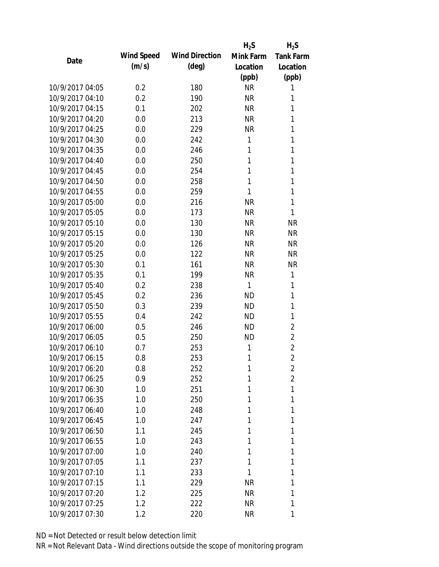|                 |            |                       | $H_2S$    | $H_2S$           |
|-----------------|------------|-----------------------|-----------|------------------|
| Date            | Wind Speed | <b>Wind Direction</b> | Mink Farm | <b>Tank Farm</b> |
|                 | (m/s)      | $(\text{deg})$        | Location  | Location         |
|                 |            |                       | (ppb)     | (ppb)            |
| 10/9/2017 04:05 | 0.2        | 180                   | <b>NR</b> | 1                |
| 10/9/2017 04:10 | 0.2        | 190                   | <b>NR</b> | 1                |
| 10/9/2017 04:15 | 0.1        | 202                   | <b>NR</b> | 1                |
| 10/9/2017 04:20 | 0.0        | 213                   | <b>NR</b> | 1                |
| 10/9/2017 04:25 | 0.0        | 229                   | <b>NR</b> | 1                |
| 10/9/2017 04:30 | 0.0        | 242                   | 1         | 1                |
| 10/9/2017 04:35 | 0.0        | 246                   | 1         | 1                |
| 10/9/2017 04:40 | 0.0        | 250                   | 1         | 1                |
| 10/9/2017 04:45 | 0.0        | 254                   | 1         | 1                |
| 10/9/2017 04:50 | 0.0        | 258                   | 1         | 1                |
| 10/9/2017 04:55 | 0.0        | 259                   | 1         | 1                |
| 10/9/2017 05:00 | 0.0        | 216                   | <b>NR</b> | 1                |
| 10/9/2017 05:05 | 0.0        | 173                   | <b>NR</b> | 1                |
| 10/9/2017 05:10 | 0.0        | 130                   | <b>NR</b> | <b>NR</b>        |
| 10/9/2017 05:15 | 0.0        | 130                   | <b>NR</b> | <b>NR</b>        |
| 10/9/2017 05:20 | 0.0        | 126                   | <b>NR</b> | <b>NR</b>        |
| 10/9/2017 05:25 | 0.0        | 122                   | <b>NR</b> | <b>NR</b>        |
| 10/9/2017 05:30 | 0.1        | 161                   | <b>NR</b> | <b>NR</b>        |
| 10/9/2017 05:35 | 0.1        | 199                   | <b>NR</b> | 1                |
| 10/9/2017 05:40 | 0.2        | 238                   | 1         | 1                |
| 10/9/2017 05:45 | 0.2        | 236                   | <b>ND</b> | 1                |
| 10/9/2017 05:50 | 0.3        | 239                   | <b>ND</b> | 1                |
| 10/9/2017 05:55 | 0.4        | 242                   | <b>ND</b> | 1                |
| 10/9/2017 06:00 | 0.5        | 246                   | <b>ND</b> | $\overline{2}$   |
| 10/9/2017 06:05 | 0.5        | 250                   | <b>ND</b> | $\overline{2}$   |
| 10/9/2017 06:10 | 0.7        | 253                   | 1         | $\overline{2}$   |
| 10/9/2017 06:15 | 0.8        | 253                   | 1         | $\overline{2}$   |
| 10/9/2017 06:20 | 0.8        | 252                   | 1         | $\overline{2}$   |
| 10/9/2017 06:25 | 0.9        | 252                   | 1         | $\overline{2}$   |
| 10/9/2017 06:30 | 1.0        | 251                   | 1         | 1                |
| 10/9/2017 06:35 | 1.0        | 250                   | 1         | 1                |
| 10/9/2017 06:40 | 1.0        | 248                   | 1         | 1                |
| 10/9/2017 06:45 | 1.0        | 247                   | 1         | 1                |
| 10/9/2017 06:50 | 1.1        | 245                   | 1         | 1                |
| 10/9/2017 06:55 | 1.0        | 243                   | 1         | 1                |
| 10/9/2017 07:00 | 1.0        | 240                   | 1         | 1                |
| 10/9/2017 07:05 | 1.1        | 237                   | 1         | 1                |
| 10/9/2017 07:10 | 1.1        | 233                   | 1         | 1                |
| 10/9/2017 07:15 | 1.1        | 229                   | <b>NR</b> | 1                |
| 10/9/2017 07:20 | 1.2        | 225                   | <b>NR</b> | 1                |
| 10/9/2017 07:25 | 1.2        | 222                   | <b>NR</b> | 1                |
| 10/9/2017 07:30 | 1.2        | 220                   | <b>NR</b> | 1                |
|                 |            |                       |           |                  |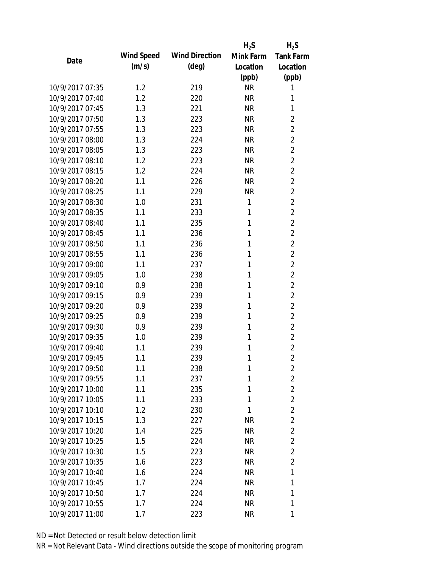|                 |            |                       | $H_2S$    | $H_2S$           |
|-----------------|------------|-----------------------|-----------|------------------|
|                 | Wind Speed | <b>Wind Direction</b> | Mink Farm | <b>Tank Farm</b> |
| Date            | (m/s)      | $(\text{deg})$        | Location  | Location         |
|                 |            |                       | (ppb)     | (ppb)            |
| 10/9/2017 07:35 | 1.2        | 219                   | <b>NR</b> | 1                |
| 10/9/2017 07:40 | 1.2        | 220                   | <b>NR</b> | 1                |
| 10/9/2017 07:45 | 1.3        | 221                   | <b>NR</b> | 1                |
| 10/9/2017 07:50 | 1.3        | 223                   | <b>NR</b> | $\overline{2}$   |
| 10/9/2017 07:55 | 1.3        | 223                   | <b>NR</b> | $\overline{2}$   |
| 10/9/2017 08:00 | 1.3        | 224                   | <b>NR</b> | $\overline{2}$   |
| 10/9/2017 08:05 | 1.3        | 223                   | <b>NR</b> | $\overline{2}$   |
| 10/9/2017 08:10 | 1.2        | 223                   | <b>NR</b> | $\overline{2}$   |
| 10/9/2017 08:15 | 1.2        | 224                   | <b>NR</b> | $\overline{2}$   |
| 10/9/2017 08:20 | 1.1        | 226                   | <b>NR</b> | $\overline{2}$   |
| 10/9/2017 08:25 | 1.1        | 229                   | <b>NR</b> | $\overline{2}$   |
| 10/9/2017 08:30 | 1.0        | 231                   | 1         | $\overline{2}$   |
| 10/9/2017 08:35 | 1.1        | 233                   | 1         | $\overline{2}$   |
| 10/9/2017 08:40 | 1.1        | 235                   | 1         | $\overline{2}$   |
| 10/9/2017 08:45 | 1.1        | 236                   | 1         | $\overline{2}$   |
| 10/9/2017 08:50 | 1.1        | 236                   | 1         | $\overline{2}$   |
| 10/9/2017 08:55 | 1.1        | 236                   | 1         | $\overline{2}$   |
| 10/9/2017 09:00 | 1.1        | 237                   | 1         | $\overline{2}$   |
| 10/9/2017 09:05 | 1.0        | 238                   | 1         | $\overline{2}$   |
| 10/9/2017 09:10 | 0.9        | 238                   | 1         | $\overline{2}$   |
| 10/9/2017 09:15 | 0.9        | 239                   | 1         | $\overline{2}$   |
| 10/9/2017 09:20 | 0.9        | 239                   | 1         | $\overline{2}$   |
| 10/9/2017 09:25 | 0.9        | 239                   | 1         | $\overline{2}$   |
| 10/9/2017 09:30 | 0.9        | 239                   | 1         | $\overline{2}$   |
| 10/9/2017 09:35 | 1.0        | 239                   | 1         | $\overline{2}$   |
| 10/9/2017 09:40 | 1.1        | 239                   | 1         | $\overline{2}$   |
| 10/9/2017 09:45 | 1.1        | 239                   | 1         | $\overline{2}$   |
| 10/9/2017 09:50 | 1.1        | 238                   | 1         | $\overline{2}$   |
| 10/9/2017 09:55 | 1.1        | 237                   | 1         | $\overline{2}$   |
| 10/9/2017 10:00 | 1.1        | 235                   | 1         | $\overline{2}$   |
| 10/9/2017 10:05 | 1.1        | 233                   | 1         | $\overline{2}$   |
| 10/9/2017 10:10 | 1.2        | 230                   | 1         | $\overline{2}$   |
| 10/9/2017 10:15 | 1.3        | 227                   | <b>NR</b> | $\overline{2}$   |
| 10/9/2017 10:20 | 1.4        | 225                   | NR        | $\overline{2}$   |
| 10/9/2017 10:25 | 1.5        | 224                   | <b>NR</b> | $\overline{2}$   |
| 10/9/2017 10:30 | 1.5        | 223                   | NR        | $\overline{2}$   |
| 10/9/2017 10:35 | 1.6        | 223                   | <b>NR</b> | $\overline{2}$   |
| 10/9/2017 10:40 | 1.6        | 224                   | NR        | 1                |
| 10/9/2017 10:45 | 1.7        | 224                   | NR        | 1                |
| 10/9/2017 10:50 | 1.7        | 224                   | <b>NR</b> | 1                |
| 10/9/2017 10:55 | 1.7        | 224                   | <b>NR</b> | 1                |
| 10/9/2017 11:00 | 1.7        | 223                   | <b>NR</b> | 1                |
|                 |            |                       |           |                  |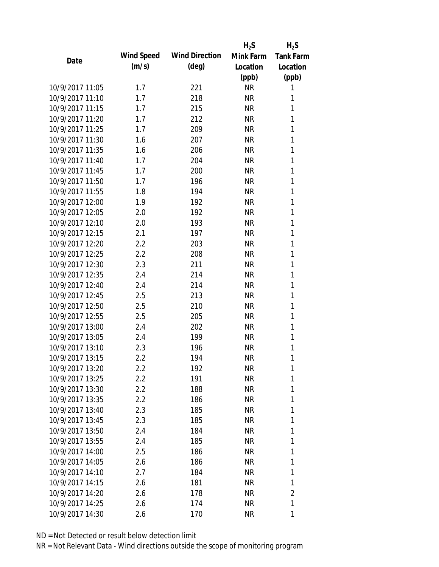|                 |                   |                       | $H_2S$    | $H_2S$           |
|-----------------|-------------------|-----------------------|-----------|------------------|
| Date            | <b>Wind Speed</b> | <b>Wind Direction</b> | Mink Farm | <b>Tank Farm</b> |
|                 | (m/s)             | $(\text{deg})$        | Location  | Location         |
|                 |                   |                       | (ppb)     | (ppb)            |
| 10/9/2017 11:05 | 1.7               | 221                   | <b>NR</b> | 1                |
| 10/9/2017 11:10 | 1.7               | 218                   | <b>NR</b> | 1                |
| 10/9/2017 11:15 | 1.7               | 215                   | <b>NR</b> | 1                |
| 10/9/2017 11:20 | 1.7               | 212                   | <b>NR</b> | 1                |
| 10/9/2017 11:25 | 1.7               | 209                   | <b>NR</b> | 1                |
| 10/9/2017 11:30 | 1.6               | 207                   | <b>NR</b> | 1                |
| 10/9/2017 11:35 | 1.6               | 206                   | <b>NR</b> | 1                |
| 10/9/2017 11:40 | 1.7               | 204                   | <b>NR</b> | 1                |
| 10/9/2017 11:45 | 1.7               | 200                   | <b>NR</b> | 1                |
| 10/9/2017 11:50 | 1.7               | 196                   | <b>NR</b> | 1                |
| 10/9/2017 11:55 | 1.8               | 194                   | <b>NR</b> | 1                |
| 10/9/2017 12:00 | 1.9               | 192                   | <b>NR</b> | 1                |
| 10/9/2017 12:05 | 2.0               | 192                   | <b>NR</b> | 1                |
| 10/9/2017 12:10 | 2.0               | 193                   | <b>NR</b> | 1                |
| 10/9/2017 12:15 | 2.1               | 197                   | <b>NR</b> | 1                |
| 10/9/2017 12:20 | 2.2               | 203                   | <b>NR</b> | 1                |
| 10/9/2017 12:25 | 2.2               | 208                   | <b>NR</b> | 1                |
| 10/9/2017 12:30 | 2.3               | 211                   | <b>NR</b> | 1                |
| 10/9/2017 12:35 | 2.4               | 214                   | <b>NR</b> | 1                |
| 10/9/2017 12:40 | 2.4               | 214                   | <b>NR</b> | 1                |
| 10/9/2017 12:45 | 2.5               | 213                   | <b>NR</b> | 1                |
| 10/9/2017 12:50 | 2.5               | 210                   | <b>NR</b> | 1                |
| 10/9/2017 12:55 | 2.5               | 205                   | <b>NR</b> | 1                |
| 10/9/2017 13:00 | 2.4               | 202                   | <b>NR</b> | 1                |
| 10/9/2017 13:05 | 2.4               | 199                   | <b>NR</b> | 1                |
| 10/9/2017 13:10 | 2.3               | 196                   | <b>NR</b> | 1                |
| 10/9/2017 13:15 | 2.2               | 194                   | <b>NR</b> | 1                |
| 10/9/2017 13:20 | $2.2\,$           | 192                   | NR        | 1                |
| 10/9/2017 13:25 | 2.2               | 191                   | <b>NR</b> | 1                |
| 10/9/2017 13:30 | $2.2\,$           | 188                   | NR        | 1                |
| 10/9/2017 13:35 | 2.2               | 186                   | NR        | 1                |
| 10/9/2017 13:40 | 2.3               | 185                   | NR        | 1                |
| 10/9/2017 13:45 | 2.3               | 185                   | NR        | 1                |
| 10/9/2017 13:50 | 2.4               | 184                   | NR        | 1                |
| 10/9/2017 13:55 | 2.4               | 185                   | NR        | 1                |
| 10/9/2017 14:00 | 2.5               | 186                   | NR        | 1                |
| 10/9/2017 14:05 | 2.6               | 186                   | NR        | 1                |
| 10/9/2017 14:10 | 2.7               | 184                   | NR        | 1                |
| 10/9/2017 14:15 | 2.6               | 181                   | NR        | 1                |
| 10/9/2017 14:20 | 2.6               | 178                   | NR        | $\overline{2}$   |
| 10/9/2017 14:25 | 2.6               | 174                   | <b>NR</b> | 1                |
| 10/9/2017 14:30 | 2.6               | 170                   | <b>NR</b> | 1                |
|                 |                   |                       |           |                  |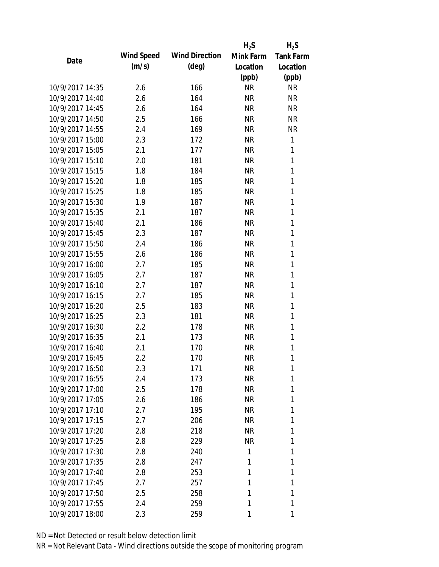|                 |            |                       | $H_2S$    | $H_2S$           |
|-----------------|------------|-----------------------|-----------|------------------|
| Date            | Wind Speed | <b>Wind Direction</b> | Mink Farm | <b>Tank Farm</b> |
|                 | (m/s)      | $(\text{deg})$        | Location  | Location         |
|                 |            |                       | (ppb)     | (ppb)            |
| 10/9/2017 14:35 | 2.6        | 166                   | <b>NR</b> | <b>NR</b>        |
| 10/9/2017 14:40 | 2.6        | 164                   | <b>NR</b> | <b>NR</b>        |
| 10/9/2017 14:45 | 2.6        | 164                   | <b>NR</b> | <b>NR</b>        |
| 10/9/2017 14:50 | 2.5        | 166                   | <b>NR</b> | <b>NR</b>        |
| 10/9/2017 14:55 | 2.4        | 169                   | <b>NR</b> | <b>NR</b>        |
| 10/9/2017 15:00 | 2.3        | 172                   | <b>NR</b> | 1                |
| 10/9/2017 15:05 | 2.1        | 177                   | <b>NR</b> | 1                |
| 10/9/2017 15:10 | 2.0        | 181                   | <b>NR</b> | 1                |
| 10/9/2017 15:15 | 1.8        | 184                   | <b>NR</b> | 1                |
| 10/9/2017 15:20 | 1.8        | 185                   | <b>NR</b> | 1                |
| 10/9/2017 15:25 | 1.8        | 185                   | <b>NR</b> | 1                |
| 10/9/2017 15:30 | 1.9        | 187                   | <b>NR</b> | 1                |
| 10/9/2017 15:35 | 2.1        | 187                   | <b>NR</b> | 1                |
| 10/9/2017 15:40 | 2.1        | 186                   | <b>NR</b> | 1                |
| 10/9/2017 15:45 | 2.3        | 187                   | <b>NR</b> | 1                |
| 10/9/2017 15:50 | 2.4        | 186                   | <b>NR</b> | 1                |
| 10/9/2017 15:55 | 2.6        | 186                   | <b>NR</b> | 1                |
| 10/9/2017 16:00 | 2.7        | 185                   | <b>NR</b> | 1                |
| 10/9/2017 16:05 | 2.7        | 187                   | <b>NR</b> | 1                |
| 10/9/2017 16:10 | 2.7        | 187                   | <b>NR</b> | 1                |
| 10/9/2017 16:15 | 2.7        | 185                   | <b>NR</b> | 1                |
| 10/9/2017 16:20 | 2.5        | 183                   | <b>NR</b> | 1                |
| 10/9/2017 16:25 | 2.3        | 181                   | <b>NR</b> | 1                |
| 10/9/2017 16:30 | 2.2        | 178                   | <b>NR</b> | 1                |
| 10/9/2017 16:35 | 2.1        | 173                   | <b>NR</b> | 1                |
| 10/9/2017 16:40 | 2.1        | 170                   | <b>NR</b> | 1                |
| 10/9/2017 16:45 | 2.2        | 170                   | <b>NR</b> | 1                |
| 10/9/2017 16:50 | 2.3        | 171                   | NR        | 1                |
| 10/9/2017 16:55 | 2.4        | 173                   | <b>NR</b> | 1                |
| 10/9/2017 17:00 | 2.5        | 178                   | NR        | 1                |
| 10/9/2017 17:05 | 2.6        | 186                   | NR.       | 1                |
| 10/9/2017 17:10 | 2.7        | 195                   | NR        | 1                |
| 10/9/2017 17:15 | 2.7        | 206                   | NR        | 1                |
| 10/9/2017 17:20 | 2.8        | 218                   | NR        | 1                |
| 10/9/2017 17:25 | 2.8        | 229                   | NR        | 1                |
| 10/9/2017 17:30 | 2.8        | 240                   | 1         | 1                |
| 10/9/2017 17:35 | 2.8        | 247                   | 1         | 1                |
| 10/9/2017 17:40 | 2.8        | 253                   | 1         | 1                |
| 10/9/2017 17:45 | 2.7        | 257                   | 1         | 1                |
| 10/9/2017 17:50 | 2.5        | 258                   | 1         | 1                |
| 10/9/2017 17:55 | 2.4        | 259                   | 1         | 1                |
| 10/9/2017 18:00 | 2.3        | 259                   | 1         | 1                |
|                 |            |                       |           |                  |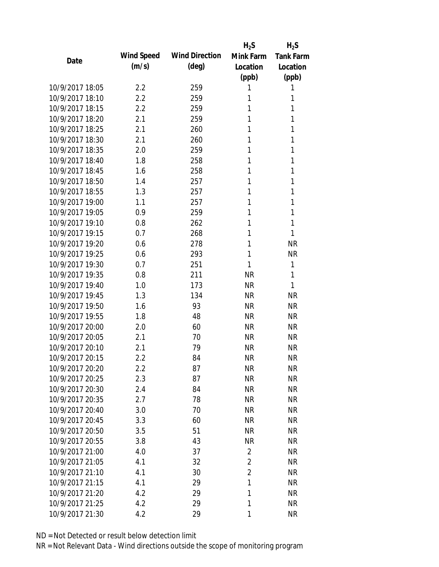|                 |            |                       | $H_2S$         | $H_2S$           |
|-----------------|------------|-----------------------|----------------|------------------|
| Date            | Wind Speed | <b>Wind Direction</b> | Mink Farm      | <b>Tank Farm</b> |
|                 | (m/s)      | $(\text{deg})$        | Location       | Location         |
|                 |            |                       | (ppb)          | (ppb)            |
| 10/9/2017 18:05 | 2.2        | 259                   | 1              | 1                |
| 10/9/2017 18:10 | 2.2        | 259                   | 1              | 1                |
| 10/9/2017 18:15 | 2.2        | 259                   | 1              | 1                |
| 10/9/2017 18:20 | 2.1        | 259                   | 1              | 1                |
| 10/9/2017 18:25 | 2.1        | 260                   | 1              | 1                |
| 10/9/2017 18:30 | 2.1        | 260                   | 1              | 1                |
| 10/9/2017 18:35 | 2.0        | 259                   | 1              | 1                |
| 10/9/2017 18:40 | 1.8        | 258                   | 1              | 1                |
| 10/9/2017 18:45 | 1.6        | 258                   | 1              | 1                |
| 10/9/2017 18:50 | 1.4        | 257                   | 1              | 1                |
| 10/9/2017 18:55 | 1.3        | 257                   | 1              | 1                |
| 10/9/2017 19:00 | 1.1        | 257                   | 1              | 1                |
| 10/9/2017 19:05 | 0.9        | 259                   | 1              | 1                |
| 10/9/2017 19:10 | 0.8        | 262                   | 1              | 1                |
| 10/9/2017 19:15 | 0.7        | 268                   | 1              | 1                |
| 10/9/2017 19:20 | 0.6        | 278                   | 1              | <b>NR</b>        |
| 10/9/2017 19:25 | 0.6        | 293                   | 1              | <b>NR</b>        |
| 10/9/2017 19:30 | 0.7        | 251                   | 1              | 1                |
| 10/9/2017 19:35 | 0.8        | 211                   | <b>NR</b>      | 1                |
| 10/9/2017 19:40 | 1.0        | 173                   | <b>NR</b>      | 1                |
| 10/9/2017 19:45 | 1.3        | 134                   | <b>NR</b>      | <b>NR</b>        |
| 10/9/2017 19:50 | 1.6        | 93                    | <b>NR</b>      | <b>NR</b>        |
| 10/9/2017 19:55 | 1.8        | 48                    | <b>NR</b>      | <b>NR</b>        |
| 10/9/2017 20:00 | 2.0        | 60                    | <b>NR</b>      | <b>NR</b>        |
| 10/9/2017 20:05 | 2.1        | 70                    | <b>NR</b>      | <b>NR</b>        |
| 10/9/2017 20:10 | 2.1        | 79                    | <b>NR</b>      | <b>NR</b>        |
| 10/9/2017 20:15 | 2.2        | 84                    | <b>NR</b>      | <b>NR</b>        |
| 10/9/2017 20:20 | 2.2        | 87                    | <b>NR</b>      | <b>NR</b>        |
| 10/9/2017 20:25 | 2.3        | 87                    | <b>NR</b>      | <b>NR</b>        |
| 10/9/2017 20:30 | 2.4        | 84                    | <b>NR</b>      | <b>NR</b>        |
| 10/9/2017 20:35 | 2.7        | 78                    | <b>NR</b>      | <b>NR</b>        |
| 10/9/2017 20:40 | 3.0        | 70                    | <b>NR</b>      | <b>NR</b>        |
| 10/9/2017 20:45 | 3.3        | 60                    | <b>NR</b>      | <b>NR</b>        |
| 10/9/2017 20:50 | 3.5        | 51                    | <b>NR</b>      | <b>NR</b>        |
| 10/9/2017 20:55 | 3.8        | 43                    | <b>NR</b>      | <b>NR</b>        |
| 10/9/2017 21:00 | 4.0        | 37                    | $\overline{2}$ | <b>NR</b>        |
| 10/9/2017 21:05 | 4.1        | 32                    | $\overline{2}$ | <b>NR</b>        |
| 10/9/2017 21:10 | 4.1        | 30                    | $\overline{2}$ | <b>NR</b>        |
| 10/9/2017 21:15 | 4.1        | 29                    | 1              | <b>NR</b>        |
| 10/9/2017 21:20 | 4.2        | 29                    | 1              | <b>NR</b>        |
| 10/9/2017 21:25 | 4.2        | 29                    | 1              | <b>NR</b>        |
| 10/9/2017 21:30 | 4.2        | 29                    | 1              | <b>NR</b>        |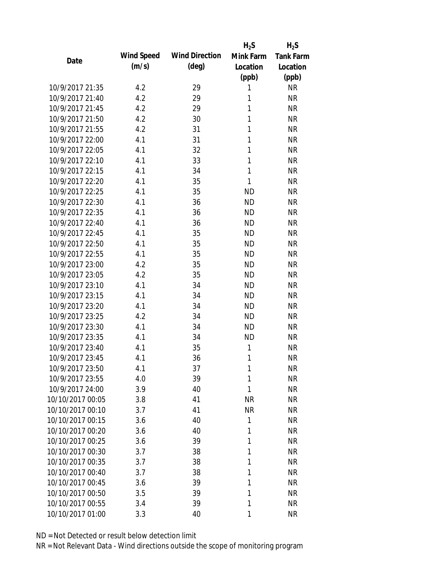|                  |            |                       | $H_2S$    | $H_2S$           |
|------------------|------------|-----------------------|-----------|------------------|
| Date             | Wind Speed | <b>Wind Direction</b> | Mink Farm | <b>Tank Farm</b> |
|                  | (m/s)      | $(\text{deg})$        | Location  | Location         |
|                  |            |                       | (ppb)     | (ppb)            |
| 10/9/2017 21:35  | 4.2        | 29                    | 1         | <b>NR</b>        |
| 10/9/2017 21:40  | 4.2        | 29                    | 1         | <b>NR</b>        |
| 10/9/2017 21:45  | 4.2        | 29                    | 1         | <b>NR</b>        |
| 10/9/2017 21:50  | 4.2        | 30                    | 1         | <b>NR</b>        |
| 10/9/2017 21:55  | 4.2        | 31                    | 1         | <b>NR</b>        |
| 10/9/2017 22:00  | 4.1        | 31                    | 1         | <b>NR</b>        |
| 10/9/2017 22:05  | 4.1        | 32                    | 1         | <b>NR</b>        |
| 10/9/2017 22:10  | 4.1        | 33                    | 1         | <b>NR</b>        |
| 10/9/2017 22:15  | 4.1        | 34                    | 1         | <b>NR</b>        |
| 10/9/2017 22:20  | 4.1        | 35                    | 1         | <b>NR</b>        |
| 10/9/2017 22:25  | 4.1        | 35                    | <b>ND</b> | <b>NR</b>        |
| 10/9/2017 22:30  | 4.1        | 36                    | <b>ND</b> | <b>NR</b>        |
| 10/9/2017 22:35  | 4.1        | 36                    | <b>ND</b> | <b>NR</b>        |
| 10/9/2017 22:40  | 4.1        | 36                    | <b>ND</b> | <b>NR</b>        |
| 10/9/2017 22:45  | 4.1        | 35                    | <b>ND</b> | <b>NR</b>        |
| 10/9/2017 22:50  | 4.1        | 35                    | <b>ND</b> | <b>NR</b>        |
| 10/9/2017 22:55  | 4.1        | 35                    | <b>ND</b> | <b>NR</b>        |
| 10/9/2017 23:00  | 4.2        | 35                    | <b>ND</b> | <b>NR</b>        |
| 10/9/2017 23:05  | 4.2        | 35                    | <b>ND</b> | <b>NR</b>        |
| 10/9/2017 23:10  | 4.1        | 34                    | <b>ND</b> | <b>NR</b>        |
| 10/9/2017 23:15  | 4.1        | 34                    | <b>ND</b> | <b>NR</b>        |
| 10/9/2017 23:20  | 4.1        | 34                    | <b>ND</b> | <b>NR</b>        |
| 10/9/2017 23:25  | 4.2        | 34                    | <b>ND</b> | <b>NR</b>        |
| 10/9/2017 23:30  | 4.1        | 34                    | <b>ND</b> | <b>NR</b>        |
| 10/9/2017 23:35  | 4.1        | 34                    | <b>ND</b> | <b>NR</b>        |
| 10/9/2017 23:40  | 4.1        | 35                    | 1         | <b>NR</b>        |
| 10/9/2017 23:45  | 4.1        | 36                    | 1         | <b>NR</b>        |
| 10/9/2017 23:50  | 4.1        | 37                    | 1         | <b>NR</b>        |
| 10/9/2017 23:55  | 4.0        | 39                    | 1         | <b>NR</b>        |
| 10/9/2017 24:00  | 3.9        | 40                    | 1         | <b>NR</b>        |
| 10/10/2017 00:05 | 3.8        | 41                    | <b>NR</b> | <b>NR</b>        |
| 10/10/2017 00:10 | 3.7        | 41                    | <b>NR</b> | <b>NR</b>        |
| 10/10/2017 00:15 | 3.6        | 40                    | 1         | <b>NR</b>        |
| 10/10/2017 00:20 | 3.6        | 40                    | 1         | <b>NR</b>        |
| 10/10/2017 00:25 | 3.6        | 39                    | 1         | <b>NR</b>        |
| 10/10/2017 00:30 | 3.7        | 38                    | 1         | <b>NR</b>        |
|                  |            |                       |           |                  |
| 10/10/2017 00:35 | 3.7        | 38                    | 1         | <b>NR</b>        |
| 10/10/2017 00:40 | 3.7        | 38                    | 1         | <b>NR</b>        |
| 10/10/2017 00:45 | 3.6        | 39                    | 1         | <b>NR</b>        |
| 10/10/2017 00:50 | 3.5        | 39                    | 1         | <b>NR</b>        |
| 10/10/2017 00:55 | 3.4        | 39                    | 1         | <b>NR</b>        |
| 10/10/2017 01:00 | 3.3        | 40                    | 1         | <b>NR</b>        |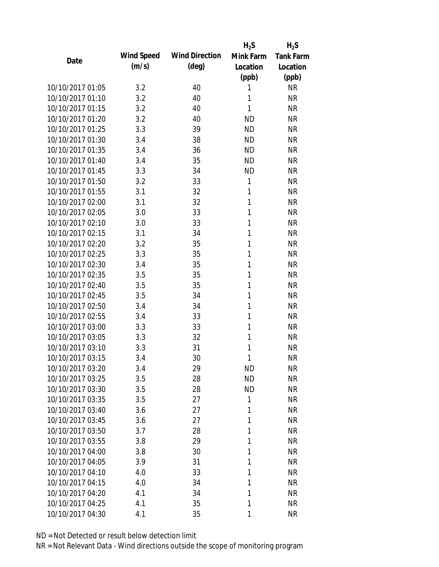|                  |            |                       | $H_2S$    | $H_2S$           |
|------------------|------------|-----------------------|-----------|------------------|
| Date             | Wind Speed | <b>Wind Direction</b> | Mink Farm | <b>Tank Farm</b> |
|                  | (m/s)      | $(\text{deg})$        | Location  | Location         |
|                  |            |                       | (ppb)     | (ppb)            |
| 10/10/2017 01:05 | 3.2        | 40                    | 1         | <b>NR</b>        |
| 10/10/2017 01:10 | 3.2        | 40                    | 1         | <b>NR</b>        |
| 10/10/2017 01:15 | 3.2        | 40                    | 1         | <b>NR</b>        |
| 10/10/2017 01:20 | 3.2        | 40                    | <b>ND</b> | <b>NR</b>        |
| 10/10/2017 01:25 | 3.3        | 39                    | <b>ND</b> | <b>NR</b>        |
| 10/10/2017 01:30 | 3.4        | 38                    | <b>ND</b> | <b>NR</b>        |
| 10/10/2017 01:35 | 3.4        | 36                    | <b>ND</b> | <b>NR</b>        |
| 10/10/2017 01:40 | 3.4        | 35                    | <b>ND</b> | <b>NR</b>        |
| 10/10/2017 01:45 | 3.3        | 34                    | <b>ND</b> | <b>NR</b>        |
| 10/10/2017 01:50 | 3.2        | 33                    | 1         | <b>NR</b>        |
| 10/10/2017 01:55 | 3.1        | 32                    | 1         | <b>NR</b>        |
| 10/10/2017 02:00 | 3.1        | 32                    | 1         | <b>NR</b>        |
| 10/10/2017 02:05 | 3.0        | 33                    | 1         | <b>NR</b>        |
| 10/10/2017 02:10 | 3.0        | 33                    | 1         | <b>NR</b>        |
| 10/10/2017 02:15 | 3.1        | 34                    | 1         | <b>NR</b>        |
| 10/10/2017 02:20 | 3.2        | 35                    | 1         | <b>NR</b>        |
| 10/10/2017 02:25 | 3.3        | 35                    | 1         | <b>NR</b>        |
| 10/10/2017 02:30 | 3.4        | 35                    | 1         | <b>NR</b>        |
| 10/10/2017 02:35 | 3.5        | 35                    | 1         | <b>NR</b>        |
| 10/10/2017 02:40 | 3.5        | 35                    | 1         | <b>NR</b>        |
| 10/10/2017 02:45 | 3.5        | 34                    | 1         | <b>NR</b>        |
| 10/10/2017 02:50 | 3.4        | 34                    | 1         | <b>NR</b>        |
| 10/10/2017 02:55 | 3.4        | 33                    | 1         | <b>NR</b>        |
| 10/10/2017 03:00 | 3.3        | 33                    | 1         | <b>NR</b>        |
| 10/10/2017 03:05 | 3.3        | 32                    | 1         | <b>NR</b>        |
| 10/10/2017 03:10 | 3.3        | 31                    | 1         | <b>NR</b>        |
| 10/10/2017 03:15 | 3.4        | 30                    | 1         | <b>NR</b>        |
| 10/10/2017 03:20 | 3.4        | 29                    | <b>ND</b> | <b>NR</b>        |
| 10/10/2017 03:25 | 3.5        | 28                    | <b>ND</b> | <b>NR</b>        |
| 10/10/2017 03:30 | 3.5        | 28                    | <b>ND</b> | <b>NR</b>        |
| 10/10/2017 03:35 | 3.5        | 27                    | 1         | <b>NR</b>        |
| 10/10/2017 03:40 |            |                       |           |                  |
| 10/10/2017 03:45 | 3.6        | 27                    | 1<br>1    | <b>NR</b>        |
| 10/10/2017 03:50 | 3.6        | 27                    |           | <b>NR</b>        |
|                  | 3.7        | 28                    | 1         | <b>NR</b>        |
| 10/10/2017 03:55 | 3.8        | 29                    | 1         | <b>NR</b>        |
| 10/10/2017 04:00 | 3.8        | 30                    | 1         | <b>NR</b>        |
| 10/10/2017 04:05 | 3.9        | 31                    | 1         | <b>NR</b>        |
| 10/10/2017 04:10 | 4.0        | 33                    | 1         | <b>NR</b>        |
| 10/10/2017 04:15 | 4.0        | 34                    | 1         | <b>NR</b>        |
| 10/10/2017 04:20 | 4.1        | 34                    | 1         | <b>NR</b>        |
| 10/10/2017 04:25 | 4.1        | 35                    | 1         | <b>NR</b>        |
| 10/10/2017 04:30 | 4.1        | 35                    | 1         | <b>NR</b>        |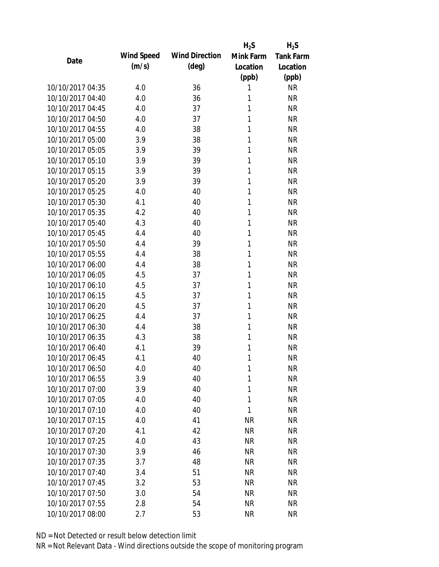|                  |            |                       | $H_2S$    | $H_2S$                 |
|------------------|------------|-----------------------|-----------|------------------------|
| Date             | Wind Speed | <b>Wind Direction</b> | Mink Farm | <b>Tank Farm</b>       |
|                  | (m/s)      | $(\text{deg})$        | Location  | Location               |
|                  |            |                       | (ppb)     | (ppb)                  |
| 10/10/2017 04:35 | 4.0        | 36                    | 1         | <b>NR</b>              |
| 10/10/2017 04:40 | 4.0        | 36                    | 1         | <b>NR</b>              |
| 10/10/2017 04:45 | 4.0        | 37                    | 1         | <b>NR</b>              |
| 10/10/2017 04:50 | 4.0        | 37                    | 1         | <b>NR</b>              |
| 10/10/2017 04:55 | 4.0        | 38                    | 1         | <b>NR</b>              |
| 10/10/2017 05:00 | 3.9        | 38                    | 1         | <b>NR</b>              |
| 10/10/2017 05:05 | 3.9        | 39                    | 1         | <b>NR</b>              |
| 10/10/2017 05:10 | 3.9        | 39                    | 1         | <b>NR</b>              |
| 10/10/2017 05:15 | 3.9        | 39                    | 1         | <b>NR</b>              |
| 10/10/2017 05:20 | 3.9        | 39                    | 1         | <b>NR</b>              |
| 10/10/2017 05:25 | 4.0        | 40                    | 1         | <b>NR</b>              |
| 10/10/2017 05:30 | 4.1        | 40                    | 1         | <b>NR</b>              |
| 10/10/2017 05:35 | 4.2        | 40                    | 1         | <b>NR</b>              |
| 10/10/2017 05:40 | 4.3        | 40                    | 1         | <b>NR</b>              |
| 10/10/2017 05:45 | 4.4        | 40                    | 1         | <b>NR</b>              |
| 10/10/2017 05:50 | 4.4        | 39                    | 1         | <b>NR</b>              |
| 10/10/2017 05:55 | 4.4        | 38                    | 1         | <b>NR</b>              |
| 10/10/2017 06:00 | 4.4        | 38                    | 1         | <b>NR</b>              |
| 10/10/2017 06:05 | 4.5        | 37                    | 1         | <b>NR</b>              |
| 10/10/2017 06:10 | 4.5        | 37                    | 1         | <b>NR</b>              |
| 10/10/2017 06:15 | 4.5        | 37                    | 1         | <b>NR</b>              |
| 10/10/2017 06:20 | 4.5        | 37                    | 1         | <b>NR</b>              |
| 10/10/2017 06:25 | 4.4        | 37                    | 1         | <b>NR</b>              |
| 10/10/2017 06:30 | 4.4        | 38                    | 1         | <b>NR</b>              |
| 10/10/2017 06:35 | 4.3        | 38                    | 1         | <b>NR</b>              |
| 10/10/2017 06:40 | 4.1        | 39                    | 1         | <b>NR</b>              |
| 10/10/2017 06:45 | 4.1        | 40                    | 1         | <b>NR</b>              |
| 10/10/2017 06:50 | 4.0        | 40                    | 1         | <b>NR</b>              |
| 10/10/2017 06:55 | 3.9        | 40                    | 1         | <b>NR</b>              |
| 10/10/2017 07:00 | 3.9        | 40                    | 1         | <b>NR</b>              |
| 10/10/2017 07:05 | 4.0        | 40                    | 1         | <b>NR</b>              |
| 10/10/2017 07:10 |            | 40                    | 1         |                        |
| 10/10/2017 07:15 | 4.0<br>4.0 | 41                    | <b>NR</b> | <b>NR</b><br><b>NR</b> |
| 10/10/2017 07:20 | 4.1        | 42                    | <b>NR</b> | <b>NR</b>              |
| 10/10/2017 07:25 |            |                       |           |                        |
|                  | 4.0        | 43                    | <b>NR</b> | <b>NR</b>              |
| 10/10/2017 07:30 | 3.9        | 46                    | <b>NR</b> | <b>NR</b>              |
| 10/10/2017 07:35 | 3.7        | 48                    | <b>NR</b> | <b>NR</b>              |
| 10/10/2017 07:40 | 3.4        | 51                    | <b>NR</b> | <b>NR</b>              |
| 10/10/2017 07:45 | 3.2        | 53                    | <b>NR</b> | <b>NR</b>              |
| 10/10/2017 07:50 | 3.0        | 54                    | <b>NR</b> | <b>NR</b>              |
| 10/10/2017 07:55 | 2.8        | 54                    | <b>NR</b> | <b>NR</b>              |
| 10/10/2017 08:00 | 2.7        | 53                    | <b>NR</b> | <b>NR</b>              |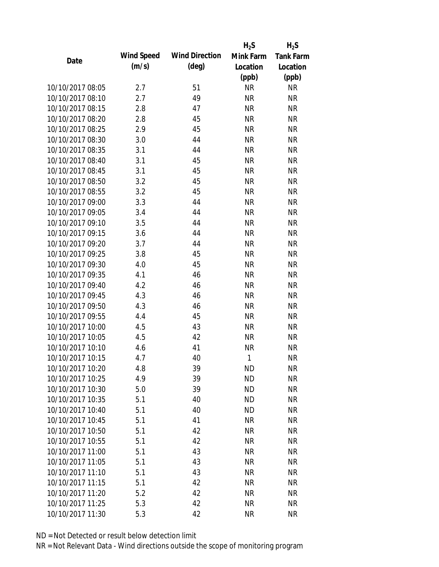|                  |            |                       | $H_2S$    | $H_2S$           |
|------------------|------------|-----------------------|-----------|------------------|
| Date             | Wind Speed | <b>Wind Direction</b> | Mink Farm | <b>Tank Farm</b> |
|                  | (m/s)      | (deg)                 | Location  | Location         |
|                  |            |                       | (ppb)     | (ppb)            |
| 10/10/2017 08:05 | 2.7        | 51                    | <b>NR</b> | <b>NR</b>        |
| 10/10/2017 08:10 | 2.7        | 49                    | <b>NR</b> | <b>NR</b>        |
| 10/10/2017 08:15 | 2.8        | 47                    | <b>NR</b> | <b>NR</b>        |
| 10/10/2017 08:20 | 2.8        | 45                    | <b>NR</b> | <b>NR</b>        |
| 10/10/2017 08:25 | 2.9        | 45                    | <b>NR</b> | <b>NR</b>        |
| 10/10/2017 08:30 | 3.0        | 44                    | <b>NR</b> | <b>NR</b>        |
| 10/10/2017 08:35 | 3.1        | 44                    | <b>NR</b> | <b>NR</b>        |
| 10/10/2017 08:40 | 3.1        | 45                    | <b>NR</b> | <b>NR</b>        |
| 10/10/2017 08:45 | 3.1        | 45                    | <b>NR</b> | <b>NR</b>        |
| 10/10/2017 08:50 | 3.2        | 45                    | <b>NR</b> | <b>NR</b>        |
| 10/10/2017 08:55 | 3.2        | 45                    | <b>NR</b> | <b>NR</b>        |
| 10/10/2017 09:00 | 3.3        | 44                    | <b>NR</b> | <b>NR</b>        |
| 10/10/2017 09:05 | 3.4        | 44                    | <b>NR</b> | <b>NR</b>        |
| 10/10/2017 09:10 | 3.5        | 44                    | <b>NR</b> | <b>NR</b>        |
| 10/10/2017 09:15 | 3.6        | 44                    | <b>NR</b> | <b>NR</b>        |
| 10/10/2017 09:20 | 3.7        | 44                    | <b>NR</b> | <b>NR</b>        |
| 10/10/2017 09:25 | 3.8        | 45                    | <b>NR</b> | <b>NR</b>        |
| 10/10/2017 09:30 | 4.0        | 45                    | <b>NR</b> | <b>NR</b>        |
| 10/10/2017 09:35 | 4.1        | 46                    | <b>NR</b> | <b>NR</b>        |
| 10/10/2017 09:40 | 4.2        | 46                    | <b>NR</b> | <b>NR</b>        |
| 10/10/2017 09:45 | 4.3        | 46                    | <b>NR</b> | <b>NR</b>        |
| 10/10/2017 09:50 | 4.3        | 46                    | <b>NR</b> | <b>NR</b>        |
| 10/10/2017 09:55 | 4.4        | 45                    | <b>NR</b> | <b>NR</b>        |
| 10/10/2017 10:00 | 4.5        | 43                    | <b>NR</b> | <b>NR</b>        |
| 10/10/2017 10:05 | 4.5        | 42                    | <b>NR</b> | <b>NR</b>        |
| 10/10/2017 10:10 | 4.6        | 41                    | <b>NR</b> | <b>NR</b>        |
| 10/10/2017 10:15 | 4.7        | 40                    | 1         | <b>NR</b>        |
| 10/10/2017 10:20 | 4.8        | 39                    | <b>ND</b> | <b>NR</b>        |
| 10/10/2017 10:25 | 4.9        | 39                    | <b>ND</b> | <b>NR</b>        |
| 10/10/2017 10:30 | 5.0        | 39                    | <b>ND</b> | <b>NR</b>        |
| 10/10/2017 10:35 | 5.1        | 40                    | <b>ND</b> | <b>NR</b>        |
| 10/10/2017 10:40 | 5.1        | 40                    | <b>ND</b> | <b>NR</b>        |
| 10/10/2017 10:45 | 5.1        | 41                    | <b>NR</b> | <b>NR</b>        |
| 10/10/2017 10:50 | 5.1        | 42                    | <b>NR</b> | <b>NR</b>        |
| 10/10/2017 10:55 |            |                       |           |                  |
| 10/10/2017 11:00 | 5.1        | 42                    | <b>NR</b> | <b>NR</b>        |
|                  | 5.1        | 43                    | <b>NR</b> | <b>NR</b>        |
| 10/10/2017 11:05 | 5.1        | 43                    | <b>NR</b> | <b>NR</b>        |
| 10/10/2017 11:10 | 5.1        | 43                    | <b>NR</b> | <b>NR</b>        |
| 10/10/2017 11:15 | 5.1        | 42                    | <b>NR</b> | <b>NR</b>        |
| 10/10/2017 11:20 | 5.2        | 42                    | <b>NR</b> | <b>NR</b>        |
| 10/10/2017 11:25 | 5.3        | 42                    | <b>NR</b> | <b>NR</b>        |
| 10/10/2017 11:30 | 5.3        | 42                    | <b>NR</b> | <b>NR</b>        |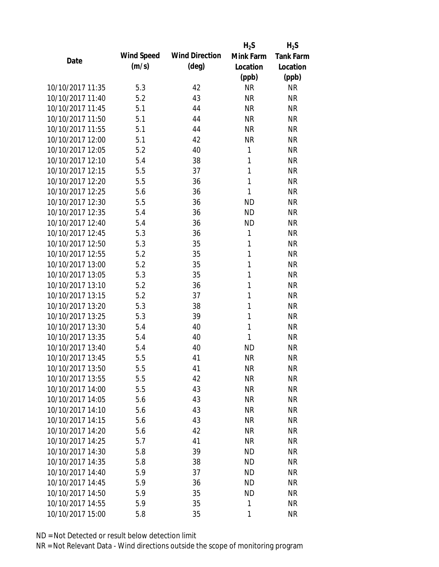|                  |            |                       | $H_2S$       | $H_2S$           |
|------------------|------------|-----------------------|--------------|------------------|
| Date             | Wind Speed | <b>Wind Direction</b> | Mink Farm    | <b>Tank Farm</b> |
|                  | (m/s)      | $(\text{deg})$        | Location     | Location         |
|                  |            |                       | (ppb)        | (ppb)            |
| 10/10/2017 11:35 | 5.3        | 42                    | <b>NR</b>    | <b>NR</b>        |
| 10/10/2017 11:40 | 5.2        | 43                    | <b>NR</b>    | <b>NR</b>        |
| 10/10/2017 11:45 | 5.1        | 44                    | <b>NR</b>    | <b>NR</b>        |
| 10/10/2017 11:50 | 5.1        | 44                    | <b>NR</b>    | <b>NR</b>        |
| 10/10/2017 11:55 | 5.1        | 44                    | <b>NR</b>    | <b>NR</b>        |
| 10/10/2017 12:00 | 5.1        | 42                    | <b>NR</b>    | <b>NR</b>        |
| 10/10/2017 12:05 | 5.2        | 40                    | 1            | <b>NR</b>        |
| 10/10/2017 12:10 | 5.4        | 38                    | 1            | <b>NR</b>        |
| 10/10/2017 12:15 | 5.5        | 37                    | 1            | <b>NR</b>        |
| 10/10/2017 12:20 | 5.5        | 36                    | 1            | <b>NR</b>        |
| 10/10/2017 12:25 | 5.6        | 36                    | 1            | <b>NR</b>        |
| 10/10/2017 12:30 | 5.5        | 36                    | <b>ND</b>    | <b>NR</b>        |
| 10/10/2017 12:35 | 5.4        | 36                    | <b>ND</b>    | <b>NR</b>        |
| 10/10/2017 12:40 | 5.4        | 36                    | <b>ND</b>    | <b>NR</b>        |
| 10/10/2017 12:45 | 5.3        | 36                    | 1            | <b>NR</b>        |
| 10/10/2017 12:50 | 5.3        | 35                    | 1            | <b>NR</b>        |
| 10/10/2017 12:55 | 5.2        | 35                    | 1            | <b>NR</b>        |
| 10/10/2017 13:00 | 5.2        | 35                    | 1            | <b>NR</b>        |
| 10/10/2017 13:05 | 5.3        | 35                    | $\mathbf{1}$ | <b>NR</b>        |
| 10/10/2017 13:10 | 5.2        | 36                    | 1            | <b>NR</b>        |
| 10/10/2017 13:15 | 5.2        | 37                    | 1            | <b>NR</b>        |
| 10/10/2017 13:20 | 5.3        | 38                    | 1            | <b>NR</b>        |
| 10/10/2017 13:25 | 5.3        | 39                    | 1            | <b>NR</b>        |
| 10/10/2017 13:30 | 5.4        | 40                    | 1            | <b>NR</b>        |
| 10/10/2017 13:35 | 5.4        | 40                    | 1            | <b>NR</b>        |
| 10/10/2017 13:40 | 5.4        | 40                    | <b>ND</b>    | <b>NR</b>        |
| 10/10/2017 13:45 | 5.5        | 41                    | <b>NR</b>    | <b>NR</b>        |
| 10/10/2017 13:50 | 5.5        | 41                    | NR           | NR               |
| 10/10/2017 13:55 | 5.5        | 42                    | <b>NR</b>    | <b>NR</b>        |
| 10/10/2017 14:00 | 5.5        | 43                    | <b>NR</b>    | <b>NR</b>        |
| 10/10/2017 14:05 | 5.6        | 43                    | <b>NR</b>    | <b>NR</b>        |
| 10/10/2017 14:10 | 5.6        | 43                    | <b>NR</b>    | <b>NR</b>        |
| 10/10/2017 14:15 | 5.6        | 43                    | <b>NR</b>    | <b>NR</b>        |
| 10/10/2017 14:20 | 5.6        | 42                    | <b>NR</b>    | <b>NR</b>        |
| 10/10/2017 14:25 |            | 41                    |              |                  |
| 10/10/2017 14:30 | 5.7        |                       | <b>NR</b>    | <b>NR</b>        |
| 10/10/2017 14:35 | 5.8        | 39                    | <b>ND</b>    | <b>NR</b>        |
|                  | 5.8        | 38                    | ND           | <b>NR</b>        |
| 10/10/2017 14:40 | 5.9        | 37                    | <b>ND</b>    | <b>NR</b>        |
| 10/10/2017 14:45 | 5.9        | 36                    | <b>ND</b>    | <b>NR</b>        |
| 10/10/2017 14:50 | 5.9        | 35                    | <b>ND</b>    | <b>NR</b>        |
| 10/10/2017 14:55 | 5.9        | 35                    | 1            | <b>NR</b>        |
| 10/10/2017 15:00 | 5.8        | 35                    | 1            | <b>NR</b>        |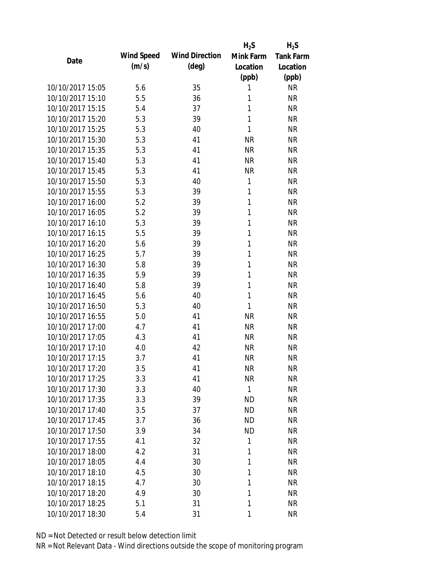|                  |            |                       | $H_2S$       | $H_2S$           |
|------------------|------------|-----------------------|--------------|------------------|
| Date             | Wind Speed | <b>Wind Direction</b> | Mink Farm    | <b>Tank Farm</b> |
|                  | (m/s)      | $(\text{deg})$        | Location     | Location         |
|                  |            |                       | (ppb)        | (ppb)            |
| 10/10/2017 15:05 | 5.6        | 35                    | 1            | <b>NR</b>        |
| 10/10/2017 15:10 | 5.5        | 36                    | 1            | <b>NR</b>        |
| 10/10/2017 15:15 | 5.4        | 37                    | 1            | <b>NR</b>        |
| 10/10/2017 15:20 | 5.3        | 39                    | 1            | <b>NR</b>        |
| 10/10/2017 15:25 | 5.3        | 40                    | 1            | <b>NR</b>        |
| 10/10/2017 15:30 | 5.3        | 41                    | <b>NR</b>    | <b>NR</b>        |
| 10/10/2017 15:35 | 5.3        | 41                    | <b>NR</b>    | <b>NR</b>        |
| 10/10/2017 15:40 | 5.3        | 41                    | <b>NR</b>    | <b>NR</b>        |
| 10/10/2017 15:45 | 5.3        | 41                    | <b>NR</b>    | <b>NR</b>        |
| 10/10/2017 15:50 | 5.3        | 40                    | 1            | <b>NR</b>        |
| 10/10/2017 15:55 | 5.3        | 39                    | 1            | <b>NR</b>        |
| 10/10/2017 16:00 | 5.2        | 39                    | $\mathbf{1}$ | <b>NR</b>        |
| 10/10/2017 16:05 | 5.2        | 39                    | 1            | <b>NR</b>        |
| 10/10/2017 16:10 | 5.3        | 39                    | 1            | <b>NR</b>        |
| 10/10/2017 16:15 | 5.5        | 39                    | 1            | <b>NR</b>        |
| 10/10/2017 16:20 | 5.6        | 39                    | 1            | <b>NR</b>        |
| 10/10/2017 16:25 | 5.7        | 39                    | 1            | <b>NR</b>        |
| 10/10/2017 16:30 | 5.8        | 39                    | 1            | <b>NR</b>        |
| 10/10/2017 16:35 | 5.9        | 39                    | $\mathbf{1}$ | <b>NR</b>        |
| 10/10/2017 16:40 | 5.8        | 39                    | 1            | <b>NR</b>        |
| 10/10/2017 16:45 | 5.6        | 40                    | 1            | <b>NR</b>        |
| 10/10/2017 16:50 | 5.3        | 40                    | 1            | <b>NR</b>        |
| 10/10/2017 16:55 | 5.0        | 41                    | <b>NR</b>    | <b>NR</b>        |
| 10/10/2017 17:00 | 4.7        | 41                    | <b>NR</b>    | <b>NR</b>        |
| 10/10/2017 17:05 | 4.3        | 41                    | <b>NR</b>    | <b>NR</b>        |
| 10/10/2017 17:10 | 4.0        | 42                    | <b>NR</b>    | <b>NR</b>        |
| 10/10/2017 17:15 | 3.7        | 41                    | <b>NR</b>    | <b>NR</b>        |
| 10/10/2017 17:20 | 3.5        | 41                    | <b>NR</b>    | NR               |
| 10/10/2017 17:25 | 3.3        | 41                    | <b>NR</b>    | <b>NR</b>        |
| 10/10/2017 17:30 | 3.3        | 40                    | $\mathbf{1}$ | <b>NR</b>        |
| 10/10/2017 17:35 | 3.3        | 39                    | <b>ND</b>    | <b>NR</b>        |
| 10/10/2017 17:40 | 3.5        | 37                    | <b>ND</b>    | <b>NR</b>        |
| 10/10/2017 17:45 | 3.7        | 36                    | <b>ND</b>    | <b>NR</b>        |
| 10/10/2017 17:50 | 3.9        | 34                    | <b>ND</b>    | <b>NR</b>        |
| 10/10/2017 17:55 | 4.1        | 32                    | 1            | <b>NR</b>        |
| 10/10/2017 18:00 | 4.2        | 31                    | 1            | <b>NR</b>        |
| 10/10/2017 18:05 | 4.4        | 30                    | 1            | <b>NR</b>        |
| 10/10/2017 18:10 | 4.5        | 30                    | 1            | <b>NR</b>        |
| 10/10/2017 18:15 | 4.7        |                       | 1            | <b>NR</b>        |
| 10/10/2017 18:20 | 4.9        | 30<br>30              | 1            | <b>NR</b>        |
|                  |            |                       | 1            |                  |
| 10/10/2017 18:25 | 5.1        | 31                    |              | <b>NR</b>        |
| 10/10/2017 18:30 | 5.4        | 31                    | 1            | <b>NR</b>        |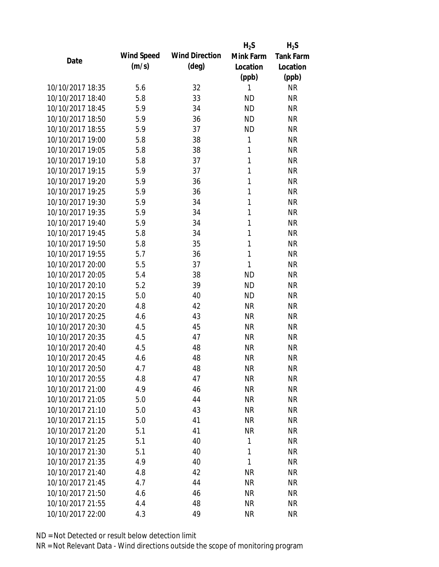|                  |            |                       | $H_2S$       | $H_2S$           |
|------------------|------------|-----------------------|--------------|------------------|
| Date             | Wind Speed | <b>Wind Direction</b> | Mink Farm    | <b>Tank Farm</b> |
|                  | (m/s)      | $(\text{deg})$        | Location     | Location         |
|                  |            |                       | (ppb)        | (ppb)            |
| 10/10/2017 18:35 | 5.6        | 32                    | 1            | <b>NR</b>        |
| 10/10/2017 18:40 | 5.8        | 33                    | <b>ND</b>    | <b>NR</b>        |
| 10/10/2017 18:45 | 5.9        | 34                    | <b>ND</b>    | <b>NR</b>        |
| 10/10/2017 18:50 | 5.9        | 36                    | <b>ND</b>    | <b>NR</b>        |
| 10/10/2017 18:55 | 5.9        | 37                    | <b>ND</b>    | <b>NR</b>        |
| 10/10/2017 19:00 | 5.8        | 38                    | 1            | <b>NR</b>        |
| 10/10/2017 19:05 | 5.8        | 38                    | $\mathbf{1}$ | <b>NR</b>        |
| 10/10/2017 19:10 | 5.8        | 37                    | 1            | <b>NR</b>        |
| 10/10/2017 19:15 | 5.9        | 37                    | 1            | <b>NR</b>        |
| 10/10/2017 19:20 | 5.9        | 36                    | 1            | <b>NR</b>        |
| 10/10/2017 19:25 | 5.9        | 36                    | 1            | <b>NR</b>        |
| 10/10/2017 19:30 | 5.9        | 34                    | 1            | <b>NR</b>        |
| 10/10/2017 19:35 | 5.9        | 34                    | $\mathbf{1}$ | <b>NR</b>        |
| 10/10/2017 19:40 | 5.9        | 34                    | $\mathbf{1}$ | <b>NR</b>        |
| 10/10/2017 19:45 | 5.8        | 34                    | 1            | <b>NR</b>        |
| 10/10/2017 19:50 | 5.8        | 35                    | 1            | <b>NR</b>        |
| 10/10/2017 19:55 | 5.7        | 36                    | 1            | <b>NR</b>        |
| 10/10/2017 20:00 | 5.5        | 37                    | 1            | <b>NR</b>        |
| 10/10/2017 20:05 | 5.4        | 38                    | <b>ND</b>    | <b>NR</b>        |
| 10/10/2017 20:10 | 5.2        | 39                    | <b>ND</b>    | <b>NR</b>        |
| 10/10/2017 20:15 | 5.0        | 40                    | <b>ND</b>    | <b>NR</b>        |
| 10/10/2017 20:20 | 4.8        | 42                    | <b>NR</b>    | <b>NR</b>        |
| 10/10/2017 20:25 | 4.6        | 43                    | <b>NR</b>    | <b>NR</b>        |
| 10/10/2017 20:30 | 4.5        | 45                    | <b>NR</b>    | <b>NR</b>        |
| 10/10/2017 20:35 | 4.5        | 47                    | <b>NR</b>    | <b>NR</b>        |
| 10/10/2017 20:40 | 4.5        | 48                    | <b>NR</b>    | <b>NR</b>        |
| 10/10/2017 20:45 | 4.6        | 48                    | <b>NR</b>    | <b>NR</b>        |
| 10/10/2017 20:50 | 4.7        | 48                    | NR           | <b>NR</b>        |
| 10/10/2017 20:55 | 4.8        | 47                    | <b>NR</b>    | <b>NR</b>        |
| 10/10/2017 21:00 | 4.9        | 46                    | <b>NR</b>    | <b>NR</b>        |
| 10/10/2017 21:05 | 5.0        | 44                    | <b>NR</b>    | <b>NR</b>        |
| 10/10/2017 21:10 | 5.0        | 43                    | <b>NR</b>    | <b>NR</b>        |
| 10/10/2017 21:15 | 5.0        | 41                    | <b>NR</b>    | <b>NR</b>        |
| 10/10/2017 21:20 | 5.1        | 41                    | <b>NR</b>    | <b>NR</b>        |
| 10/10/2017 21:25 | 5.1        |                       | 1            |                  |
| 10/10/2017 21:30 |            | 40                    | 1            | <b>NR</b>        |
| 10/10/2017 21:35 | 5.1        | 40                    | 1            | <b>NR</b>        |
|                  | 4.9        | 40                    |              | <b>NR</b>        |
| 10/10/2017 21:40 | 4.8        | 42                    | <b>NR</b>    | <b>NR</b>        |
| 10/10/2017 21:45 | 4.7        | 44                    | <b>NR</b>    | <b>NR</b>        |
| 10/10/2017 21:50 | 4.6        | 46                    | <b>NR</b>    | <b>NR</b>        |
| 10/10/2017 21:55 | 4.4        | 48                    | <b>NR</b>    | <b>NR</b>        |
| 10/10/2017 22:00 | 4.3        | 49                    | <b>NR</b>    | <b>NR</b>        |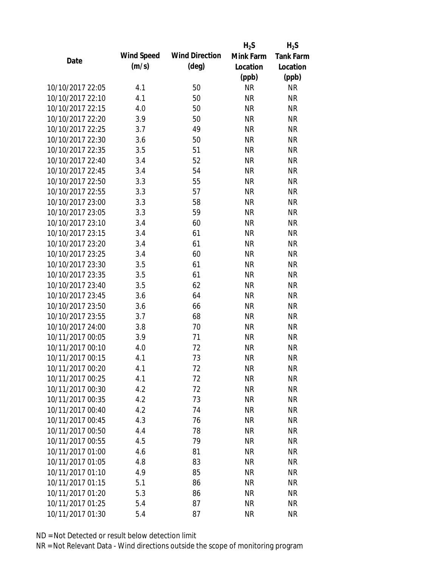|                  |            |                       | $H_2S$    | $H_2S$           |
|------------------|------------|-----------------------|-----------|------------------|
| Date             | Wind Speed | <b>Wind Direction</b> | Mink Farm | <b>Tank Farm</b> |
|                  | (m/s)      | $(\text{deg})$        | Location  | Location         |
|                  |            |                       | (ppb)     | (ppb)            |
| 10/10/2017 22:05 | 4.1        | 50                    | <b>NR</b> | <b>NR</b>        |
| 10/10/2017 22:10 | 4.1        | 50                    | <b>NR</b> | <b>NR</b>        |
| 10/10/2017 22:15 | 4.0        | 50                    | <b>NR</b> | <b>NR</b>        |
| 10/10/2017 22:20 | 3.9        | 50                    | <b>NR</b> | <b>NR</b>        |
| 10/10/2017 22:25 | 3.7        | 49                    | <b>NR</b> | <b>NR</b>        |
| 10/10/2017 22:30 | 3.6        | 50                    | <b>NR</b> | <b>NR</b>        |
| 10/10/2017 22:35 | 3.5        | 51                    | <b>NR</b> | <b>NR</b>        |
| 10/10/2017 22:40 | 3.4        | 52                    | <b>NR</b> | <b>NR</b>        |
| 10/10/2017 22:45 | 3.4        | 54                    | <b>NR</b> | <b>NR</b>        |
| 10/10/2017 22:50 | 3.3        | 55                    | <b>NR</b> | <b>NR</b>        |
| 10/10/2017 22:55 | 3.3        | 57                    | <b>NR</b> | <b>NR</b>        |
| 10/10/2017 23:00 | 3.3        | 58                    | <b>NR</b> | <b>NR</b>        |
| 10/10/2017 23:05 | 3.3        | 59                    | <b>NR</b> | <b>NR</b>        |
| 10/10/2017 23:10 | 3.4        | 60                    | <b>NR</b> | <b>NR</b>        |
| 10/10/2017 23:15 | 3.4        | 61                    | <b>NR</b> | <b>NR</b>        |
| 10/10/2017 23:20 | 3.4        | 61                    | <b>NR</b> | <b>NR</b>        |
| 10/10/2017 23:25 | 3.4        | 60                    | <b>NR</b> | <b>NR</b>        |
| 10/10/2017 23:30 | 3.5        | 61                    | <b>NR</b> | <b>NR</b>        |
| 10/10/2017 23:35 | 3.5        | 61                    | <b>NR</b> | <b>NR</b>        |
| 10/10/2017 23:40 | 3.5        | 62                    | <b>NR</b> | <b>NR</b>        |
| 10/10/2017 23:45 | 3.6        | 64                    | <b>NR</b> | <b>NR</b>        |
| 10/10/2017 23:50 | 3.6        | 66                    | <b>NR</b> | <b>NR</b>        |
| 10/10/2017 23:55 | 3.7        | 68                    | <b>NR</b> | <b>NR</b>        |
| 10/10/2017 24:00 | 3.8        | 70                    | <b>NR</b> | <b>NR</b>        |
| 10/11/2017 00:05 | 3.9        | 71                    | <b>NR</b> | <b>NR</b>        |
| 10/11/2017 00:10 | 4.0        | 72                    | <b>NR</b> | <b>NR</b>        |
| 10/11/2017 00:15 | 4.1        | 73                    | <b>NR</b> | <b>NR</b>        |
| 10/11/2017 00:20 | 4.1        | 72                    | <b>NR</b> | <b>NR</b>        |
| 10/11/2017 00:25 | 4.1        | 72                    | <b>NR</b> | <b>NR</b>        |
| 10/11/2017 00:30 | 4.2        | 72                    | <b>NR</b> | <b>NR</b>        |
| 10/11/2017 00:35 | 4.2        | 73                    | <b>NR</b> | <b>NR</b>        |
| 10/11/2017 00:40 | 4.2        | 74                    | <b>NR</b> | <b>NR</b>        |
| 10/11/2017 00:45 | 4.3        | 76                    | <b>NR</b> | <b>NR</b>        |
| 10/11/2017 00:50 | 4.4        | 78                    | <b>NR</b> | <b>NR</b>        |
| 10/11/2017 00:55 |            |                       |           |                  |
|                  | 4.5        | 79                    | <b>NR</b> | <b>NR</b>        |
| 10/11/2017 01:00 | 4.6        | 81                    | <b>NR</b> | <b>NR</b>        |
| 10/11/2017 01:05 | 4.8        | 83                    | <b>NR</b> | <b>NR</b>        |
| 10/11/2017 01:10 | 4.9        | 85                    | NR        | <b>NR</b>        |
| 10/11/2017 01:15 | 5.1        | 86                    | <b>NR</b> | <b>NR</b>        |
| 10/11/2017 01:20 | 5.3        | 86                    | <b>NR</b> | <b>NR</b>        |
| 10/11/2017 01:25 | 5.4        | 87                    | <b>NR</b> | <b>NR</b>        |
| 10/11/2017 01:30 | 5.4        | 87                    | <b>NR</b> | <b>NR</b>        |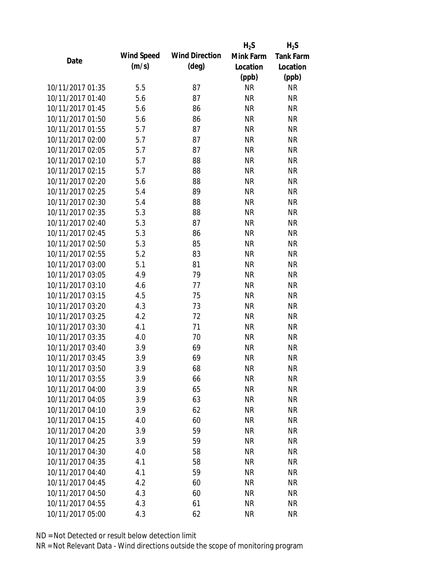|                  |            |                       | $H_2S$    | $H_2S$           |
|------------------|------------|-----------------------|-----------|------------------|
| Date             | Wind Speed | <b>Wind Direction</b> | Mink Farm | <b>Tank Farm</b> |
|                  | (m/s)      | $(\text{deg})$        | Location  | Location         |
|                  |            |                       | (ppb)     | (ppb)            |
| 10/11/2017 01:35 | 5.5        | 87                    | <b>NR</b> | <b>NR</b>        |
| 10/11/2017 01:40 | 5.6        | 87                    | <b>NR</b> | <b>NR</b>        |
| 10/11/2017 01:45 | 5.6        | 86                    | <b>NR</b> | <b>NR</b>        |
| 10/11/2017 01:50 | 5.6        | 86                    | <b>NR</b> | <b>NR</b>        |
| 10/11/2017 01:55 | 5.7        | 87                    | <b>NR</b> | <b>NR</b>        |
| 10/11/2017 02:00 | 5.7        | 87                    | <b>NR</b> | <b>NR</b>        |
| 10/11/2017 02:05 | 5.7        | 87                    | <b>NR</b> | <b>NR</b>        |
| 10/11/2017 02:10 | 5.7        | 88                    | <b>NR</b> | <b>NR</b>        |
| 10/11/2017 02:15 | 5.7        | 88                    | <b>NR</b> | <b>NR</b>        |
| 10/11/2017 02:20 | 5.6        | 88                    | <b>NR</b> | <b>NR</b>        |
| 10/11/2017 02:25 | 5.4        | 89                    | <b>NR</b> | <b>NR</b>        |
| 10/11/2017 02:30 | 5.4        | 88                    | <b>NR</b> | <b>NR</b>        |
| 10/11/2017 02:35 | 5.3        | 88                    | <b>NR</b> | <b>NR</b>        |
| 10/11/2017 02:40 | 5.3        | 87                    | <b>NR</b> | <b>NR</b>        |
| 10/11/2017 02:45 | 5.3        | 86                    | <b>NR</b> | <b>NR</b>        |
| 10/11/2017 02:50 | 5.3        | 85                    | <b>NR</b> | <b>NR</b>        |
| 10/11/2017 02:55 | 5.2        | 83                    | <b>NR</b> | <b>NR</b>        |
| 10/11/2017 03:00 | 5.1        | 81                    | <b>NR</b> | <b>NR</b>        |
| 10/11/2017 03:05 | 4.9        | 79                    | <b>NR</b> | <b>NR</b>        |
| 10/11/2017 03:10 | 4.6        | 77                    | <b>NR</b> | <b>NR</b>        |
| 10/11/2017 03:15 | 4.5        | 75                    | <b>NR</b> | <b>NR</b>        |
| 10/11/2017 03:20 | 4.3        | 73                    | <b>NR</b> | <b>NR</b>        |
| 10/11/2017 03:25 | 4.2        | 72                    | <b>NR</b> | <b>NR</b>        |
| 10/11/2017 03:30 | 4.1        | 71                    | <b>NR</b> | <b>NR</b>        |
| 10/11/2017 03:35 | 4.0        | 70                    | <b>NR</b> | <b>NR</b>        |
| 10/11/2017 03:40 | 3.9        | 69                    | <b>NR</b> | <b>NR</b>        |
| 10/11/2017 03:45 | 3.9        | 69                    | <b>NR</b> | <b>NR</b>        |
| 10/11/2017 03:50 | 3.9        | 68                    | NR        | <b>NR</b>        |
| 10/11/2017 03:55 | 3.9        | 66                    | <b>NR</b> | <b>NR</b>        |
| 10/11/2017 04:00 | 3.9        | 65                    | <b>NR</b> | <b>NR</b>        |
| 10/11/2017 04:05 | 3.9        | 63                    | <b>NR</b> | <b>NR</b>        |
| 10/11/2017 04:10 | 3.9        | 62                    | <b>NR</b> | <b>NR</b>        |
| 10/11/2017 04:15 | 4.0        | 60                    | <b>NR</b> | <b>NR</b>        |
| 10/11/2017 04:20 | 3.9        | 59                    | <b>NR</b> | <b>NR</b>        |
| 10/11/2017 04:25 | 3.9        | 59                    | <b>NR</b> | <b>NR</b>        |
| 10/11/2017 04:30 | 4.0        | 58                    | <b>NR</b> | <b>NR</b>        |
| 10/11/2017 04:35 | 4.1        | 58                    | <b>NR</b> | <b>NR</b>        |
| 10/11/2017 04:40 | 4.1        | 59                    | <b>NR</b> | <b>NR</b>        |
| 10/11/2017 04:45 | 4.2        | 60                    | <b>NR</b> | <b>NR</b>        |
| 10/11/2017 04:50 | 4.3        | 60                    | <b>NR</b> | <b>NR</b>        |
| 10/11/2017 04:55 | 4.3        | 61                    | <b>NR</b> | <b>NR</b>        |
| 10/11/2017 05:00 | 4.3        | 62                    | <b>NR</b> | <b>NR</b>        |
|                  |            |                       |           |                  |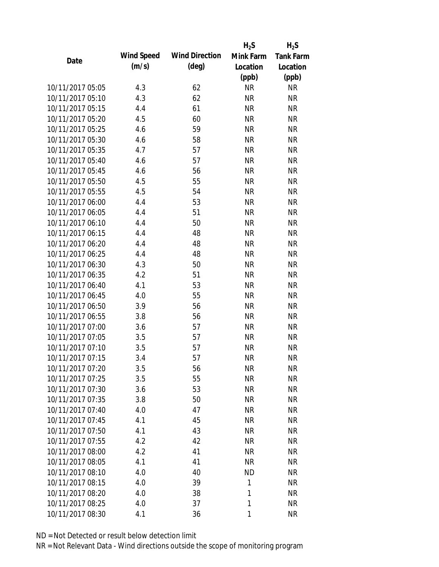|                  |            |                       | $H_2S$      | $H_2S$           |
|------------------|------------|-----------------------|-------------|------------------|
| Date             | Wind Speed | <b>Wind Direction</b> | Mink Farm   | <b>Tank Farm</b> |
|                  | (m/s)      | $(\text{deg})$        | Location    | Location         |
|                  |            |                       | (ppb)       | (ppb)            |
| 10/11/2017 05:05 | 4.3        | 62                    | <b>NR</b>   | <b>NR</b>        |
| 10/11/2017 05:10 | 4.3        | 62                    | <b>NR</b>   | <b>NR</b>        |
| 10/11/2017 05:15 | 4.4        | 61                    | <b>NR</b>   | <b>NR</b>        |
| 10/11/2017 05:20 | 4.5        | 60                    | <b>NR</b>   | <b>NR</b>        |
| 10/11/2017 05:25 | 4.6        | 59                    | <b>NR</b>   | <b>NR</b>        |
| 10/11/2017 05:30 | 4.6        | 58                    | <b>NR</b>   | <b>NR</b>        |
| 10/11/2017 05:35 | 4.7        | 57                    | <b>NR</b>   | <b>NR</b>        |
| 10/11/2017 05:40 | 4.6        | 57                    | <b>NR</b>   | <b>NR</b>        |
| 10/11/2017 05:45 | 4.6        | 56                    | <b>NR</b>   | <b>NR</b>        |
| 10/11/2017 05:50 | 4.5        | 55                    | <b>NR</b>   | <b>NR</b>        |
| 10/11/2017 05:55 | 4.5        | 54                    | <b>NR</b>   | <b>NR</b>        |
| 10/11/2017 06:00 | 4.4        | 53                    | <b>NR</b>   | <b>NR</b>        |
| 10/11/2017 06:05 | 4.4        | 51                    | <b>NR</b>   | <b>NR</b>        |
| 10/11/2017 06:10 | 4.4        | 50                    | <b>NR</b>   | <b>NR</b>        |
| 10/11/2017 06:15 | 4.4        | 48                    | <b>NR</b>   | <b>NR</b>        |
| 10/11/2017 06:20 | 4.4        | 48                    | <b>NR</b>   | <b>NR</b>        |
| 10/11/2017 06:25 | 4.4        | 48                    | <b>NR</b>   | <b>NR</b>        |
| 10/11/2017 06:30 | 4.3        | 50                    | <b>NR</b>   | <b>NR</b>        |
| 10/11/2017 06:35 | 4.2        | 51                    | <b>NR</b>   | <b>NR</b>        |
| 10/11/2017 06:40 | 4.1        | 53                    | <b>NR</b>   | <b>NR</b>        |
| 10/11/2017 06:45 | 4.0        | 55                    | <b>NR</b>   | <b>NR</b>        |
| 10/11/2017 06:50 | 3.9        | 56                    | <b>NR</b>   | <b>NR</b>        |
| 10/11/2017 06:55 | 3.8        | 56                    | <b>NR</b>   | <b>NR</b>        |
| 10/11/2017 07:00 | 3.6        | 57                    | <b>NR</b>   | <b>NR</b>        |
| 10/11/2017 07:05 | 3.5        | 57                    | <b>NR</b>   | <b>NR</b>        |
| 10/11/2017 07:10 | 3.5        | 57                    | <b>NR</b>   | <b>NR</b>        |
| 10/11/2017 07:15 | 3.4        | 57                    | <b>NR</b>   | <b>NR</b>        |
| 10/11/2017 07:20 | 3.5        | 56                    | NR          | NR               |
| 10/11/2017 07:25 | 3.5        | 55                    | <b>NR</b>   | <b>NR</b>        |
| 10/11/2017 07:30 | 3.6        | 53                    | <b>NR</b>   | <b>NR</b>        |
| 10/11/2017 07:35 | 3.8        | 50                    | <b>NR</b>   | <b>NR</b>        |
| 10/11/2017 07:40 | 4.0        | 47                    | <b>NR</b>   | <b>NR</b>        |
| 10/11/2017 07:45 | 4.1        | 45                    | NR          | <b>NR</b>        |
| 10/11/2017 07:50 | 4.1        | 43                    | <b>NR</b>   | <b>NR</b>        |
| 10/11/2017 07:55 |            |                       |             |                  |
|                  | 4.2        | 42                    | <b>NR</b>   | <b>NR</b>        |
| 10/11/2017 08:00 | 4.2        | 41                    | <b>NR</b>   | <b>NR</b>        |
| 10/11/2017 08:05 | 4.1        | 41                    | <b>NR</b>   | <b>NR</b>        |
| 10/11/2017 08:10 | 4.0        | 40                    | <b>ND</b>   | <b>NR</b>        |
| 10/11/2017 08:15 | 4.0        | 39                    | 1           | <b>NR</b>        |
| 10/11/2017 08:20 | 4.0        | 38                    | 1           | <b>NR</b>        |
| 10/11/2017 08:25 | 4.0        | 37                    | 1           | <b>NR</b>        |
| 10/11/2017 08:30 | 4.1        | 36                    | $\mathbf 1$ | <b>NR</b>        |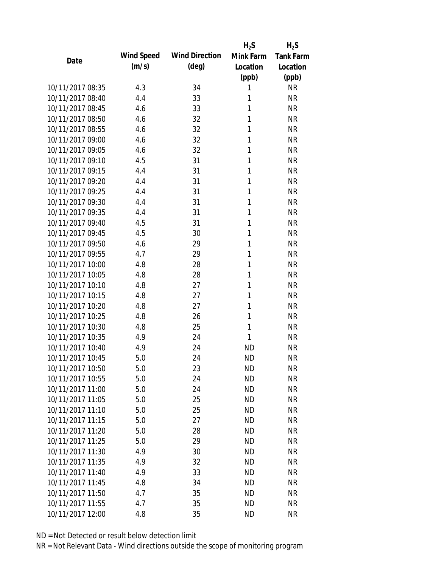|                                      |            |                       | $H_2S$    | $H_2S$           |
|--------------------------------------|------------|-----------------------|-----------|------------------|
| Date                                 | Wind Speed | <b>Wind Direction</b> | Mink Farm | <b>Tank Farm</b> |
|                                      | (m/s)      | $(\text{deg})$        | Location  | Location         |
|                                      |            |                       | (ppb)     | (ppb)            |
| 10/11/2017 08:35                     | 4.3        | 34                    | 1         | <b>NR</b>        |
| 10/11/2017 08:40                     | 4.4        | 33                    | 1         | <b>NR</b>        |
| 10/11/2017 08:45                     | 4.6        | 33                    | 1         | <b>NR</b>        |
| 10/11/2017 08:50                     | 4.6        | 32                    | 1         | <b>NR</b>        |
| 10/11/2017 08:55                     | 4.6        | 32                    | 1         | <b>NR</b>        |
| 10/11/2017 09:00                     | 4.6        | 32                    | 1         | <b>NR</b>        |
| 10/11/2017 09:05                     | 4.6        | 32                    | 1         | <b>NR</b>        |
| 10/11/2017 09:10                     | 4.5        | 31                    | 1         | <b>NR</b>        |
| 10/11/2017 09:15                     | 4.4        | 31                    | 1         | <b>NR</b>        |
| 10/11/2017 09:20                     | 4.4        | 31                    | 1         | <b>NR</b>        |
| 10/11/2017 09:25                     | 4.4        | 31                    | 1         | <b>NR</b>        |
| 10/11/2017 09:30                     | 4.4        | 31                    | 1         | <b>NR</b>        |
| 10/11/2017 09:35                     | 4.4        | 31                    | 1         | <b>NR</b>        |
| 10/11/2017 09:40                     | 4.5        | 31                    | 1         | <b>NR</b>        |
| 10/11/2017 09:45                     | 4.5        | 30                    | 1         | <b>NR</b>        |
| 10/11/2017 09:50                     | 4.6        | 29                    | 1         | <b>NR</b>        |
| 10/11/2017 09:55                     | 4.7        | 29                    | 1         | <b>NR</b>        |
| 10/11/2017 10:00                     | 4.8        | 28                    | 1         | <b>NR</b>        |
| 10/11/2017 10:05                     | 4.8        | 28                    | 1         | <b>NR</b>        |
| 10/11/2017 10:10                     | 4.8        | 27                    | 1         | <b>NR</b>        |
| 10/11/2017 10:15                     | 4.8        | 27                    | 1         | <b>NR</b>        |
| 10/11/2017 10:20                     | 4.8        | 27                    | 1         | <b>NR</b>        |
| 10/11/2017 10:25                     | 4.8        | 26                    | 1         | <b>NR</b>        |
| 10/11/2017 10:30                     | 4.8        | 25                    | 1         | <b>NR</b>        |
| 10/11/2017 10:35                     | 4.9        | 24                    | 1         | <b>NR</b>        |
| 10/11/2017 10:40                     | 4.9        | 24                    | <b>ND</b> | <b>NR</b>        |
| 10/11/2017 10:45                     | 5.0        | 24                    | <b>ND</b> | <b>NR</b>        |
| 10/11/2017 10:50                     | 5.0        | 23                    | <b>ND</b> | <b>NR</b>        |
| 10/11/2017 10:55                     | 5.0        | 24                    | <b>ND</b> | <b>NR</b>        |
| 10/11/2017 11:00                     | 5.0        | 24                    | <b>ND</b> | <b>NR</b>        |
| 10/11/2017 11:05                     | 5.0        | 25                    | <b>ND</b> | <b>NR</b>        |
| 10/11/2017 11:10                     | 5.0        | 25                    | <b>ND</b> | <b>NR</b>        |
| 10/11/2017 11:15                     | 5.0        | 27                    | <b>ND</b> | <b>NR</b>        |
| 10/11/2017 11:20                     | 5.0        | 28                    | <b>ND</b> | <b>NR</b>        |
| 10/11/2017 11:25                     |            |                       |           |                  |
|                                      | 5.0        | 29                    | <b>ND</b> | <b>NR</b>        |
| 10/11/2017 11:30<br>10/11/2017 11:35 | 4.9        | 30                    | <b>ND</b> | <b>NR</b>        |
|                                      | 4.9        | 32                    | ND        | <b>NR</b>        |
| 10/11/2017 11:40                     | 4.9        | 33                    | <b>ND</b> | <b>NR</b>        |
| 10/11/2017 11:45                     | 4.8        | 34                    | <b>ND</b> | <b>NR</b>        |
| 10/11/2017 11:50                     | 4.7        | 35                    | <b>ND</b> | <b>NR</b>        |
| 10/11/2017 11:55                     | 4.7        | 35                    | <b>ND</b> | <b>NR</b>        |
| 10/11/2017 12:00                     | 4.8        | 35                    | <b>ND</b> | <b>NR</b>        |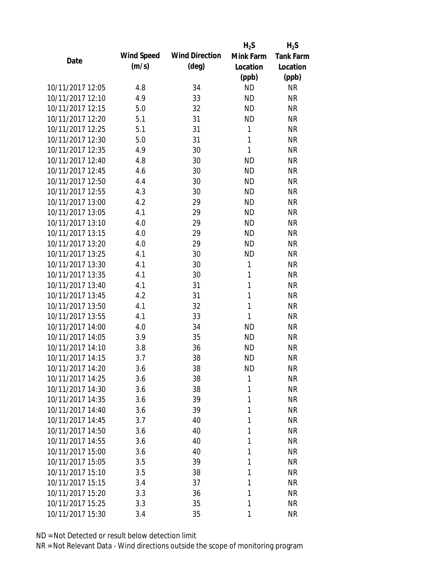|                  |            |                       | $H_2S$       | $H_2S$           |
|------------------|------------|-----------------------|--------------|------------------|
| Date             | Wind Speed | <b>Wind Direction</b> | Mink Farm    | <b>Tank Farm</b> |
|                  | (m/s)      | $(\text{deg})$        | Location     | Location         |
|                  |            |                       | (ppb)        | (ppb)            |
| 10/11/2017 12:05 | 4.8        | 34                    | <b>ND</b>    | <b>NR</b>        |
| 10/11/2017 12:10 | 4.9        | 33                    | <b>ND</b>    | <b>NR</b>        |
| 10/11/2017 12:15 | 5.0        | 32                    | <b>ND</b>    | <b>NR</b>        |
| 10/11/2017 12:20 | 5.1        | 31                    | <b>ND</b>    | <b>NR</b>        |
| 10/11/2017 12:25 | 5.1        | 31                    | 1            | <b>NR</b>        |
| 10/11/2017 12:30 | 5.0        | 31                    | 1            | <b>NR</b>        |
| 10/11/2017 12:35 | 4.9        | 30                    | $\mathbf{1}$ | <b>NR</b>        |
| 10/11/2017 12:40 | 4.8        | 30                    | <b>ND</b>    | <b>NR</b>        |
| 10/11/2017 12:45 | 4.6        | 30                    | <b>ND</b>    | <b>NR</b>        |
| 10/11/2017 12:50 | 4.4        | 30                    | <b>ND</b>    | <b>NR</b>        |
| 10/11/2017 12:55 | 4.3        | 30                    | <b>ND</b>    | <b>NR</b>        |
| 10/11/2017 13:00 | 4.2        | 29                    | <b>ND</b>    | <b>NR</b>        |
| 10/11/2017 13:05 | 4.1        | 29                    | <b>ND</b>    | <b>NR</b>        |
| 10/11/2017 13:10 | 4.0        | 29                    | <b>ND</b>    | <b>NR</b>        |
| 10/11/2017 13:15 | 4.0        | 29                    | <b>ND</b>    | <b>NR</b>        |
| 10/11/2017 13:20 | 4.0        | 29                    | <b>ND</b>    | <b>NR</b>        |
| 10/11/2017 13:25 | 4.1        | 30                    | <b>ND</b>    | <b>NR</b>        |
| 10/11/2017 13:30 | 4.1        | 30                    | 1            | <b>NR</b>        |
| 10/11/2017 13:35 | 4.1        | 30                    | $\mathbf{1}$ | <b>NR</b>        |
| 10/11/2017 13:40 | 4.1        | 31                    | 1            | <b>NR</b>        |
| 10/11/2017 13:45 | 4.2        | 31                    | 1            | <b>NR</b>        |
| 10/11/2017 13:50 | 4.1        | 32                    | $\mathbf{1}$ | <b>NR</b>        |
| 10/11/2017 13:55 | 4.1        | 33                    | 1            | <b>NR</b>        |
| 10/11/2017 14:00 | 4.0        | 34                    | <b>ND</b>    | <b>NR</b>        |
| 10/11/2017 14:05 | 3.9        | 35                    | <b>ND</b>    | <b>NR</b>        |
| 10/11/2017 14:10 | 3.8        | 36                    | <b>ND</b>    | <b>NR</b>        |
| 10/11/2017 14:15 | 3.7        | 38                    | <b>ND</b>    | <b>NR</b>        |
| 10/11/2017 14:20 | 3.6        | 38                    | ND           | <b>NR</b>        |
| 10/11/2017 14:25 | 3.6        | 38                    | 1            | <b>NR</b>        |
| 10/11/2017 14:30 |            |                       | 1            | <b>NR</b>        |
| 10/11/2017 14:35 | 3.6        | 38                    | 1            |                  |
| 10/11/2017 14:40 | 3.6        | 39                    |              | <b>NR</b>        |
|                  | 3.6        | 39                    | 1            | <b>NR</b>        |
| 10/11/2017 14:45 | 3.7        | 40                    | 1            | <b>NR</b>        |
| 10/11/2017 14:50 | 3.6        | 40                    | 1            | <b>NR</b>        |
| 10/11/2017 14:55 | 3.6        | 40                    | 1            | <b>NR</b>        |
| 10/11/2017 15:00 | 3.6        | 40                    | 1            | <b>NR</b>        |
| 10/11/2017 15:05 | 3.5        | 39                    | 1            | <b>NR</b>        |
| 10/11/2017 15:10 | 3.5        | 38                    | 1            | <b>NR</b>        |
| 10/11/2017 15:15 | 3.4        | 37                    | 1            | <b>NR</b>        |
| 10/11/2017 15:20 | 3.3        | 36                    | 1            | <b>NR</b>        |
| 10/11/2017 15:25 | 3.3        | 35                    | 1            | <b>NR</b>        |
| 10/11/2017 15:30 | 3.4        | 35                    | 1            | <b>NR</b>        |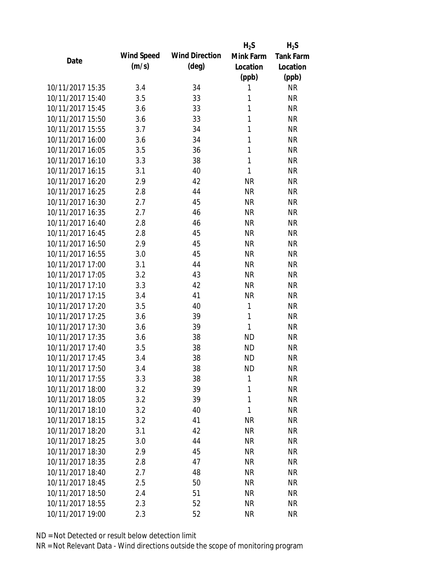|                  |            |                       | $H_2S$    | $H_2S$           |
|------------------|------------|-----------------------|-----------|------------------|
| Date             | Wind Speed | <b>Wind Direction</b> | Mink Farm | <b>Tank Farm</b> |
|                  | (m/s)      | $(\text{deg})$        | Location  | Location         |
|                  |            |                       | (ppb)     | (ppb)            |
| 10/11/2017 15:35 | 3.4        | 34                    | 1         | <b>NR</b>        |
| 10/11/2017 15:40 | 3.5        | 33                    | 1         | <b>NR</b>        |
| 10/11/2017 15:45 | 3.6        | 33                    | 1         | <b>NR</b>        |
| 10/11/2017 15:50 | 3.6        | 33                    | 1         | <b>NR</b>        |
| 10/11/2017 15:55 | 3.7        | 34                    | 1         | <b>NR</b>        |
| 10/11/2017 16:00 | 3.6        | 34                    | 1         | <b>NR</b>        |
| 10/11/2017 16:05 | 3.5        | 36                    | 1         | <b>NR</b>        |
| 10/11/2017 16:10 | 3.3        | 38                    | 1         | <b>NR</b>        |
| 10/11/2017 16:15 | 3.1        | 40                    | 1         | <b>NR</b>        |
| 10/11/2017 16:20 | 2.9        | 42                    | <b>NR</b> | <b>NR</b>        |
| 10/11/2017 16:25 | 2.8        | 44                    | <b>NR</b> | <b>NR</b>        |
| 10/11/2017 16:30 | 2.7        | 45                    | <b>NR</b> | <b>NR</b>        |
| 10/11/2017 16:35 | 2.7        | 46                    | <b>NR</b> | <b>NR</b>        |
| 10/11/2017 16:40 | 2.8        | 46                    | <b>NR</b> | <b>NR</b>        |
| 10/11/2017 16:45 | 2.8        | 45                    | <b>NR</b> | <b>NR</b>        |
| 10/11/2017 16:50 | 2.9        | 45                    | <b>NR</b> | <b>NR</b>        |
| 10/11/2017 16:55 | 3.0        | 45                    | <b>NR</b> | <b>NR</b>        |
| 10/11/2017 17:00 | 3.1        | 44                    | <b>NR</b> | <b>NR</b>        |
| 10/11/2017 17:05 | 3.2        | 43                    | <b>NR</b> | <b>NR</b>        |
| 10/11/2017 17:10 | 3.3        | 42                    | <b>NR</b> | <b>NR</b>        |
| 10/11/2017 17:15 | 3.4        | 41                    | <b>NR</b> | <b>NR</b>        |
| 10/11/2017 17:20 | 3.5        | 40                    | 1         | <b>NR</b>        |
| 10/11/2017 17:25 | 3.6        | 39                    | 1         | <b>NR</b>        |
| 10/11/2017 17:30 | 3.6        | 39                    | 1         | <b>NR</b>        |
| 10/11/2017 17:35 | 3.6        | 38                    | <b>ND</b> | <b>NR</b>        |
| 10/11/2017 17:40 | 3.5        | 38                    | <b>ND</b> | <b>NR</b>        |
| 10/11/2017 17:45 | 3.4        | 38                    | <b>ND</b> | <b>NR</b>        |
| 10/11/2017 17:50 | 3.4        | 38                    | <b>ND</b> | NR               |
| 10/11/2017 17:55 | 3.3        | 38                    | 1         | <b>NR</b>        |
| 10/11/2017 18:00 | 3.2        | 39                    | 1         | <b>NR</b>        |
| 10/11/2017 18:05 | 3.2        | 39                    | 1         | <b>NR</b>        |
| 10/11/2017 18:10 |            |                       | 1         |                  |
| 10/11/2017 18:15 | 3.2        | 40                    |           | <b>NR</b>        |
|                  | 3.2        | 41                    | <b>NR</b> | <b>NR</b>        |
| 10/11/2017 18:20 | 3.1        | 42                    | <b>NR</b> | <b>NR</b>        |
| 10/11/2017 18:25 | 3.0        | 44                    | <b>NR</b> | <b>NR</b>        |
| 10/11/2017 18:30 | 2.9        | 45                    | <b>NR</b> | <b>NR</b>        |
| 10/11/2017 18:35 | 2.8        | 47                    | <b>NR</b> | <b>NR</b>        |
| 10/11/2017 18:40 | 2.7        | 48                    | <b>NR</b> | <b>NR</b>        |
| 10/11/2017 18:45 | 2.5        | 50                    | <b>NR</b> | <b>NR</b>        |
| 10/11/2017 18:50 | 2.4        | 51                    | NR        | <b>NR</b>        |
| 10/11/2017 18:55 | 2.3        | 52                    | <b>NR</b> | <b>NR</b>        |
| 10/11/2017 19:00 | 2.3        | 52                    | <b>NR</b> | <b>NR</b>        |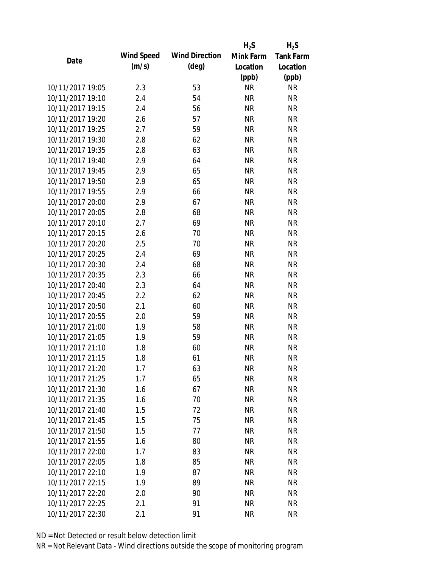|                  |            |                       | $H_2S$    | $H_2S$           |
|------------------|------------|-----------------------|-----------|------------------|
| Date             | Wind Speed | <b>Wind Direction</b> | Mink Farm | <b>Tank Farm</b> |
|                  | (m/s)      | $(\text{deg})$        | Location  | Location         |
|                  |            |                       | (ppb)     | (ppb)            |
| 10/11/2017 19:05 | 2.3        | 53                    | <b>NR</b> | <b>NR</b>        |
| 10/11/2017 19:10 | 2.4        | 54                    | <b>NR</b> | <b>NR</b>        |
| 10/11/2017 19:15 | 2.4        | 56                    | <b>NR</b> | <b>NR</b>        |
| 10/11/2017 19:20 | 2.6        | 57                    | <b>NR</b> | <b>NR</b>        |
| 10/11/2017 19:25 | 2.7        | 59                    | <b>NR</b> | <b>NR</b>        |
| 10/11/2017 19:30 | 2.8        | 62                    | <b>NR</b> | <b>NR</b>        |
| 10/11/2017 19:35 | 2.8        | 63                    | <b>NR</b> | <b>NR</b>        |
| 10/11/2017 19:40 | 2.9        | 64                    | <b>NR</b> | <b>NR</b>        |
| 10/11/2017 19:45 | 2.9        | 65                    | <b>NR</b> | <b>NR</b>        |
| 10/11/2017 19:50 | 2.9        | 65                    | <b>NR</b> | <b>NR</b>        |
| 10/11/2017 19:55 | 2.9        | 66                    | <b>NR</b> | <b>NR</b>        |
| 10/11/2017 20:00 | 2.9        | 67                    | <b>NR</b> | <b>NR</b>        |
| 10/11/2017 20:05 | 2.8        | 68                    | <b>NR</b> | <b>NR</b>        |
| 10/11/2017 20:10 | 2.7        | 69                    | <b>NR</b> | <b>NR</b>        |
| 10/11/2017 20:15 | 2.6        | 70                    | <b>NR</b> | <b>NR</b>        |
| 10/11/2017 20:20 | 2.5        | 70                    | <b>NR</b> | <b>NR</b>        |
| 10/11/2017 20:25 | 2.4        | 69                    | <b>NR</b> | <b>NR</b>        |
| 10/11/2017 20:30 | 2.4        | 68                    | <b>NR</b> | <b>NR</b>        |
| 10/11/2017 20:35 | 2.3        | 66                    | <b>NR</b> | <b>NR</b>        |
| 10/11/2017 20:40 | 2.3        | 64                    | <b>NR</b> | <b>NR</b>        |
| 10/11/2017 20:45 | 2.2        | 62                    | <b>NR</b> | <b>NR</b>        |
| 10/11/2017 20:50 | 2.1        | 60                    | <b>NR</b> | <b>NR</b>        |
| 10/11/2017 20:55 | 2.0        | 59                    | <b>NR</b> | <b>NR</b>        |
| 10/11/2017 21:00 | 1.9        | 58                    | <b>NR</b> | <b>NR</b>        |
| 10/11/2017 21:05 | 1.9        | 59                    | <b>NR</b> | <b>NR</b>        |
| 10/11/2017 21:10 | 1.8        | 60                    | <b>NR</b> | <b>NR</b>        |
| 10/11/2017 21:15 | 1.8        | 61                    | <b>NR</b> | <b>NR</b>        |
| 10/11/2017 21:20 | 1.7        | 63                    | NR        | <b>NR</b>        |
| 10/11/2017 21:25 | 1.7        | 65                    | <b>NR</b> | <b>NR</b>        |
| 10/11/2017 21:30 | 1.6        | 67                    | <b>NR</b> | <b>NR</b>        |
| 10/11/2017 21:35 | 1.6        | 70                    | <b>NR</b> | <b>NR</b>        |
| 10/11/2017 21:40 | 1.5        | 72                    | <b>NR</b> | <b>NR</b>        |
| 10/11/2017 21:45 | 1.5        | 75                    | <b>NR</b> | <b>NR</b>        |
| 10/11/2017 21:50 | 1.5        | 77                    | <b>NR</b> | <b>NR</b>        |
| 10/11/2017 21:55 | 1.6        | 80                    | <b>NR</b> | <b>NR</b>        |
| 10/11/2017 22:00 | 1.7        | 83                    | <b>NR</b> | <b>NR</b>        |
| 10/11/2017 22:05 | 1.8        | 85                    | NR        | <b>NR</b>        |
| 10/11/2017 22:10 | 1.9        | 87                    | NR        | <b>NR</b>        |
| 10/11/2017 22:15 | 1.9        | 89                    | <b>NR</b> | <b>NR</b>        |
| 10/11/2017 22:20 | 2.0        | 90                    | <b>NR</b> | <b>NR</b>        |
| 10/11/2017 22:25 | 2.1        | 91                    | <b>NR</b> | <b>NR</b>        |
| 10/11/2017 22:30 | 2.1        | 91                    | <b>NR</b> | <b>NR</b>        |
|                  |            |                       |           |                  |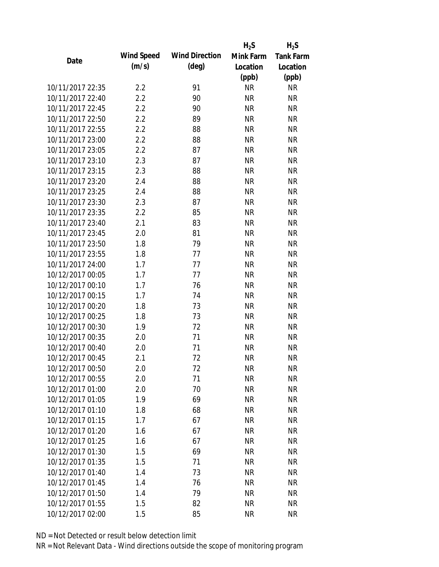|                  |            |                       | $H_2S$    | $H_2S$           |
|------------------|------------|-----------------------|-----------|------------------|
| Date             | Wind Speed | <b>Wind Direction</b> | Mink Farm | <b>Tank Farm</b> |
|                  | (m/s)      | $(\text{deg})$        | Location  | Location         |
|                  |            |                       | (ppb)     | (ppb)            |
| 10/11/2017 22:35 | 2.2        | 91                    | <b>NR</b> | <b>NR</b>        |
| 10/11/2017 22:40 | 2.2        | 90                    | <b>NR</b> | <b>NR</b>        |
| 10/11/2017 22:45 | 2.2        | 90                    | <b>NR</b> | <b>NR</b>        |
| 10/11/2017 22:50 | 2.2        | 89                    | <b>NR</b> | <b>NR</b>        |
| 10/11/2017 22:55 | 2.2        | 88                    | <b>NR</b> | <b>NR</b>        |
| 10/11/2017 23:00 | 2.2        | 88                    | <b>NR</b> | <b>NR</b>        |
| 10/11/2017 23:05 | 2.2        | 87                    | <b>NR</b> | <b>NR</b>        |
| 10/11/2017 23:10 | 2.3        | 87                    | <b>NR</b> | <b>NR</b>        |
| 10/11/2017 23:15 | 2.3        | 88                    | <b>NR</b> | <b>NR</b>        |
| 10/11/2017 23:20 | 2.4        | 88                    | <b>NR</b> | <b>NR</b>        |
| 10/11/2017 23:25 | 2.4        | 88                    | <b>NR</b> | <b>NR</b>        |
| 10/11/2017 23:30 | 2.3        | 87                    | <b>NR</b> | <b>NR</b>        |
| 10/11/2017 23:35 | 2.2        | 85                    | <b>NR</b> | <b>NR</b>        |
| 10/11/2017 23:40 | 2.1        | 83                    | <b>NR</b> | <b>NR</b>        |
| 10/11/2017 23:45 | 2.0        | 81                    | <b>NR</b> | <b>NR</b>        |
| 10/11/2017 23:50 | 1.8        | 79                    | <b>NR</b> | <b>NR</b>        |
| 10/11/2017 23:55 | 1.8        | 77                    | <b>NR</b> | <b>NR</b>        |
| 10/11/2017 24:00 | 1.7        | 77                    | <b>NR</b> | <b>NR</b>        |
| 10/12/2017 00:05 | 1.7        | 77                    | <b>NR</b> | <b>NR</b>        |
| 10/12/2017 00:10 | 1.7        | 76                    | <b>NR</b> | <b>NR</b>        |
| 10/12/2017 00:15 | 1.7        | 74                    | <b>NR</b> | <b>NR</b>        |
| 10/12/2017 00:20 | 1.8        | 73                    | <b>NR</b> | <b>NR</b>        |
| 10/12/2017 00:25 | 1.8        | 73                    | <b>NR</b> | <b>NR</b>        |
| 10/12/2017 00:30 | 1.9        | 72                    | <b>NR</b> | <b>NR</b>        |
| 10/12/2017 00:35 | 2.0        | 71                    | <b>NR</b> | <b>NR</b>        |
| 10/12/2017 00:40 | 2.0        | 71                    | <b>NR</b> | <b>NR</b>        |
| 10/12/2017 00:45 | 2.1        | 72                    | <b>NR</b> | <b>NR</b>        |
| 10/12/2017 00:50 | 2.0        | 72                    | NR        | <b>NR</b>        |
| 10/12/2017 00:55 | 2.0        | 71                    | <b>NR</b> | <b>NR</b>        |
| 10/12/2017 01:00 | 2.0        | 70                    | <b>NR</b> | <b>NR</b>        |
| 10/12/2017 01:05 | 1.9        | 69                    | <b>NR</b> | <b>NR</b>        |
| 10/12/2017 01:10 | 1.8        | 68                    | <b>NR</b> | <b>NR</b>        |
| 10/12/2017 01:15 | 1.7        | 67                    | <b>NR</b> | <b>NR</b>        |
| 10/12/2017 01:20 | 1.6        | 67                    | <b>NR</b> | <b>NR</b>        |
| 10/12/2017 01:25 | 1.6        | 67                    | <b>NR</b> | <b>NR</b>        |
| 10/12/2017 01:30 | 1.5        | 69                    | <b>NR</b> | <b>NR</b>        |
| 10/12/2017 01:35 | 1.5        | 71                    | <b>NR</b> | <b>NR</b>        |
| 10/12/2017 01:40 | 1.4        | 73                    | NR        | <b>NR</b>        |
| 10/12/2017 01:45 | 1.4        | 76                    | <b>NR</b> | <b>NR</b>        |
| 10/12/2017 01:50 | 1.4        | 79                    | <b>NR</b> | <b>NR</b>        |
| 10/12/2017 01:55 | 1.5        | 82                    | <b>NR</b> | <b>NR</b>        |
| 10/12/2017 02:00 | 1.5        | 85                    | <b>NR</b> | <b>NR</b>        |
|                  |            |                       |           |                  |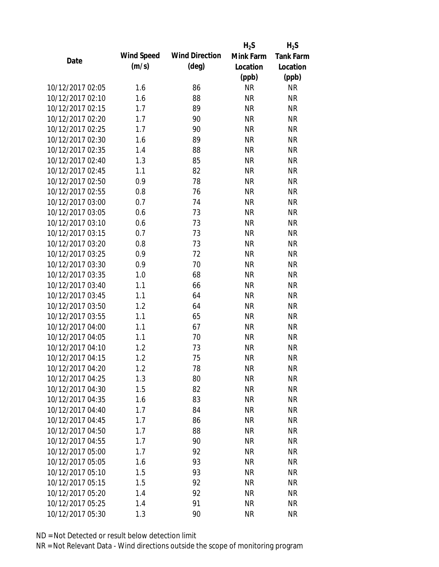|                  |            |                       | $H_2S$    | $H_2S$           |
|------------------|------------|-----------------------|-----------|------------------|
| Date             | Wind Speed | <b>Wind Direction</b> | Mink Farm | <b>Tank Farm</b> |
|                  | (m/s)      | $(\text{deg})$        | Location  | Location         |
|                  |            |                       | (ppb)     | (ppb)            |
| 10/12/2017 02:05 | 1.6        | 86                    | <b>NR</b> | <b>NR</b>        |
| 10/12/2017 02:10 | 1.6        | 88                    | <b>NR</b> | <b>NR</b>        |
| 10/12/2017 02:15 | 1.7        | 89                    | <b>NR</b> | <b>NR</b>        |
| 10/12/2017 02:20 | 1.7        | 90                    | <b>NR</b> | <b>NR</b>        |
| 10/12/2017 02:25 | 1.7        | 90                    | <b>NR</b> | <b>NR</b>        |
| 10/12/2017 02:30 | 1.6        | 89                    | <b>NR</b> | <b>NR</b>        |
| 10/12/2017 02:35 | 1.4        | 88                    | <b>NR</b> | <b>NR</b>        |
| 10/12/2017 02:40 | 1.3        | 85                    | <b>NR</b> | <b>NR</b>        |
| 10/12/2017 02:45 | 1.1        | 82                    | <b>NR</b> | <b>NR</b>        |
| 10/12/2017 02:50 | 0.9        | 78                    | <b>NR</b> | <b>NR</b>        |
| 10/12/2017 02:55 | 0.8        | 76                    | <b>NR</b> | <b>NR</b>        |
| 10/12/2017 03:00 | 0.7        | 74                    | <b>NR</b> | <b>NR</b>        |
| 10/12/2017 03:05 | 0.6        | 73                    | <b>NR</b> | <b>NR</b>        |
| 10/12/2017 03:10 | 0.6        | 73                    | <b>NR</b> | <b>NR</b>        |
| 10/12/2017 03:15 | 0.7        | 73                    | <b>NR</b> | <b>NR</b>        |
| 10/12/2017 03:20 | 0.8        | 73                    | <b>NR</b> | <b>NR</b>        |
| 10/12/2017 03:25 | 0.9        | 72                    | <b>NR</b> | <b>NR</b>        |
| 10/12/2017 03:30 | 0.9        | 70                    | <b>NR</b> | <b>NR</b>        |
| 10/12/2017 03:35 | 1.0        | 68                    | <b>NR</b> | <b>NR</b>        |
| 10/12/2017 03:40 | 1.1        | 66                    | <b>NR</b> | <b>NR</b>        |
| 10/12/2017 03:45 | 1.1        | 64                    | <b>NR</b> | <b>NR</b>        |
| 10/12/2017 03:50 | 1.2        | 64                    | <b>NR</b> | <b>NR</b>        |
| 10/12/2017 03:55 | 1.1        | 65                    | <b>NR</b> | <b>NR</b>        |
| 10/12/2017 04:00 | 1.1        | 67                    | <b>NR</b> | <b>NR</b>        |
| 10/12/2017 04:05 | 1.1        | 70                    | <b>NR</b> | <b>NR</b>        |
| 10/12/2017 04:10 | 1.2        | 73                    | <b>NR</b> | <b>NR</b>        |
| 10/12/2017 04:15 | 1.2        | 75                    | <b>NR</b> | <b>NR</b>        |
| 10/12/2017 04:20 | 1.2        | 78                    | NR        | <b>NR</b>        |
| 10/12/2017 04:25 | 1.3        | 80                    | <b>NR</b> | <b>NR</b>        |
| 10/12/2017 04:30 | 1.5        | 82                    | <b>NR</b> | <b>NR</b>        |
| 10/12/2017 04:35 | 1.6        | 83                    | <b>NR</b> | <b>NR</b>        |
| 10/12/2017 04:40 | 1.7        | 84                    | <b>NR</b> | <b>NR</b>        |
| 10/12/2017 04:45 | 1.7        | 86                    | <b>NR</b> | <b>NR</b>        |
| 10/12/2017 04:50 | 1.7        | 88                    | <b>NR</b> | <b>NR</b>        |
| 10/12/2017 04:55 | 1.7        |                       |           |                  |
| 10/12/2017 05:00 |            | 90<br>92              | <b>NR</b> | <b>NR</b>        |
|                  | 1.7        |                       | <b>NR</b> | <b>NR</b>        |
| 10/12/2017 05:05 | 1.6        | 93                    | <b>NR</b> | <b>NR</b>        |
| 10/12/2017 05:10 | 1.5        | 93                    | <b>NR</b> | <b>NR</b>        |
| 10/12/2017 05:15 | 1.5        | 92                    | <b>NR</b> | <b>NR</b>        |
| 10/12/2017 05:20 | 1.4        | 92                    | <b>NR</b> | <b>NR</b>        |
| 10/12/2017 05:25 | 1.4        | 91                    | <b>NR</b> | <b>NR</b>        |
| 10/12/2017 05:30 | 1.3        | 90                    | <b>NR</b> | <b>NR</b>        |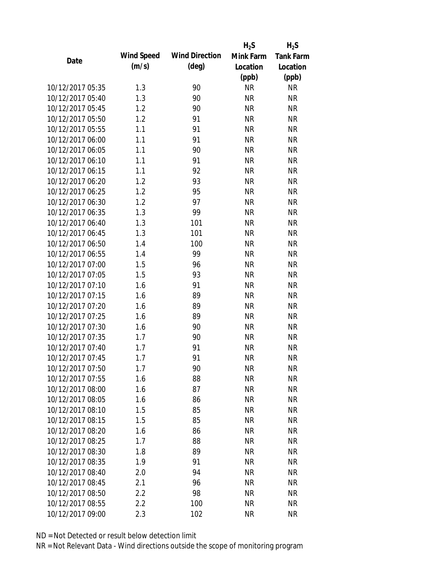|                  |            |                       | $H_2S$    | $H_2S$           |
|------------------|------------|-----------------------|-----------|------------------|
| Date             | Wind Speed | <b>Wind Direction</b> | Mink Farm | <b>Tank Farm</b> |
|                  | (m/s)      | $(\text{deg})$        | Location  | Location         |
|                  |            |                       | (ppb)     | (ppb)            |
| 10/12/2017 05:35 | 1.3        | 90                    | <b>NR</b> | <b>NR</b>        |
| 10/12/2017 05:40 | 1.3        | 90                    | <b>NR</b> | <b>NR</b>        |
| 10/12/2017 05:45 | 1.2        | 90                    | <b>NR</b> | <b>NR</b>        |
| 10/12/2017 05:50 | 1.2        | 91                    | <b>NR</b> | <b>NR</b>        |
| 10/12/2017 05:55 | 1.1        | 91                    | <b>NR</b> | <b>NR</b>        |
| 10/12/2017 06:00 | 1.1        | 91                    | <b>NR</b> | <b>NR</b>        |
| 10/12/2017 06:05 | 1.1        | 90                    | <b>NR</b> | <b>NR</b>        |
| 10/12/2017 06:10 | 1.1        | 91                    | <b>NR</b> | <b>NR</b>        |
| 10/12/2017 06:15 | 1.1        | 92                    | <b>NR</b> | <b>NR</b>        |
| 10/12/2017 06:20 | 1.2        | 93                    | <b>NR</b> | <b>NR</b>        |
| 10/12/2017 06:25 | 1.2        | 95                    | <b>NR</b> | <b>NR</b>        |
| 10/12/2017 06:30 | 1.2        | 97                    | <b>NR</b> | <b>NR</b>        |
| 10/12/2017 06:35 | 1.3        | 99                    | <b>NR</b> | <b>NR</b>        |
| 10/12/2017 06:40 | 1.3        | 101                   | <b>NR</b> | <b>NR</b>        |
| 10/12/2017 06:45 | 1.3        | 101                   | <b>NR</b> | <b>NR</b>        |
| 10/12/2017 06:50 | 1.4        | 100                   | <b>NR</b> | <b>NR</b>        |
| 10/12/2017 06:55 | 1.4        | 99                    | <b>NR</b> | <b>NR</b>        |
| 10/12/2017 07:00 | 1.5        | 96                    | <b>NR</b> | <b>NR</b>        |
| 10/12/2017 07:05 | 1.5        | 93                    | <b>NR</b> | <b>NR</b>        |
| 10/12/2017 07:10 | 1.6        | 91                    | <b>NR</b> | <b>NR</b>        |
| 10/12/2017 07:15 | 1.6        | 89                    | <b>NR</b> | <b>NR</b>        |
| 10/12/2017 07:20 | 1.6        | 89                    | <b>NR</b> | <b>NR</b>        |
| 10/12/2017 07:25 | 1.6        | 89                    | <b>NR</b> | <b>NR</b>        |
| 10/12/2017 07:30 | 1.6        | 90                    | <b>NR</b> | <b>NR</b>        |
| 10/12/2017 07:35 | 1.7        | 90                    | <b>NR</b> | <b>NR</b>        |
| 10/12/2017 07:40 | 1.7        | 91                    | <b>NR</b> | <b>NR</b>        |
| 10/12/2017 07:45 | 1.7        | 91                    | <b>NR</b> | <b>NR</b>        |
| 10/12/2017 07:50 | 1.7        | 90                    | NR        | NR               |
| 10/12/2017 07:55 | 1.6        | 88                    | <b>NR</b> | <b>NR</b>        |
| 10/12/2017 08:00 | 1.6        | 87                    | <b>NR</b> | <b>NR</b>        |
| 10/12/2017 08:05 | 1.6        | 86                    | <b>NR</b> | <b>NR</b>        |
| 10/12/2017 08:10 | 1.5        | 85                    | <b>NR</b> | <b>NR</b>        |
| 10/12/2017 08:15 | 1.5        | 85                    | <b>NR</b> | <b>NR</b>        |
| 10/12/2017 08:20 | 1.6        | 86                    | <b>NR</b> | <b>NR</b>        |
| 10/12/2017 08:25 | 1.7        | 88                    | <b>NR</b> | <b>NR</b>        |
| 10/12/2017 08:30 | 1.8        | 89                    | <b>NR</b> | <b>NR</b>        |
|                  |            |                       |           |                  |
| 10/12/2017 08:35 | 1.9        | 91<br>94              | <b>NR</b> | <b>NR</b>        |
| 10/12/2017 08:40 | 2.0        |                       | <b>NR</b> | <b>NR</b>        |
| 10/12/2017 08:45 | 2.1        | 96                    | <b>NR</b> | <b>NR</b>        |
| 10/12/2017 08:50 | 2.2        | 98                    | <b>NR</b> | <b>NR</b>        |
| 10/12/2017 08:55 | 2.2        | 100                   | <b>NR</b> | <b>NR</b>        |
| 10/12/2017 09:00 | 2.3        | 102                   | <b>NR</b> | <b>NR</b>        |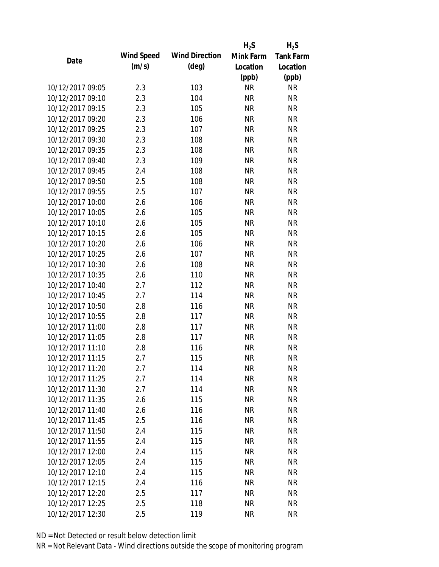|                  |            |                       | $H_2S$    | $H_2S$           |
|------------------|------------|-----------------------|-----------|------------------|
| Date             | Wind Speed | <b>Wind Direction</b> | Mink Farm | <b>Tank Farm</b> |
|                  | (m/s)      | $(\text{deg})$        | Location  | Location         |
|                  |            |                       | (ppb)     | (ppb)            |
| 10/12/2017 09:05 | 2.3        | 103                   | <b>NR</b> | <b>NR</b>        |
| 10/12/2017 09:10 | 2.3        | 104                   | <b>NR</b> | <b>NR</b>        |
| 10/12/2017 09:15 | 2.3        | 105                   | <b>NR</b> | <b>NR</b>        |
| 10/12/2017 09:20 | 2.3        | 106                   | <b>NR</b> | <b>NR</b>        |
| 10/12/2017 09:25 | 2.3        | 107                   | <b>NR</b> | <b>NR</b>        |
| 10/12/2017 09:30 | 2.3        | 108                   | <b>NR</b> | <b>NR</b>        |
| 10/12/2017 09:35 | 2.3        | 108                   | <b>NR</b> | <b>NR</b>        |
| 10/12/2017 09:40 | 2.3        | 109                   | <b>NR</b> | <b>NR</b>        |
| 10/12/2017 09:45 | 2.4        | 108                   | <b>NR</b> | <b>NR</b>        |
| 10/12/2017 09:50 | 2.5        | 108                   | <b>NR</b> | <b>NR</b>        |
| 10/12/2017 09:55 | 2.5        | 107                   | <b>NR</b> | <b>NR</b>        |
| 10/12/2017 10:00 | 2.6        | 106                   | <b>NR</b> | <b>NR</b>        |
| 10/12/2017 10:05 | 2.6        | 105                   | <b>NR</b> | <b>NR</b>        |
| 10/12/2017 10:10 | 2.6        | 105                   | <b>NR</b> | <b>NR</b>        |
| 10/12/2017 10:15 | 2.6        | 105                   | <b>NR</b> | <b>NR</b>        |
| 10/12/2017 10:20 | 2.6        | 106                   | <b>NR</b> | <b>NR</b>        |
| 10/12/2017 10:25 | 2.6        | 107                   | <b>NR</b> | <b>NR</b>        |
| 10/12/2017 10:30 | 2.6        | 108                   | <b>NR</b> | <b>NR</b>        |
| 10/12/2017 10:35 | 2.6        | 110                   | <b>NR</b> | <b>NR</b>        |
| 10/12/2017 10:40 | 2.7        | 112                   | <b>NR</b> | <b>NR</b>        |
| 10/12/2017 10:45 | 2.7        | 114                   | <b>NR</b> | <b>NR</b>        |
| 10/12/2017 10:50 | 2.8        | 116                   | <b>NR</b> | <b>NR</b>        |
| 10/12/2017 10:55 | 2.8        | 117                   | <b>NR</b> | <b>NR</b>        |
| 10/12/2017 11:00 | 2.8        | 117                   | <b>NR</b> | <b>NR</b>        |
| 10/12/2017 11:05 | 2.8        | 117                   | <b>NR</b> | <b>NR</b>        |
| 10/12/2017 11:10 | 2.8        | 116                   | <b>NR</b> | <b>NR</b>        |
| 10/12/2017 11:15 | 2.7        | 115                   | <b>NR</b> | <b>NR</b>        |
| 10/12/2017 11:20 | 2.7        | 114                   | <b>NR</b> | NR               |
| 10/12/2017 11:25 | 2.7        | 114                   | <b>NR</b> | <b>NR</b>        |
| 10/12/2017 11:30 | 2.7        | 114                   | <b>NR</b> | <b>NR</b>        |
| 10/12/2017 11:35 | 2.6        | 115                   | <b>NR</b> | <b>NR</b>        |
| 10/12/2017 11:40 | 2.6        | 116                   | <b>NR</b> | <b>NR</b>        |
| 10/12/2017 11:45 | 2.5        | 116                   | <b>NR</b> | <b>NR</b>        |
| 10/12/2017 11:50 | 2.4        | 115                   | <b>NR</b> | <b>NR</b>        |
| 10/12/2017 11:55 | 2.4        | 115                   | <b>NR</b> | <b>NR</b>        |
| 10/12/2017 12:00 | 2.4        | 115                   | <b>NR</b> | <b>NR</b>        |
| 10/12/2017 12:05 | 2.4        | 115                   | NR        | <b>NR</b>        |
| 10/12/2017 12:10 | 2.4        | 115                   | NR        | <b>NR</b>        |
| 10/12/2017 12:15 | 2.4        | 116                   | <b>NR</b> | <b>NR</b>        |
| 10/12/2017 12:20 | 2.5        | 117                   | <b>NR</b> | <b>NR</b>        |
| 10/12/2017 12:25 | 2.5        | 118                   | <b>NR</b> | <b>NR</b>        |
| 10/12/2017 12:30 | 2.5        | 119                   | <b>NR</b> | <b>NR</b>        |
|                  |            |                       |           |                  |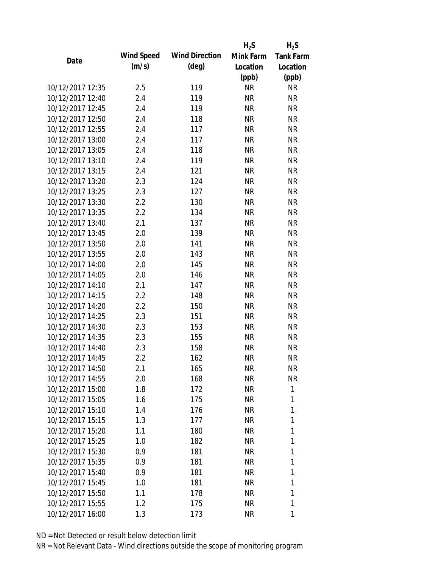|                  |                   |                       | $H_2S$    | $H_2S$           |
|------------------|-------------------|-----------------------|-----------|------------------|
| Date             | <b>Wind Speed</b> | <b>Wind Direction</b> | Mink Farm | <b>Tank Farm</b> |
|                  | (m/s)             | $(\text{deg})$        | Location  | Location         |
|                  |                   |                       | (ppb)     | (ppb)            |
| 10/12/2017 12:35 | 2.5               | 119                   | <b>NR</b> | <b>NR</b>        |
| 10/12/2017 12:40 | 2.4               | 119                   | <b>NR</b> | <b>NR</b>        |
| 10/12/2017 12:45 | 2.4               | 119                   | <b>NR</b> | <b>NR</b>        |
| 10/12/2017 12:50 | 2.4               | 118                   | <b>NR</b> | <b>NR</b>        |
| 10/12/2017 12:55 | 2.4               | 117                   | <b>NR</b> | <b>NR</b>        |
| 10/12/2017 13:00 | 2.4               | 117                   | <b>NR</b> | <b>NR</b>        |
| 10/12/2017 13:05 | 2.4               | 118                   | <b>NR</b> | <b>NR</b>        |
| 10/12/2017 13:10 | 2.4               | 119                   | <b>NR</b> | <b>NR</b>        |
| 10/12/2017 13:15 | 2.4               | 121                   | <b>NR</b> | <b>NR</b>        |
| 10/12/2017 13:20 | 2.3               | 124                   | <b>NR</b> | <b>NR</b>        |
| 10/12/2017 13:25 | 2.3               | 127                   | <b>NR</b> | <b>NR</b>        |
| 10/12/2017 13:30 | 2.2               | 130                   | <b>NR</b> | <b>NR</b>        |
| 10/12/2017 13:35 | 2.2               | 134                   | <b>NR</b> | <b>NR</b>        |
| 10/12/2017 13:40 | 2.1               | 137                   | <b>NR</b> | <b>NR</b>        |
| 10/12/2017 13:45 | 2.0               | 139                   | <b>NR</b> | <b>NR</b>        |
| 10/12/2017 13:50 | 2.0               | 141                   | <b>NR</b> | <b>NR</b>        |
| 10/12/2017 13:55 | 2.0               | 143                   | <b>NR</b> | <b>NR</b>        |
| 10/12/2017 14:00 | 2.0               | 145                   | <b>NR</b> | <b>NR</b>        |
| 10/12/2017 14:05 | 2.0               | 146                   | <b>NR</b> | <b>NR</b>        |
| 10/12/2017 14:10 | 2.1               | 147                   | <b>NR</b> | <b>NR</b>        |
| 10/12/2017 14:15 | 2.2               | 148                   | <b>NR</b> | <b>NR</b>        |
| 10/12/2017 14:20 | 2.2               | 150                   | <b>NR</b> | <b>NR</b>        |
| 10/12/2017 14:25 | 2.3               | 151                   | <b>NR</b> | <b>NR</b>        |
| 10/12/2017 14:30 | 2.3               | 153                   | <b>NR</b> | <b>NR</b>        |
| 10/12/2017 14:35 | 2.3               | 155                   | <b>NR</b> | <b>NR</b>        |
| 10/12/2017 14:40 | 2.3               | 158                   | <b>NR</b> | <b>NR</b>        |
| 10/12/2017 14:45 | 2.2               | 162                   | <b>NR</b> | <b>NR</b>        |
| 10/12/2017 14:50 | 2.1               | 165                   | NR        | <b>NR</b>        |
| 10/12/2017 14:55 | 2.0               | 168                   | <b>NR</b> | <b>NR</b>        |
| 10/12/2017 15:00 | 1.8               | 172                   | <b>NR</b> | 1                |
| 10/12/2017 15:05 | 1.6               | 175                   | <b>NR</b> | 1                |
| 10/12/2017 15:10 | 1.4               | 176                   | NR        | 1                |
| 10/12/2017 15:15 | 1.3               | 177                   | NR        | 1                |
| 10/12/2017 15:20 | 1.1               | 180                   | <b>NR</b> | 1                |
| 10/12/2017 15:25 | 1.0               | 182                   | NR        | 1                |
| 10/12/2017 15:30 | 0.9               | 181                   | <b>NR</b> | 1                |
| 10/12/2017 15:35 | 0.9               | 181                   | NR        | 1                |
| 10/12/2017 15:40 | 0.9               | 181                   | NR        | 1                |
| 10/12/2017 15:45 | 1.0               | 181                   | NR        | 1                |
| 10/12/2017 15:50 | 1.1               | 178                   | NR        | 1                |
| 10/12/2017 15:55 | 1.2               | 175                   | <b>NR</b> | 1                |
| 10/12/2017 16:00 | 1.3               | 173                   | <b>NR</b> | 1                |
|                  |                   |                       |           |                  |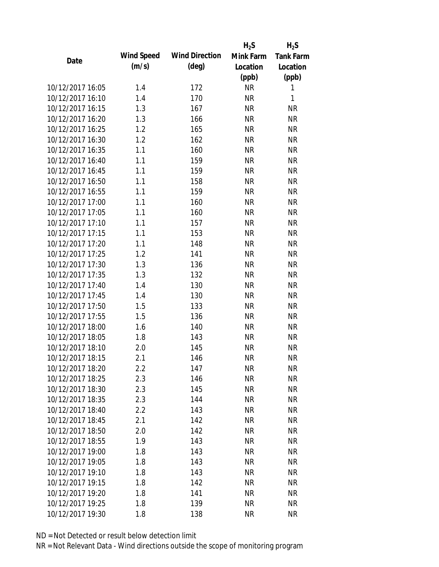|                                      |            |                       | $H_2S$                 | $H_2S$                 |
|--------------------------------------|------------|-----------------------|------------------------|------------------------|
| Date                                 | Wind Speed | <b>Wind Direction</b> | Mink Farm              | <b>Tank Farm</b>       |
|                                      | (m/s)      | $(\text{deg})$        | Location               | Location               |
|                                      |            |                       | (ppb)                  | (ppb)                  |
| 10/12/2017 16:05                     | 1.4        | 172                   | <b>NR</b>              | 1                      |
| 10/12/2017 16:10                     | 1.4        | 170                   | <b>NR</b>              | 1                      |
| 10/12/2017 16:15                     | 1.3        | 167                   | <b>NR</b>              | <b>NR</b>              |
| 10/12/2017 16:20                     | 1.3        | 166                   | <b>NR</b>              | <b>NR</b>              |
| 10/12/2017 16:25                     | 1.2        | 165                   | <b>NR</b>              | <b>NR</b>              |
| 10/12/2017 16:30                     | 1.2        | 162                   | <b>NR</b>              | <b>NR</b>              |
| 10/12/2017 16:35                     | 1.1        | 160                   | <b>NR</b>              | <b>NR</b>              |
| 10/12/2017 16:40                     | 1.1        | 159                   | <b>NR</b>              | <b>NR</b>              |
| 10/12/2017 16:45                     | 1.1        | 159                   | <b>NR</b>              | <b>NR</b>              |
| 10/12/2017 16:50                     | 1.1        | 158                   | <b>NR</b>              | <b>NR</b>              |
| 10/12/2017 16:55                     | 1.1        | 159                   | <b>NR</b>              | <b>NR</b>              |
| 10/12/2017 17:00                     | 1.1        | 160                   | <b>NR</b>              | <b>NR</b>              |
| 10/12/2017 17:05                     | 1.1        | 160                   | <b>NR</b>              | <b>NR</b>              |
| 10/12/2017 17:10                     | 1.1        | 157                   | <b>NR</b>              | <b>NR</b>              |
| 10/12/2017 17:15                     | 1.1        | 153                   | <b>NR</b>              | <b>NR</b>              |
| 10/12/2017 17:20                     | 1.1        | 148                   | <b>NR</b>              | <b>NR</b>              |
| 10/12/2017 17:25                     | 1.2        | 141                   | <b>NR</b>              | <b>NR</b>              |
| 10/12/2017 17:30                     | 1.3        | 136                   | <b>NR</b>              | <b>NR</b>              |
| 10/12/2017 17:35                     | 1.3        | 132                   | <b>NR</b>              | <b>NR</b>              |
| 10/12/2017 17:40                     | 1.4        | 130                   | <b>NR</b>              | <b>NR</b>              |
| 10/12/2017 17:45                     | 1.4        | 130                   | <b>NR</b>              | <b>NR</b>              |
| 10/12/2017 17:50                     | 1.5        | 133                   | <b>NR</b>              | <b>NR</b>              |
| 10/12/2017 17:55                     | 1.5        | 136                   | <b>NR</b>              | <b>NR</b>              |
| 10/12/2017 18:00                     | 1.6        | 140                   | <b>NR</b>              | <b>NR</b>              |
| 10/12/2017 18:05                     | 1.8        | 143                   | <b>NR</b>              | <b>NR</b>              |
| 10/12/2017 18:10                     | 2.0        | 145                   | <b>NR</b>              | <b>NR</b>              |
| 10/12/2017 18:15                     | 2.1        | 146                   | <b>NR</b>              | <b>NR</b>              |
| 10/12/2017 18:20                     | 2.2        | 147                   | <b>NR</b>              | NR                     |
| 10/12/2017 18:25                     | 2.3        | 146                   | <b>NR</b>              | <b>NR</b>              |
| 10/12/2017 18:30                     | 2.3        | 145                   | <b>NR</b>              | <b>NR</b>              |
| 10/12/2017 18:35                     | 2.3        | 144                   | <b>NR</b>              | <b>NR</b>              |
| 10/12/2017 18:40                     | 2.2        | 143                   | <b>NR</b>              | <b>NR</b>              |
| 10/12/2017 18:45                     | 2.1        | 142                   | <b>NR</b>              | <b>NR</b>              |
| 10/12/2017 18:50                     | 2.0        | 142                   | <b>NR</b>              | <b>NR</b>              |
| 10/12/2017 18:55                     | 1.9        | 143                   | <b>NR</b>              | <b>NR</b>              |
|                                      |            |                       |                        |                        |
| 10/12/2017 19:00<br>10/12/2017 19:05 | 1.8<br>1.8 | 143                   | <b>NR</b><br><b>NR</b> | <b>NR</b><br><b>NR</b> |
|                                      |            | 143                   |                        |                        |
| 10/12/2017 19:10                     | 1.8        | 143                   | <b>NR</b>              | <b>NR</b>              |
| 10/12/2017 19:15                     | 1.8        | 142                   | <b>NR</b>              | <b>NR</b>              |
| 10/12/2017 19:20                     | 1.8        | 141                   | <b>NR</b>              | <b>NR</b>              |
| 10/12/2017 19:25                     | 1.8        | 139                   | <b>NR</b>              | <b>NR</b>              |
| 10/12/2017 19:30                     | 1.8        | 138                   | <b>NR</b>              | <b>NR</b>              |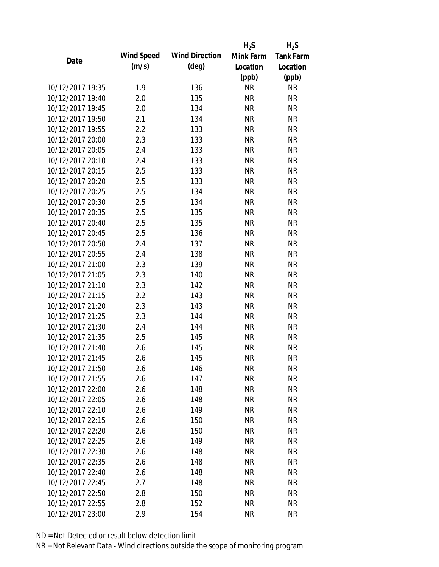|                  |            |                       | $H_2S$    | $H_2S$           |
|------------------|------------|-----------------------|-----------|------------------|
| Date             | Wind Speed | <b>Wind Direction</b> | Mink Farm | <b>Tank Farm</b> |
|                  | (m/s)      | $(\text{deg})$        | Location  | Location         |
|                  |            |                       | (ppb)     | (ppb)            |
| 10/12/2017 19:35 | 1.9        | 136                   | <b>NR</b> | <b>NR</b>        |
| 10/12/2017 19:40 | 2.0        | 135                   | <b>NR</b> | <b>NR</b>        |
| 10/12/2017 19:45 | 2.0        | 134                   | <b>NR</b> | <b>NR</b>        |
| 10/12/2017 19:50 | 2.1        | 134                   | <b>NR</b> | <b>NR</b>        |
| 10/12/2017 19:55 | 2.2        | 133                   | <b>NR</b> | <b>NR</b>        |
| 10/12/2017 20:00 | 2.3        | 133                   | <b>NR</b> | <b>NR</b>        |
| 10/12/2017 20:05 | 2.4        | 133                   | <b>NR</b> | <b>NR</b>        |
| 10/12/2017 20:10 | 2.4        | 133                   | <b>NR</b> | <b>NR</b>        |
| 10/12/2017 20:15 | 2.5        | 133                   | <b>NR</b> | <b>NR</b>        |
| 10/12/2017 20:20 | 2.5        | 133                   | <b>NR</b> | <b>NR</b>        |
| 10/12/2017 20:25 | 2.5        | 134                   | <b>NR</b> | <b>NR</b>        |
| 10/12/2017 20:30 | 2.5        | 134                   | <b>NR</b> | <b>NR</b>        |
| 10/12/2017 20:35 | 2.5        | 135                   | <b>NR</b> | <b>NR</b>        |
| 10/12/2017 20:40 | 2.5        | 135                   | <b>NR</b> | <b>NR</b>        |
| 10/12/2017 20:45 | 2.5        | 136                   | <b>NR</b> | <b>NR</b>        |
| 10/12/2017 20:50 | 2.4        | 137                   | <b>NR</b> | <b>NR</b>        |
| 10/12/2017 20:55 | 2.4        | 138                   | <b>NR</b> | <b>NR</b>        |
| 10/12/2017 21:00 | 2.3        | 139                   | <b>NR</b> | <b>NR</b>        |
| 10/12/2017 21:05 | 2.3        | 140                   | <b>NR</b> | <b>NR</b>        |
| 10/12/2017 21:10 | 2.3        | 142                   | <b>NR</b> | <b>NR</b>        |
| 10/12/2017 21:15 | 2.2        | 143                   | <b>NR</b> | <b>NR</b>        |
| 10/12/2017 21:20 | 2.3        | 143                   | <b>NR</b> | <b>NR</b>        |
| 10/12/2017 21:25 | 2.3        | 144                   | <b>NR</b> | <b>NR</b>        |
| 10/12/2017 21:30 | 2.4        | 144                   | <b>NR</b> | <b>NR</b>        |
| 10/12/2017 21:35 | 2.5        | 145                   | <b>NR</b> | <b>NR</b>        |
| 10/12/2017 21:40 | 2.6        | 145                   | <b>NR</b> | <b>NR</b>        |
| 10/12/2017 21:45 | 2.6        | 145                   | <b>NR</b> | <b>NR</b>        |
| 10/12/2017 21:50 | 2.6        | 146                   | NR        | <b>NR</b>        |
| 10/12/2017 21:55 | 2.6        | 147                   | <b>NR</b> | <b>NR</b>        |
| 10/12/2017 22:00 | 2.6        | 148                   | NR        | <b>NR</b>        |
| 10/12/2017 22:05 | 2.6        | 148                   | <b>NR</b> | <b>NR</b>        |
| 10/12/2017 22:10 | 2.6        | 149                   | <b>NR</b> | <b>NR</b>        |
| 10/12/2017 22:15 | 2.6        | 150                   | NR        | <b>NR</b>        |
| 10/12/2017 22:20 | 2.6        | 150                   | <b>NR</b> | <b>NR</b>        |
| 10/12/2017 22:25 |            |                       | <b>NR</b> | <b>NR</b>        |
|                  | 2.6        | 149                   |           |                  |
| 10/12/2017 22:30 | 2.6        | 148                   | <b>NR</b> | <b>NR</b>        |
| 10/12/2017 22:35 | 2.6        | 148                   | NR        | <b>NR</b>        |
| 10/12/2017 22:40 | 2.6        | 148                   | NR        | <b>NR</b>        |
| 10/12/2017 22:45 | 2.7        | 148                   | <b>NR</b> | NR               |
| 10/12/2017 22:50 | 2.8        | 150                   | <b>NR</b> | <b>NR</b>        |
| 10/12/2017 22:55 | 2.8        | 152                   | <b>NR</b> | <b>NR</b>        |
| 10/12/2017 23:00 | 2.9        | 154                   | <b>NR</b> | <b>NR</b>        |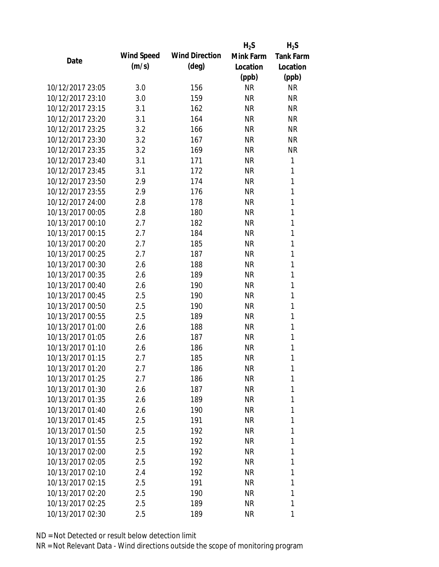|                  |            |                       | $H_2S$    | $H_2S$           |
|------------------|------------|-----------------------|-----------|------------------|
| Date             | Wind Speed | <b>Wind Direction</b> | Mink Farm | <b>Tank Farm</b> |
|                  | (m/s)      | $(\text{deg})$        | Location  | Location         |
|                  |            |                       | (ppb)     | (ppb)            |
| 10/12/2017 23:05 | 3.0        | 156                   | <b>NR</b> | <b>NR</b>        |
| 10/12/2017 23:10 | 3.0        | 159                   | <b>NR</b> | <b>NR</b>        |
| 10/12/2017 23:15 | 3.1        | 162                   | <b>NR</b> | <b>NR</b>        |
| 10/12/2017 23:20 | 3.1        | 164                   | <b>NR</b> | <b>NR</b>        |
| 10/12/2017 23:25 | 3.2        | 166                   | <b>NR</b> | <b>NR</b>        |
| 10/12/2017 23:30 | 3.2        | 167                   | <b>NR</b> | <b>NR</b>        |
| 10/12/2017 23:35 | 3.2        | 169                   | <b>NR</b> | <b>NR</b>        |
| 10/12/2017 23:40 | 3.1        | 171                   | <b>NR</b> | 1                |
| 10/12/2017 23:45 | 3.1        | 172                   | <b>NR</b> | 1                |
| 10/12/2017 23:50 | 2.9        | 174                   | <b>NR</b> | 1                |
| 10/12/2017 23:55 | 2.9        | 176                   | <b>NR</b> | 1                |
| 10/12/2017 24:00 | 2.8        | 178                   | <b>NR</b> | 1                |
| 10/13/2017 00:05 | 2.8        | 180                   | <b>NR</b> | 1                |
| 10/13/2017 00:10 | 2.7        | 182                   | <b>NR</b> | 1                |
| 10/13/2017 00:15 | 2.7        | 184                   | <b>NR</b> | 1                |
| 10/13/2017 00:20 | 2.7        | 185                   | <b>NR</b> | 1                |
| 10/13/2017 00:25 | 2.7        | 187                   | <b>NR</b> | 1                |
| 10/13/2017 00:30 | 2.6        | 188                   | <b>NR</b> | 1                |
| 10/13/2017 00:35 | 2.6        | 189                   | <b>NR</b> | $\mathbf{1}$     |
| 10/13/2017 00:40 | 2.6        | 190                   | <b>NR</b> | 1                |
| 10/13/2017 00:45 | 2.5        | 190                   | <b>NR</b> | 1                |
| 10/13/2017 00:50 | 2.5        | 190                   | <b>NR</b> | 1                |
| 10/13/2017 00:55 | 2.5        | 189                   | <b>NR</b> | 1                |
| 10/13/2017 01:00 | 2.6        | 188                   | <b>NR</b> | 1                |
| 10/13/2017 01:05 | 2.6        | 187                   | <b>NR</b> | 1                |
| 10/13/2017 01:10 | 2.6        | 186                   | <b>NR</b> | 1                |
| 10/13/2017 01:15 | 2.7        | 185                   | <b>NR</b> | 1                |
| 10/13/2017 01:20 | 2.7        | 186                   | NR        | 1                |
| 10/13/2017 01:25 | 2.7        | 186                   | <b>NR</b> | 1                |
| 10/13/2017 01:30 | 2.6        | 187                   | NR        | 1                |
| 10/13/2017 01:35 | 2.6        | 189                   | NR        | 1                |
| 10/13/2017 01:40 | 2.6        | 190                   | <b>NR</b> | 1                |
| 10/13/2017 01:45 | 2.5        | 191                   | NR        | 1                |
| 10/13/2017 01:50 | 2.5        | 192                   | <b>NR</b> | 1                |
| 10/13/2017 01:55 | 2.5        | 192                   | NR        | 1                |
| 10/13/2017 02:00 | 2.5        | 192                   | NR        | 1                |
| 10/13/2017 02:05 | 2.5        | 192                   | NR        | 1                |
| 10/13/2017 02:10 | 2.4        | 192                   | NR        | 1                |
| 10/13/2017 02:15 | 2.5        | 191                   | NR        | 1                |
| 10/13/2017 02:20 | 2.5        | 190                   | NR        | 1                |
| 10/13/2017 02:25 | 2.5        | 189                   | <b>NR</b> | 1                |
| 10/13/2017 02:30 | 2.5        | 189                   | <b>NR</b> | 1                |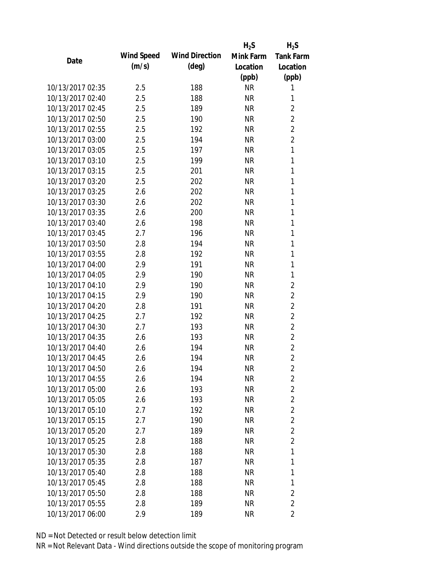|                  |            |                       | $H_2S$    | $H_2S$           |
|------------------|------------|-----------------------|-----------|------------------|
| Date             | Wind Speed | <b>Wind Direction</b> | Mink Farm | <b>Tank Farm</b> |
|                  | (m/s)      | $(\text{deg})$        | Location  | Location         |
|                  |            |                       | (ppb)     | (ppb)            |
| 10/13/2017 02:35 | 2.5        | 188                   | <b>NR</b> | 1                |
| 10/13/2017 02:40 | 2.5        | 188                   | <b>NR</b> | 1                |
| 10/13/2017 02:45 | 2.5        | 189                   | <b>NR</b> | $\overline{2}$   |
| 10/13/2017 02:50 | 2.5        | 190                   | <b>NR</b> | $\overline{2}$   |
| 10/13/2017 02:55 | 2.5        | 192                   | <b>NR</b> | $\overline{2}$   |
| 10/13/2017 03:00 | 2.5        | 194                   | <b>NR</b> | $\overline{2}$   |
| 10/13/2017 03:05 | 2.5        | 197                   | <b>NR</b> | 1                |
| 10/13/2017 03:10 | 2.5        | 199                   | <b>NR</b> | 1                |
| 10/13/2017 03:15 | 2.5        | 201                   | <b>NR</b> | $\mathbf{1}$     |
| 10/13/2017 03:20 | 2.5        | 202                   | <b>NR</b> | $\mathbf{1}$     |
| 10/13/2017 03:25 | 2.6        | 202                   | <b>NR</b> | 1                |
| 10/13/2017 03:30 | 2.6        | 202                   | <b>NR</b> | 1                |
| 10/13/2017 03:35 | 2.6        | 200                   | <b>NR</b> | 1                |
| 10/13/2017 03:40 | 2.6        | 198                   | <b>NR</b> | 1                |
| 10/13/2017 03:45 | 2.7        | 196                   | <b>NR</b> | 1                |
| 10/13/2017 03:50 | 2.8        | 194                   | <b>NR</b> | 1                |
| 10/13/2017 03:55 | 2.8        | 192                   | <b>NR</b> | 1                |
| 10/13/2017 04:00 | 2.9        | 191                   | <b>NR</b> | 1                |
| 10/13/2017 04:05 | 2.9        | 190                   | <b>NR</b> | 1                |
| 10/13/2017 04:10 | 2.9        | 190                   | <b>NR</b> | $\overline{2}$   |
| 10/13/2017 04:15 | 2.9        | 190                   | <b>NR</b> | $\overline{2}$   |
| 10/13/2017 04:20 | 2.8        | 191                   | <b>NR</b> | $\overline{2}$   |
| 10/13/2017 04:25 | 2.7        | 192                   | <b>NR</b> | $\overline{2}$   |
| 10/13/2017 04:30 | 2.7        | 193                   | <b>NR</b> | $\overline{2}$   |
| 10/13/2017 04:35 | 2.6        | 193                   | <b>NR</b> | $\overline{2}$   |
| 10/13/2017 04:40 | 2.6        | 194                   | <b>NR</b> | $\overline{2}$   |
| 10/13/2017 04:45 | 2.6        | 194                   | <b>NR</b> | $\overline{2}$   |
| 10/13/2017 04:50 | 2.6        | 194                   | NR        | 2                |
| 10/13/2017 04:55 | 2.6        | 194                   | <b>NR</b> | $\overline{2}$   |
| 10/13/2017 05:00 | 2.6        | 193                   | <b>NR</b> | $\overline{2}$   |
| 10/13/2017 05:05 | 2.6        | 193                   | <b>NR</b> | $\overline{2}$   |
| 10/13/2017 05:10 | 2.7        | 192                   | <b>NR</b> | $\overline{2}$   |
| 10/13/2017 05:15 | 2.7        | 190                   | NR        | $\overline{2}$   |
| 10/13/2017 05:20 | 2.7        | 189                   | <b>NR</b> | $\overline{2}$   |
| 10/13/2017 05:25 | 2.8        | 188                   | <b>NR</b> | $\overline{2}$   |
| 10/13/2017 05:30 | 2.8        | 188                   | <b>NR</b> | 1                |
| 10/13/2017 05:35 | 2.8        | 187                   | NR        | 1                |
| 10/13/2017 05:40 |            |                       |           | 1                |
|                  | 2.8        | 188                   | NR        |                  |
| 10/13/2017 05:45 | 2.8        | 188                   | <b>NR</b> | 1                |
| 10/13/2017 05:50 | 2.8        | 188                   | NR        | $\overline{2}$   |
| 10/13/2017 05:55 | 2.8        | 189                   | <b>NR</b> | $\overline{2}$   |
| 10/13/2017 06:00 | 2.9        | 189                   | <b>NR</b> | 2                |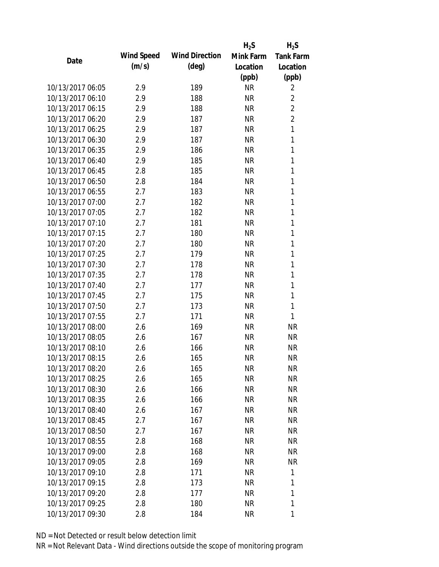|                  |            |                       | $H_2S$    | $H_2S$           |
|------------------|------------|-----------------------|-----------|------------------|
| Date             | Wind Speed | <b>Wind Direction</b> | Mink Farm | <b>Tank Farm</b> |
|                  | (m/s)      | $(\text{deg})$        | Location  | Location         |
|                  |            |                       | (ppb)     | (ppb)            |
| 10/13/2017 06:05 | 2.9        | 189                   | <b>NR</b> | 2                |
| 10/13/2017 06:10 | 2.9        | 188                   | <b>NR</b> | $\overline{2}$   |
| 10/13/2017 06:15 | 2.9        | 188                   | <b>NR</b> | $\overline{2}$   |
| 10/13/2017 06:20 | 2.9        | 187                   | <b>NR</b> | $\overline{2}$   |
| 10/13/2017 06:25 | 2.9        | 187                   | <b>NR</b> | $\mathbf{1}$     |
| 10/13/2017 06:30 | 2.9        | 187                   | <b>NR</b> | 1                |
| 10/13/2017 06:35 | 2.9        | 186                   | <b>NR</b> | 1                |
| 10/13/2017 06:40 | 2.9        | 185                   | <b>NR</b> | 1                |
| 10/13/2017 06:45 | 2.8        | 185                   | <b>NR</b> | $\mathbf{1}$     |
| 10/13/2017 06:50 | 2.8        | 184                   | <b>NR</b> | $\mathbf{1}$     |
| 10/13/2017 06:55 | 2.7        | 183                   | <b>NR</b> | 1                |
| 10/13/2017 07:00 | 2.7        | 182                   | <b>NR</b> | 1                |
| 10/13/2017 07:05 | 2.7        | 182                   | <b>NR</b> | 1                |
| 10/13/2017 07:10 | 2.7        | 181                   | <b>NR</b> | 1                |
| 10/13/2017 07:15 | 2.7        | 180                   | <b>NR</b> | 1                |
| 10/13/2017 07:20 | 2.7        | 180                   | <b>NR</b> | 1                |
| 10/13/2017 07:25 | 2.7        | 179                   | <b>NR</b> | 1                |
| 10/13/2017 07:30 | 2.7        | 178                   | <b>NR</b> | 1                |
| 10/13/2017 07:35 | 2.7        | 178                   | <b>NR</b> | 1                |
| 10/13/2017 07:40 | 2.7        | 177                   | <b>NR</b> | 1                |
| 10/13/2017 07:45 | 2.7        | 175                   | <b>NR</b> | 1                |
| 10/13/2017 07:50 | 2.7        | 173                   | <b>NR</b> | 1                |
| 10/13/2017 07:55 | 2.7        | 171                   | <b>NR</b> | 1                |
| 10/13/2017 08:00 | 2.6        | 169                   | <b>NR</b> | <b>NR</b>        |
| 10/13/2017 08:05 | 2.6        | 167                   | <b>NR</b> | <b>NR</b>        |
| 10/13/2017 08:10 | 2.6        | 166                   | <b>NR</b> | <b>NR</b>        |
| 10/13/2017 08:15 | 2.6        | 165                   | <b>NR</b> | <b>NR</b>        |
| 10/13/2017 08:20 | 2.6        | 165                   | NR        | NR               |
| 10/13/2017 08:25 | 2.6        | 165                   | <b>NR</b> | <b>NR</b>        |
| 10/13/2017 08:30 | 2.6        | 166                   | NR        | NR               |
| 10/13/2017 08:35 | 2.6        | 166                   | <b>NR</b> | <b>NR</b>        |
| 10/13/2017 08:40 | 2.6        | 167                   | NR        | <b>NR</b>        |
| 10/13/2017 08:45 | 2.7        | 167                   | NR        | <b>NR</b>        |
| 10/13/2017 08:50 | 2.7        | 167                   | <b>NR</b> | <b>NR</b>        |
| 10/13/2017 08:55 | 2.8        | 168                   | <b>NR</b> | <b>NR</b>        |
| 10/13/2017 09:00 | 2.8        | 168                   | <b>NR</b> | <b>NR</b>        |
| 10/13/2017 09:05 | 2.8        | 169                   | NR        | <b>NR</b>        |
| 10/13/2017 09:10 | 2.8        | 171                   | NR        | 1                |
| 10/13/2017 09:15 | 2.8        | 173                   | <b>NR</b> | 1                |
| 10/13/2017 09:20 | 2.8        | 177                   | NR        | 1                |
| 10/13/2017 09:25 | 2.8        | 180                   | <b>NR</b> | 1                |
| 10/13/2017 09:30 | 2.8        | 184                   | <b>NR</b> | 1                |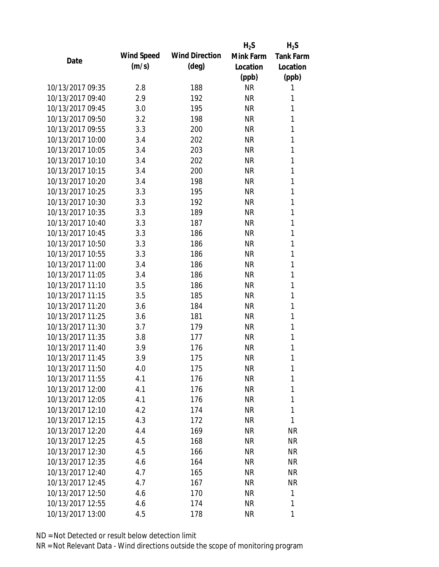|                  |            |                       | $H_2S$    | $H_2S$           |
|------------------|------------|-----------------------|-----------|------------------|
| Date             | Wind Speed | <b>Wind Direction</b> | Mink Farm | <b>Tank Farm</b> |
|                  | (m/s)      | $(\text{deg})$        | Location  | Location         |
|                  |            |                       | (ppb)     | (ppb)            |
| 10/13/2017 09:35 | 2.8        | 188                   | <b>NR</b> | 1                |
| 10/13/2017 09:40 | 2.9        | 192                   | <b>NR</b> | 1                |
| 10/13/2017 09:45 | 3.0        | 195                   | <b>NR</b> | 1                |
| 10/13/2017 09:50 | 3.2        | 198                   | <b>NR</b> | 1                |
| 10/13/2017 09:55 | 3.3        | 200                   | <b>NR</b> | 1                |
| 10/13/2017 10:00 | 3.4        | 202                   | <b>NR</b> | 1                |
| 10/13/2017 10:05 | 3.4        | 203                   | <b>NR</b> | 1                |
| 10/13/2017 10:10 | 3.4        | 202                   | <b>NR</b> | 1                |
| 10/13/2017 10:15 | 3.4        | 200                   | <b>NR</b> | 1                |
| 10/13/2017 10:20 | 3.4        | 198                   | <b>NR</b> | 1                |
| 10/13/2017 10:25 | 3.3        | 195                   | <b>NR</b> | 1                |
| 10/13/2017 10:30 | 3.3        | 192                   | <b>NR</b> | 1                |
| 10/13/2017 10:35 | 3.3        | 189                   | <b>NR</b> | 1                |
| 10/13/2017 10:40 | 3.3        | 187                   | <b>NR</b> | 1                |
| 10/13/2017 10:45 | 3.3        | 186                   | <b>NR</b> | 1                |
| 10/13/2017 10:50 | 3.3        | 186                   | <b>NR</b> | 1                |
| 10/13/2017 10:55 | 3.3        | 186                   | <b>NR</b> | 1                |
| 10/13/2017 11:00 | 3.4        | 186                   | <b>NR</b> | 1                |
| 10/13/2017 11:05 | 3.4        | 186                   | <b>NR</b> | 1                |
| 10/13/2017 11:10 | 3.5        | 186                   | <b>NR</b> | 1                |
| 10/13/2017 11:15 | 3.5        | 185                   | <b>NR</b> | 1                |
| 10/13/2017 11:20 | 3.6        | 184                   | <b>NR</b> | 1                |
| 10/13/2017 11:25 | 3.6        | 181                   | <b>NR</b> | 1                |
| 10/13/2017 11:30 | 3.7        | 179                   | <b>NR</b> | 1                |
| 10/13/2017 11:35 | 3.8        | 177                   | <b>NR</b> | 1                |
| 10/13/2017 11:40 | 3.9        | 176                   | <b>NR</b> | 1                |
| 10/13/2017 11:45 | 3.9        | 175                   | <b>NR</b> | 1                |
| 10/13/2017 11:50 | 4.0        | 175                   | NR        | 1                |
| 10/13/2017 11:55 | 4.1        | 176                   | <b>NR</b> | 1                |
| 10/13/2017 12:00 | 4.1        | 176                   | NR        | 1                |
| 10/13/2017 12:05 | 4.1        | 176                   | <b>NR</b> | 1                |
| 10/13/2017 12:10 | 4.2        | 174                   | NR        | 1                |
| 10/13/2017 12:15 | 4.3        | 172                   | NR        | 1                |
| 10/13/2017 12:20 | 4.4        | 169                   | <b>NR</b> | <b>NR</b>        |
| 10/13/2017 12:25 | 4.5        | 168                   | NR        | <b>NR</b>        |
| 10/13/2017 12:30 | 4.5        | 166                   | <b>NR</b> | <b>NR</b>        |
| 10/13/2017 12:35 | 4.6        | 164                   | NR        | NR               |
| 10/13/2017 12:40 | 4.7        | 165                   | NR        | NR               |
| 10/13/2017 12:45 | 4.7        | 167                   | NR        | <b>NR</b>        |
| 10/13/2017 12:50 | 4.6        | 170                   | NR        | 1                |
| 10/13/2017 12:55 | 4.6        | 174                   | <b>NR</b> | 1                |
| 10/13/2017 13:00 | 4.5        | 178                   | <b>NR</b> | 1                |
|                  |            |                       |           |                  |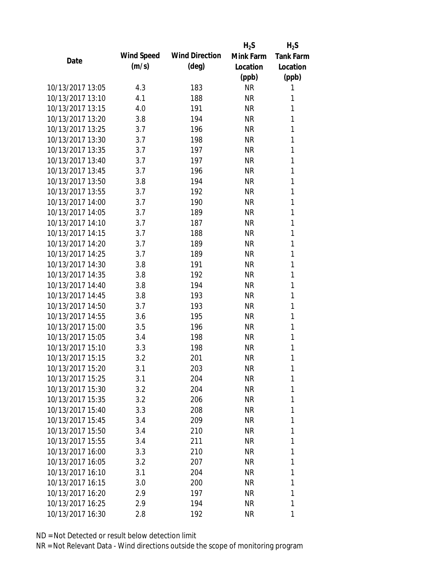|                  |            |                       | $H_2S$    | $H_2S$           |
|------------------|------------|-----------------------|-----------|------------------|
| Date             | Wind Speed | <b>Wind Direction</b> | Mink Farm | <b>Tank Farm</b> |
|                  | (m/s)      | $(\text{deg})$        | Location  | Location         |
|                  |            |                       | (ppb)     | (ppb)            |
| 10/13/2017 13:05 | 4.3        | 183                   | <b>NR</b> | 1                |
| 10/13/2017 13:10 | 4.1        | 188                   | <b>NR</b> | 1                |
| 10/13/2017 13:15 | 4.0        | 191                   | <b>NR</b> | 1                |
| 10/13/2017 13:20 | 3.8        | 194                   | <b>NR</b> | 1                |
| 10/13/2017 13:25 | 3.7        | 196                   | <b>NR</b> | 1                |
| 10/13/2017 13:30 | 3.7        | 198                   | <b>NR</b> | 1                |
| 10/13/2017 13:35 | 3.7        | 197                   | <b>NR</b> | 1                |
| 10/13/2017 13:40 | 3.7        | 197                   | <b>NR</b> | 1                |
| 10/13/2017 13:45 | 3.7        | 196                   | <b>NR</b> | 1                |
| 10/13/2017 13:50 | 3.8        | 194                   | <b>NR</b> | 1                |
| 10/13/2017 13:55 | 3.7        | 192                   | <b>NR</b> | 1                |
| 10/13/2017 14:00 | 3.7        | 190                   | <b>NR</b> | 1                |
| 10/13/2017 14:05 | 3.7        | 189                   | <b>NR</b> | 1                |
| 10/13/2017 14:10 | 3.7        | 187                   | <b>NR</b> | 1                |
| 10/13/2017 14:15 | 3.7        | 188                   | <b>NR</b> | 1                |
| 10/13/2017 14:20 | 3.7        | 189                   | <b>NR</b> | 1                |
| 10/13/2017 14:25 | 3.7        | 189                   | <b>NR</b> | 1                |
| 10/13/2017 14:30 | 3.8        | 191                   | <b>NR</b> | 1                |
| 10/13/2017 14:35 | 3.8        | 192                   | <b>NR</b> | 1                |
| 10/13/2017 14:40 | 3.8        | 194                   | <b>NR</b> | 1                |
| 10/13/2017 14:45 | 3.8        | 193                   | <b>NR</b> | 1                |
| 10/13/2017 14:50 | 3.7        | 193                   | <b>NR</b> | 1                |
| 10/13/2017 14:55 | 3.6        | 195                   | <b>NR</b> | 1                |
| 10/13/2017 15:00 | 3.5        | 196                   | <b>NR</b> | 1                |
| 10/13/2017 15:05 | 3.4        | 198                   | <b>NR</b> | 1                |
| 10/13/2017 15:10 | 3.3        | 198                   | <b>NR</b> | 1                |
| 10/13/2017 15:15 | 3.2        | 201                   | <b>NR</b> | 1                |
| 10/13/2017 15:20 | 3.1        | 203                   | NR        | 1                |
| 10/13/2017 15:25 | 3.1        | 204                   | <b>NR</b> | 1                |
| 10/13/2017 15:30 | 3.2        | 204                   | NR        | 1                |
| 10/13/2017 15:35 | 3.2        | 206                   | <b>NR</b> | 1                |
| 10/13/2017 15:40 | 3.3        | 208                   | NR        | 1                |
| 10/13/2017 15:45 | 3.4        | 209                   | NR        | 1                |
| 10/13/2017 15:50 | 3.4        | 210                   | <b>NR</b> | 1                |
| 10/13/2017 15:55 | 3.4        | 211                   | NR        | 1                |
| 10/13/2017 16:00 | 3.3        | 210                   | <b>NR</b> | 1                |
| 10/13/2017 16:05 | 3.2        | 207                   | NR        | 1                |
| 10/13/2017 16:10 | 3.1        | 204                   | NR        | 1                |
| 10/13/2017 16:15 | 3.0        | 200                   | NR        | 1                |
| 10/13/2017 16:20 | 2.9        | 197                   | NR        | 1                |
| 10/13/2017 16:25 | 2.9        | 194                   | <b>NR</b> | 1                |
| 10/13/2017 16:30 | 2.8        | 192                   | <b>NR</b> | 1                |
|                  |            |                       |           |                  |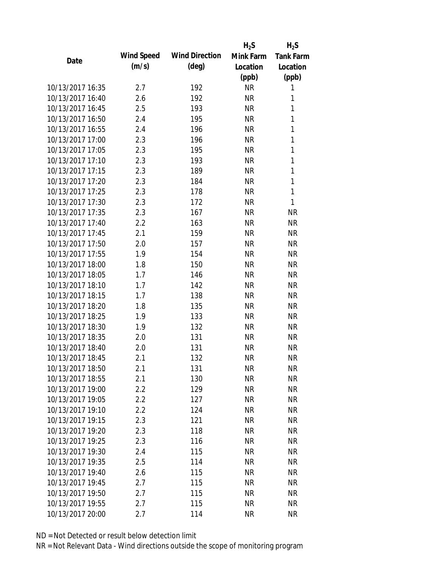|                  |            |                       | $H_2S$    | $H_2S$           |
|------------------|------------|-----------------------|-----------|------------------|
| Date             | Wind Speed | <b>Wind Direction</b> | Mink Farm | <b>Tank Farm</b> |
|                  | (m/s)      | $(\text{deg})$        | Location  | Location         |
|                  |            |                       | (ppb)     | (ppb)            |
| 10/13/2017 16:35 | 2.7        | 192                   | <b>NR</b> | 1                |
| 10/13/2017 16:40 | 2.6        | 192                   | <b>NR</b> | 1                |
| 10/13/2017 16:45 | 2.5        | 193                   | <b>NR</b> | 1                |
| 10/13/2017 16:50 | 2.4        | 195                   | <b>NR</b> | 1                |
| 10/13/2017 16:55 | 2.4        | 196                   | <b>NR</b> | 1                |
| 10/13/2017 17:00 | 2.3        | 196                   | <b>NR</b> | 1                |
| 10/13/2017 17:05 | 2.3        | 195                   | <b>NR</b> | 1                |
| 10/13/2017 17:10 | 2.3        | 193                   | <b>NR</b> | 1                |
| 10/13/2017 17:15 | 2.3        | 189                   | <b>NR</b> | 1                |
| 10/13/2017 17:20 | 2.3        | 184                   | <b>NR</b> | 1                |
| 10/13/2017 17:25 | 2.3        | 178                   | <b>NR</b> | 1                |
| 10/13/2017 17:30 | 2.3        | 172                   | <b>NR</b> | 1                |
| 10/13/2017 17:35 | 2.3        | 167                   | <b>NR</b> | <b>NR</b>        |
| 10/13/2017 17:40 | 2.2        | 163                   | <b>NR</b> | <b>NR</b>        |
| 10/13/2017 17:45 | 2.1        | 159                   | <b>NR</b> | <b>NR</b>        |
| 10/13/2017 17:50 | 2.0        | 157                   | <b>NR</b> | <b>NR</b>        |
| 10/13/2017 17:55 | 1.9        | 154                   | <b>NR</b> | <b>NR</b>        |
| 10/13/2017 18:00 | 1.8        | 150                   | <b>NR</b> | <b>NR</b>        |
| 10/13/2017 18:05 | 1.7        | 146                   | <b>NR</b> | <b>NR</b>        |
| 10/13/2017 18:10 | 1.7        | 142                   | <b>NR</b> | <b>NR</b>        |
| 10/13/2017 18:15 | 1.7        | 138                   | <b>NR</b> | <b>NR</b>        |
| 10/13/2017 18:20 | 1.8        | 135                   | <b>NR</b> | <b>NR</b>        |
| 10/13/2017 18:25 | 1.9        | 133                   | <b>NR</b> | <b>NR</b>        |
| 10/13/2017 18:30 | 1.9        | 132                   | <b>NR</b> | <b>NR</b>        |
| 10/13/2017 18:35 | 2.0        | 131                   | <b>NR</b> | <b>NR</b>        |
| 10/13/2017 18:40 | 2.0        | 131                   | <b>NR</b> | <b>NR</b>        |
| 10/13/2017 18:45 | 2.1        | 132                   | <b>NR</b> | <b>NR</b>        |
| 10/13/2017 18:50 | 2.1        | 131                   | <b>NR</b> | NR               |
| 10/13/2017 18:55 | 2.1        | 130                   | <b>NR</b> | <b>NR</b>        |
| 10/13/2017 19:00 | 2.2        | 129                   | <b>NR</b> | <b>NR</b>        |
| 10/13/2017 19:05 | 2.2        | 127                   | <b>NR</b> | <b>NR</b>        |
| 10/13/2017 19:10 | 2.2        | 124                   | <b>NR</b> | <b>NR</b>        |
| 10/13/2017 19:15 | 2.3        | 121                   | <b>NR</b> | <b>NR</b>        |
| 10/13/2017 19:20 | 2.3        | 118                   | <b>NR</b> | <b>NR</b>        |
| 10/13/2017 19:25 |            | 116                   |           |                  |
| 10/13/2017 19:30 | 2.3        |                       | <b>NR</b> | <b>NR</b>        |
|                  | 2.4        | 115                   | <b>NR</b> | <b>NR</b>        |
| 10/13/2017 19:35 | 2.5        | 114                   | <b>NR</b> | <b>NR</b>        |
| 10/13/2017 19:40 | 2.6        | 115                   | <b>NR</b> | <b>NR</b>        |
| 10/13/2017 19:45 | 2.7        | 115                   | <b>NR</b> | <b>NR</b>        |
| 10/13/2017 19:50 | 2.7        | 115                   | <b>NR</b> | <b>NR</b>        |
| 10/13/2017 19:55 | 2.7        | 115                   | <b>NR</b> | <b>NR</b>        |
| 10/13/2017 20:00 | 2.7        | 114                   | <b>NR</b> | <b>NR</b>        |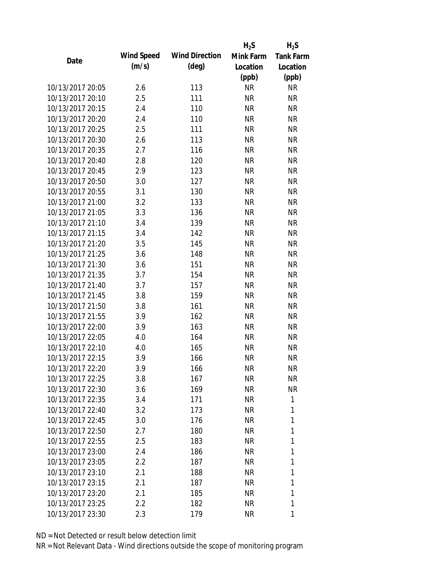|                  |            |                       | $H_2S$    | $H_2S$           |
|------------------|------------|-----------------------|-----------|------------------|
| Date             | Wind Speed | <b>Wind Direction</b> | Mink Farm | <b>Tank Farm</b> |
|                  | (m/s)      | $(\text{deg})$        | Location  | Location         |
|                  |            |                       | (ppb)     | (ppb)            |
| 10/13/2017 20:05 | 2.6        | 113                   | <b>NR</b> | <b>NR</b>        |
| 10/13/2017 20:10 | 2.5        | 111                   | <b>NR</b> | <b>NR</b>        |
| 10/13/2017 20:15 | 2.4        | 110                   | <b>NR</b> | <b>NR</b>        |
| 10/13/2017 20:20 | 2.4        | 110                   | <b>NR</b> | <b>NR</b>        |
| 10/13/2017 20:25 | 2.5        | 111                   | <b>NR</b> | <b>NR</b>        |
| 10/13/2017 20:30 | 2.6        | 113                   | <b>NR</b> | <b>NR</b>        |
| 10/13/2017 20:35 | 2.7        | 116                   | <b>NR</b> | <b>NR</b>        |
| 10/13/2017 20:40 | 2.8        | 120                   | <b>NR</b> | <b>NR</b>        |
| 10/13/2017 20:45 | 2.9        | 123                   | <b>NR</b> | <b>NR</b>        |
| 10/13/2017 20:50 | 3.0        | 127                   | <b>NR</b> | <b>NR</b>        |
| 10/13/2017 20:55 | 3.1        | 130                   | <b>NR</b> | <b>NR</b>        |
| 10/13/2017 21:00 | 3.2        | 133                   | <b>NR</b> | <b>NR</b>        |
| 10/13/2017 21:05 | 3.3        | 136                   | <b>NR</b> | <b>NR</b>        |
| 10/13/2017 21:10 | 3.4        | 139                   | <b>NR</b> | <b>NR</b>        |
| 10/13/2017 21:15 | 3.4        | 142                   | <b>NR</b> | <b>NR</b>        |
| 10/13/2017 21:20 | 3.5        | 145                   | <b>NR</b> | <b>NR</b>        |
| 10/13/2017 21:25 | 3.6        | 148                   | <b>NR</b> | <b>NR</b>        |
| 10/13/2017 21:30 | 3.6        | 151                   | <b>NR</b> | <b>NR</b>        |
| 10/13/2017 21:35 | 3.7        | 154                   | <b>NR</b> | <b>NR</b>        |
| 10/13/2017 21:40 | 3.7        | 157                   | <b>NR</b> | <b>NR</b>        |
| 10/13/2017 21:45 | 3.8        | 159                   | <b>NR</b> | <b>NR</b>        |
| 10/13/2017 21:50 | 3.8        | 161                   | <b>NR</b> | <b>NR</b>        |
| 10/13/2017 21:55 | 3.9        | 162                   | <b>NR</b> | <b>NR</b>        |
| 10/13/2017 22:00 | 3.9        | 163                   | <b>NR</b> | <b>NR</b>        |
| 10/13/2017 22:05 | 4.0        | 164                   | <b>NR</b> | <b>NR</b>        |
| 10/13/2017 22:10 | 4.0        | 165                   | <b>NR</b> | <b>NR</b>        |
| 10/13/2017 22:15 | 3.9        | 166                   | <b>NR</b> | <b>NR</b>        |
| 10/13/2017 22:20 | 3.9        | 166                   | NR        | <b>NR</b>        |
| 10/13/2017 22:25 | 3.8        | 167                   | <b>NR</b> | <b>NR</b>        |
| 10/13/2017 22:30 | 3.6        | 169                   | NR        | <b>NR</b>        |
| 10/13/2017 22:35 | 3.4        | 171                   | NR        | 1                |
| 10/13/2017 22:40 | 3.2        | 173                   | NR        | 1                |
| 10/13/2017 22:45 | 3.0        | 176                   | NR        | 1                |
| 10/13/2017 22:50 | 2.7        | 180                   | <b>NR</b> | 1                |
| 10/13/2017 22:55 | 2.5        | 183                   | NR        | 1                |
| 10/13/2017 23:00 | 2.4        | 186                   | <b>NR</b> | 1                |
| 10/13/2017 23:05 | 2.2        | 187                   | NR        | 1                |
| 10/13/2017 23:10 | 2.1        | 188                   | NR        | 1                |
| 10/13/2017 23:15 | 2.1        | 187                   | NR        | 1                |
| 10/13/2017 23:20 | 2.1        | 185                   | NR        | 1                |
| 10/13/2017 23:25 | 2.2        | 182                   | <b>NR</b> | 1                |
| 10/13/2017 23:30 | 2.3        | 179                   | <b>NR</b> | 1                |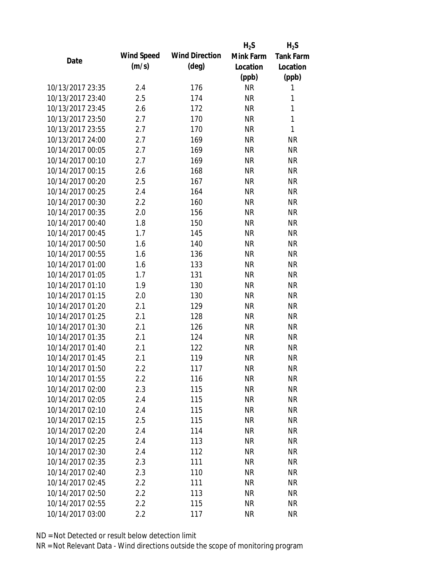|                  |            |                       | $H_2S$    | $H_2S$           |
|------------------|------------|-----------------------|-----------|------------------|
| Date             | Wind Speed | <b>Wind Direction</b> | Mink Farm | <b>Tank Farm</b> |
|                  | (m/s)      | $(\text{deg})$        | Location  | Location         |
|                  |            |                       | (ppb)     | (ppb)            |
| 10/13/2017 23:35 | 2.4        | 176                   | <b>NR</b> | 1                |
| 10/13/2017 23:40 | 2.5        | 174                   | <b>NR</b> | 1                |
| 10/13/2017 23:45 | 2.6        | 172                   | <b>NR</b> | $\mathbf{1}$     |
| 10/13/2017 23:50 | 2.7        | 170                   | <b>NR</b> | $\mathbf{1}$     |
| 10/13/2017 23:55 | 2.7        | 170                   | <b>NR</b> | $\mathbf{1}$     |
| 10/13/2017 24:00 | 2.7        | 169                   | <b>NR</b> | <b>NR</b>        |
| 10/14/2017 00:05 | 2.7        | 169                   | <b>NR</b> | <b>NR</b>        |
| 10/14/2017 00:10 | 2.7        | 169                   | <b>NR</b> | <b>NR</b>        |
| 10/14/2017 00:15 | 2.6        | 168                   | <b>NR</b> | <b>NR</b>        |
| 10/14/2017 00:20 | 2.5        | 167                   | <b>NR</b> | <b>NR</b>        |
| 10/14/2017 00:25 | 2.4        | 164                   | <b>NR</b> | <b>NR</b>        |
| 10/14/2017 00:30 | 2.2        | 160                   | <b>NR</b> | <b>NR</b>        |
| 10/14/2017 00:35 | 2.0        | 156                   | <b>NR</b> | <b>NR</b>        |
| 10/14/2017 00:40 | 1.8        | 150                   | <b>NR</b> | <b>NR</b>        |
| 10/14/2017 00:45 | 1.7        | 145                   | <b>NR</b> | <b>NR</b>        |
| 10/14/2017 00:50 | 1.6        | 140                   | <b>NR</b> | <b>NR</b>        |
| 10/14/2017 00:55 | 1.6        | 136                   | <b>NR</b> | <b>NR</b>        |
| 10/14/2017 01:00 | 1.6        | 133                   | <b>NR</b> | <b>NR</b>        |
| 10/14/2017 01:05 | 1.7        | 131                   | <b>NR</b> | <b>NR</b>        |
| 10/14/2017 01:10 | 1.9        | 130                   | <b>NR</b> | <b>NR</b>        |
| 10/14/2017 01:15 | 2.0        | 130                   | <b>NR</b> | <b>NR</b>        |
| 10/14/2017 01:20 | 2.1        | 129                   | <b>NR</b> | <b>NR</b>        |
| 10/14/2017 01:25 | 2.1        | 128                   | <b>NR</b> | <b>NR</b>        |
| 10/14/2017 01:30 | 2.1        | 126                   | <b>NR</b> | <b>NR</b>        |
| 10/14/2017 01:35 | 2.1        | 124                   | <b>NR</b> | <b>NR</b>        |
| 10/14/2017 01:40 | 2.1        | 122                   | <b>NR</b> | <b>NR</b>        |
| 10/14/2017 01:45 | 2.1        | 119                   | <b>NR</b> | <b>NR</b>        |
| 10/14/2017 01:50 | $2.2\,$    | 117                   | NR        | <b>NR</b>        |
| 10/14/2017 01:55 | 2.2        | 116                   | <b>NR</b> | <b>NR</b>        |
| 10/14/2017 02:00 | 2.3        | 115                   | <b>NR</b> | <b>NR</b>        |
| 10/14/2017 02:05 | 2.4        | 115                   | <b>NR</b> | <b>NR</b>        |
| 10/14/2017 02:10 | 2.4        | 115                   | <b>NR</b> | <b>NR</b>        |
| 10/14/2017 02:15 | 2.5        | 115                   | NR        | <b>NR</b>        |
| 10/14/2017 02:20 | 2.4        | 114                   | <b>NR</b> | <b>NR</b>        |
| 10/14/2017 02:25 | 2.4        | 113                   | <b>NR</b> | <b>NR</b>        |
| 10/14/2017 02:30 | 2.4        | 112                   | <b>NR</b> | <b>NR</b>        |
| 10/14/2017 02:35 | 2.3        | 111                   | NR        | <b>NR</b>        |
| 10/14/2017 02:40 | 2.3        | 110                   | NR        | <b>NR</b>        |
| 10/14/2017 02:45 | 2.2        | 111                   | <b>NR</b> | <b>NR</b>        |
| 10/14/2017 02:50 | 2.2        | 113                   | NR        | <b>NR</b>        |
| 10/14/2017 02:55 | 2.2        | 115                   | <b>NR</b> | <b>NR</b>        |
| 10/14/2017 03:00 | 2.2        | 117                   | <b>NR</b> | <b>NR</b>        |
|                  |            |                       |           |                  |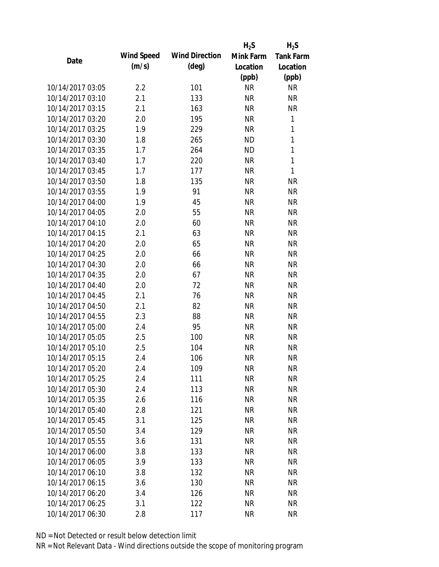|                  |            |                       | $H_2S$    | $H_2S$           |
|------------------|------------|-----------------------|-----------|------------------|
| Date             | Wind Speed | <b>Wind Direction</b> | Mink Farm | <b>Tank Farm</b> |
|                  | (m/s)      | $(\text{deg})$        | Location  | Location         |
|                  |            |                       | (ppb)     | (ppb)            |
| 10/14/2017 03:05 | 2.2        | 101                   | <b>NR</b> | <b>NR</b>        |
| 10/14/2017 03:10 | 2.1        | 133                   | <b>NR</b> | <b>NR</b>        |
| 10/14/2017 03:15 | 2.1        | 163                   | <b>NR</b> | <b>NR</b>        |
| 10/14/2017 03:20 | 2.0        | 195                   | <b>NR</b> | 1                |
| 10/14/2017 03:25 | 1.9        | 229                   | <b>NR</b> | $\mathbf{1}$     |
| 10/14/2017 03:30 | 1.8        | 265                   | <b>ND</b> | 1                |
| 10/14/2017 03:35 | 1.7        | 264                   | <b>ND</b> | $\mathbf{1}$     |
| 10/14/2017 03:40 | 1.7        | 220                   | <b>NR</b> | $\mathbf{1}$     |
| 10/14/2017 03:45 | 1.7        | 177                   | <b>NR</b> | $\mathbf{1}$     |
| 10/14/2017 03:50 | 1.8        | 135                   | <b>NR</b> | <b>NR</b>        |
| 10/14/2017 03:55 | 1.9        | 91                    | <b>NR</b> | <b>NR</b>        |
| 10/14/2017 04:00 | 1.9        | 45                    | <b>NR</b> | <b>NR</b>        |
| 10/14/2017 04:05 | 2.0        | 55                    | <b>NR</b> | <b>NR</b>        |
| 10/14/2017 04:10 | 2.0        | 60                    | <b>NR</b> | <b>NR</b>        |
| 10/14/2017 04:15 | 2.1        | 63                    | <b>NR</b> | <b>NR</b>        |
| 10/14/2017 04:20 | 2.0        | 65                    | <b>NR</b> | <b>NR</b>        |
| 10/14/2017 04:25 | 2.0        | 66                    | <b>NR</b> | <b>NR</b>        |
| 10/14/2017 04:30 | 2.0        | 66                    | <b>NR</b> | <b>NR</b>        |
| 10/14/2017 04:35 | 2.0        | 67                    | <b>NR</b> | <b>NR</b>        |
| 10/14/2017 04:40 | 2.0        | 72                    | <b>NR</b> | <b>NR</b>        |
| 10/14/2017 04:45 | 2.1        | 76                    | <b>NR</b> | <b>NR</b>        |
| 10/14/2017 04:50 | 2.1        | 82                    | <b>NR</b> | <b>NR</b>        |
| 10/14/2017 04:55 | 2.3        | 88                    | <b>NR</b> | <b>NR</b>        |
| 10/14/2017 05:00 | 2.4        | 95                    | <b>NR</b> | <b>NR</b>        |
| 10/14/2017 05:05 | 2.5        | 100                   | <b>NR</b> | <b>NR</b>        |
| 10/14/2017 05:10 | 2.5        | 104                   | <b>NR</b> | <b>NR</b>        |
| 10/14/2017 05:15 | 2.4        | 106                   | <b>NR</b> | <b>NR</b>        |
| 10/14/2017 05:20 | 2.4        | 109                   | NR        | <b>NR</b>        |
| 10/14/2017 05:25 | 2.4        | 111                   | <b>NR</b> | <b>NR</b>        |
| 10/14/2017 05:30 | 2.4        | 113                   | <b>NR</b> | <b>NR</b>        |
| 10/14/2017 05:35 | 2.6        | 116                   | <b>NR</b> | <b>NR</b>        |
| 10/14/2017 05:40 | 2.8        | 121                   | <b>NR</b> | <b>NR</b>        |
| 10/14/2017 05:45 | 3.1        | 125                   | <b>NR</b> | <b>NR</b>        |
| 10/14/2017 05:50 | 3.4        | 129                   | <b>NR</b> | <b>NR</b>        |
| 10/14/2017 05:55 |            |                       |           |                  |
|                  | 3.6        | 131                   | <b>NR</b> | <b>NR</b>        |
| 10/14/2017 06:00 | 3.8        | 133                   | <b>NR</b> | <b>NR</b>        |
| 10/14/2017 06:05 | 3.9        | 133                   | NR        | <b>NR</b>        |
| 10/14/2017 06:10 | 3.8        | 132                   | NR        | <b>NR</b>        |
| 10/14/2017 06:15 | 3.6        | 130                   | <b>NR</b> | <b>NR</b>        |
| 10/14/2017 06:20 | 3.4        | 126                   | <b>NR</b> | <b>NR</b>        |
| 10/14/2017 06:25 | 3.1        | 122                   | <b>NR</b> | <b>NR</b>        |
| 10/14/2017 06:30 | 2.8        | 117                   | <b>NR</b> | <b>NR</b>        |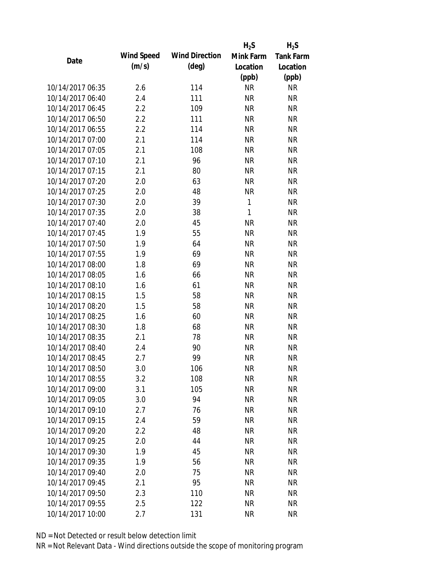|                  |            |                       | $H_2S$       | $H_2S$           |
|------------------|------------|-----------------------|--------------|------------------|
| Date             | Wind Speed | <b>Wind Direction</b> | Mink Farm    | <b>Tank Farm</b> |
|                  | (m/s)      | $(\text{deg})$        | Location     | Location         |
|                  |            |                       | (ppb)        | (ppb)            |
| 10/14/2017 06:35 | 2.6        | 114                   | <b>NR</b>    | <b>NR</b>        |
| 10/14/2017 06:40 | 2.4        | 111                   | <b>NR</b>    | <b>NR</b>        |
| 10/14/2017 06:45 | 2.2        | 109                   | <b>NR</b>    | <b>NR</b>        |
| 10/14/2017 06:50 | 2.2        | 111                   | <b>NR</b>    | <b>NR</b>        |
| 10/14/2017 06:55 | 2.2        | 114                   | <b>NR</b>    | <b>NR</b>        |
| 10/14/2017 07:00 | 2.1        | 114                   | <b>NR</b>    | <b>NR</b>        |
| 10/14/2017 07:05 | 2.1        | 108                   | <b>NR</b>    | <b>NR</b>        |
| 10/14/2017 07:10 | 2.1        | 96                    | <b>NR</b>    | <b>NR</b>        |
| 10/14/2017 07:15 | 2.1        | 80                    | <b>NR</b>    | <b>NR</b>        |
| 10/14/2017 07:20 | 2.0        | 63                    | <b>NR</b>    | <b>NR</b>        |
| 10/14/2017 07:25 | 2.0        | 48                    | <b>NR</b>    | <b>NR</b>        |
| 10/14/2017 07:30 | 2.0        | 39                    | $\mathbf{1}$ | <b>NR</b>        |
| 10/14/2017 07:35 | 2.0        | 38                    | $\mathbf{1}$ | <b>NR</b>        |
| 10/14/2017 07:40 | 2.0        | 45                    | <b>NR</b>    | <b>NR</b>        |
| 10/14/2017 07:45 | 1.9        | 55                    | <b>NR</b>    | <b>NR</b>        |
| 10/14/2017 07:50 | 1.9        | 64                    | <b>NR</b>    | <b>NR</b>        |
| 10/14/2017 07:55 | 1.9        | 69                    | <b>NR</b>    | <b>NR</b>        |
| 10/14/2017 08:00 | 1.8        | 69                    | <b>NR</b>    | <b>NR</b>        |
| 10/14/2017 08:05 | 1.6        | 66                    | <b>NR</b>    | <b>NR</b>        |
| 10/14/2017 08:10 | 1.6        | 61                    | <b>NR</b>    | <b>NR</b>        |
| 10/14/2017 08:15 | 1.5        | 58                    | <b>NR</b>    | <b>NR</b>        |
| 10/14/2017 08:20 | 1.5        | 58                    | <b>NR</b>    | <b>NR</b>        |
| 10/14/2017 08:25 | 1.6        | 60                    | <b>NR</b>    | <b>NR</b>        |
| 10/14/2017 08:30 | 1.8        | 68                    | <b>NR</b>    | <b>NR</b>        |
| 10/14/2017 08:35 | 2.1        | 78                    | <b>NR</b>    | <b>NR</b>        |
| 10/14/2017 08:40 | 2.4        | 90                    | <b>NR</b>    | <b>NR</b>        |
| 10/14/2017 08:45 | 2.7        | 99                    | <b>NR</b>    | <b>NR</b>        |
| 10/14/2017 08:50 | 3.0        | 106                   | NR           | <b>NR</b>        |
| 10/14/2017 08:55 | 3.2        | 108                   | <b>NR</b>    | <b>NR</b>        |
| 10/14/2017 09:00 | 3.1        | 105                   | <b>NR</b>    | <b>NR</b>        |
| 10/14/2017 09:05 | 3.0        | 94                    | <b>NR</b>    | <b>NR</b>        |
| 10/14/2017 09:10 | 2.7        | 76                    | <b>NR</b>    | <b>NR</b>        |
| 10/14/2017 09:15 | 2.4        | 59                    | <b>NR</b>    | <b>NR</b>        |
| 10/14/2017 09:20 | 2.2        | 48                    | <b>NR</b>    | <b>NR</b>        |
| 10/14/2017 09:25 | 2.0        | 44                    | <b>NR</b>    | <b>NR</b>        |
| 10/14/2017 09:30 | 1.9        | 45                    | <b>NR</b>    | <b>NR</b>        |
| 10/14/2017 09:35 | 1.9        | 56                    | <b>NR</b>    | <b>NR</b>        |
| 10/14/2017 09:40 | 2.0        | 75                    | NR           | <b>NR</b>        |
| 10/14/2017 09:45 | 2.1        | 95                    | <b>NR</b>    | <b>NR</b>        |
| 10/14/2017 09:50 | 2.3        | 110                   | <b>NR</b>    | <b>NR</b>        |
| 10/14/2017 09:55 | 2.5        | 122                   | <b>NR</b>    | <b>NR</b>        |
| 10/14/2017 10:00 | 2.7        | 131                   | <b>NR</b>    | <b>NR</b>        |
|                  |            |                       |              |                  |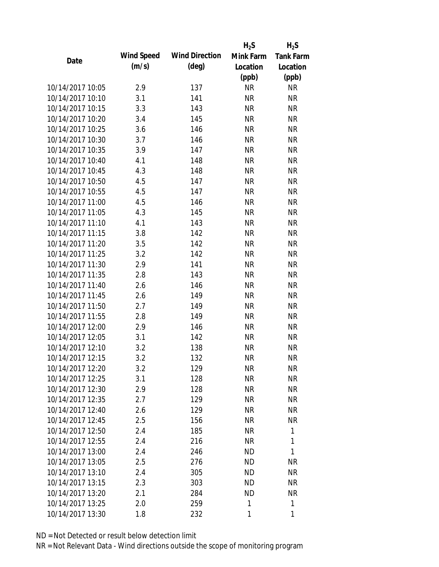|                  |            |                       | $H_2S$    | $H_2S$           |
|------------------|------------|-----------------------|-----------|------------------|
| Date             | Wind Speed | <b>Wind Direction</b> | Mink Farm | <b>Tank Farm</b> |
|                  | (m/s)      | $(\text{deg})$        | Location  | Location         |
|                  |            |                       | (ppb)     | (ppb)            |
| 10/14/2017 10:05 | 2.9        | 137                   | <b>NR</b> | <b>NR</b>        |
| 10/14/2017 10:10 | 3.1        | 141                   | <b>NR</b> | <b>NR</b>        |
| 10/14/2017 10:15 | 3.3        | 143                   | <b>NR</b> | <b>NR</b>        |
| 10/14/2017 10:20 | 3.4        | 145                   | <b>NR</b> | <b>NR</b>        |
| 10/14/2017 10:25 | 3.6        | 146                   | <b>NR</b> | <b>NR</b>        |
| 10/14/2017 10:30 | 3.7        | 146                   | <b>NR</b> | <b>NR</b>        |
| 10/14/2017 10:35 | 3.9        | 147                   | <b>NR</b> | <b>NR</b>        |
| 10/14/2017 10:40 | 4.1        | 148                   | <b>NR</b> | <b>NR</b>        |
| 10/14/2017 10:45 | 4.3        | 148                   | <b>NR</b> | <b>NR</b>        |
| 10/14/2017 10:50 | 4.5        | 147                   | <b>NR</b> | <b>NR</b>        |
| 10/14/2017 10:55 | 4.5        | 147                   | <b>NR</b> | <b>NR</b>        |
| 10/14/2017 11:00 | 4.5        | 146                   | <b>NR</b> | <b>NR</b>        |
| 10/14/2017 11:05 | 4.3        | 145                   | <b>NR</b> | <b>NR</b>        |
| 10/14/2017 11:10 | 4.1        | 143                   | <b>NR</b> | <b>NR</b>        |
| 10/14/2017 11:15 | 3.8        | 142                   | <b>NR</b> | <b>NR</b>        |
| 10/14/2017 11:20 | 3.5        | 142                   | <b>NR</b> | <b>NR</b>        |
| 10/14/2017 11:25 | 3.2        | 142                   | <b>NR</b> | <b>NR</b>        |
| 10/14/2017 11:30 | 2.9        | 141                   | <b>NR</b> | <b>NR</b>        |
| 10/14/2017 11:35 | 2.8        | 143                   | <b>NR</b> | <b>NR</b>        |
| 10/14/2017 11:40 | 2.6        | 146                   | <b>NR</b> | <b>NR</b>        |
| 10/14/2017 11:45 | 2.6        | 149                   | <b>NR</b> | <b>NR</b>        |
| 10/14/2017 11:50 | 2.7        | 149                   | <b>NR</b> | <b>NR</b>        |
| 10/14/2017 11:55 | 2.8        | 149                   | <b>NR</b> | <b>NR</b>        |
| 10/14/2017 12:00 | 2.9        | 146                   | <b>NR</b> | <b>NR</b>        |
| 10/14/2017 12:05 | 3.1        | 142                   | <b>NR</b> | <b>NR</b>        |
| 10/14/2017 12:10 | 3.2        | 138                   | <b>NR</b> | <b>NR</b>        |
| 10/14/2017 12:15 | 3.2        | 132                   | <b>NR</b> | <b>NR</b>        |
| 10/14/2017 12:20 | 3.2        | 129                   | NR        | <b>NR</b>        |
| 10/14/2017 12:25 | 3.1        | 128                   | <b>NR</b> | <b>NR</b>        |
| 10/14/2017 12:30 | 2.9        | 128                   | <b>NR</b> | <b>NR</b>        |
| 10/14/2017 12:35 | 2.7        | 129                   | <b>NR</b> | <b>NR</b>        |
| 10/14/2017 12:40 | 2.6        | 129                   | <b>NR</b> | <b>NR</b>        |
| 10/14/2017 12:45 | 2.5        | 156                   | <b>NR</b> | <b>NR</b>        |
| 10/14/2017 12:50 | 2.4        | 185                   | <b>NR</b> | 1                |
| 10/14/2017 12:55 | 2.4        | 216                   | <b>NR</b> | 1                |
| 10/14/2017 13:00 | 2.4        | 246                   | <b>ND</b> | 1                |
| 10/14/2017 13:05 | 2.5        | 276                   | ND.       | <b>NR</b>        |
| 10/14/2017 13:10 | 2.4        | 305                   | <b>ND</b> | <b>NR</b>        |
| 10/14/2017 13:15 | 2.3        | 303                   | <b>ND</b> | <b>NR</b>        |
| 10/14/2017 13:20 | 2.1        | 284                   | <b>ND</b> | <b>NR</b>        |
| 10/14/2017 13:25 | 2.0        | 259                   | 1         | $\mathbf{1}$     |
| 10/14/2017 13:30 | 1.8        | 232                   | 1         | 1                |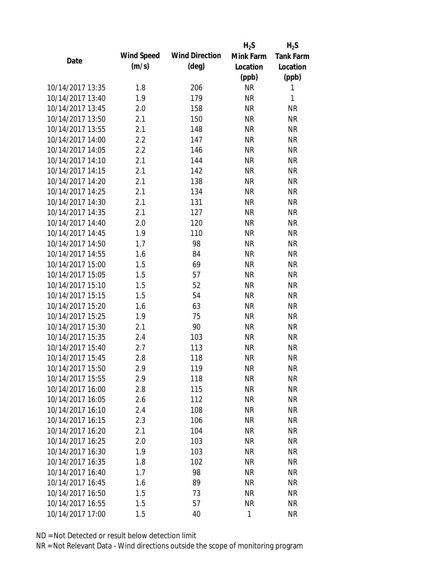|                  |            |                       | $H_2S$      | $H_2S$           |
|------------------|------------|-----------------------|-------------|------------------|
| Date             | Wind Speed | <b>Wind Direction</b> | Mink Farm   | <b>Tank Farm</b> |
|                  | (m/s)      | $(\text{deg})$        | Location    | Location         |
|                  |            |                       | (ppb)       | (ppb)            |
| 10/14/2017 13:35 | 1.8        | 206                   | <b>NR</b>   | 1                |
| 10/14/2017 13:40 | 1.9        | 179                   | <b>NR</b>   | 1                |
| 10/14/2017 13:45 | 2.0        | 158                   | <b>NR</b>   | <b>NR</b>        |
| 10/14/2017 13:50 | 2.1        | 150                   | <b>NR</b>   | <b>NR</b>        |
| 10/14/2017 13:55 | 2.1        | 148                   | <b>NR</b>   | <b>NR</b>        |
| 10/14/2017 14:00 | 2.2        | 147                   | <b>NR</b>   | <b>NR</b>        |
| 10/14/2017 14:05 | 2.2        | 146                   | <b>NR</b>   | <b>NR</b>        |
| 10/14/2017 14:10 | 2.1        | 144                   | <b>NR</b>   | <b>NR</b>        |
| 10/14/2017 14:15 | 2.1        | 142                   | <b>NR</b>   | <b>NR</b>        |
| 10/14/2017 14:20 | 2.1        | 138                   | <b>NR</b>   | <b>NR</b>        |
| 10/14/2017 14:25 | 2.1        | 134                   | <b>NR</b>   | <b>NR</b>        |
| 10/14/2017 14:30 | 2.1        | 131                   | <b>NR</b>   | <b>NR</b>        |
| 10/14/2017 14:35 | 2.1        | 127                   | <b>NR</b>   | <b>NR</b>        |
| 10/14/2017 14:40 | 2.0        | 120                   | <b>NR</b>   | <b>NR</b>        |
| 10/14/2017 14:45 | 1.9        | 110                   | <b>NR</b>   | <b>NR</b>        |
| 10/14/2017 14:50 | 1.7        | 98                    | <b>NR</b>   | <b>NR</b>        |
| 10/14/2017 14:55 | 1.6        | 84                    | <b>NR</b>   | <b>NR</b>        |
| 10/14/2017 15:00 | 1.5        | 69                    | <b>NR</b>   | <b>NR</b>        |
| 10/14/2017 15:05 | 1.5        | 57                    | <b>NR</b>   | <b>NR</b>        |
| 10/14/2017 15:10 | 1.5        | 52                    | <b>NR</b>   | <b>NR</b>        |
| 10/14/2017 15:15 | 1.5        | 54                    | <b>NR</b>   | <b>NR</b>        |
| 10/14/2017 15:20 | 1.6        | 63                    | <b>NR</b>   | <b>NR</b>        |
| 10/14/2017 15:25 | 1.9        | 75                    | <b>NR</b>   | <b>NR</b>        |
| 10/14/2017 15:30 | 2.1        | 90                    | <b>NR</b>   | <b>NR</b>        |
| 10/14/2017 15:35 | 2.4        | 103                   | <b>NR</b>   | <b>NR</b>        |
| 10/14/2017 15:40 | 2.7        | 113                   | <b>NR</b>   | <b>NR</b>        |
| 10/14/2017 15:45 | 2.8        | 118                   | <b>NR</b>   | <b>NR</b>        |
| 10/14/2017 15:50 | 2.9        | 119                   | NR          | <b>NR</b>        |
| 10/14/2017 15:55 | 2.9        | 118                   | <b>NR</b>   | <b>NR</b>        |
| 10/14/2017 16:00 | 2.8        | 115                   | <b>NR</b>   | <b>NR</b>        |
| 10/14/2017 16:05 | 2.6        | 112                   | <b>NR</b>   | <b>NR</b>        |
| 10/14/2017 16:10 | 2.4        | 108                   | <b>NR</b>   | <b>NR</b>        |
| 10/14/2017 16:15 | 2.3        | 106                   | NR          | <b>NR</b>        |
| 10/14/2017 16:20 | 2.1        | 104                   | <b>NR</b>   | <b>NR</b>        |
| 10/14/2017 16:25 |            |                       |             |                  |
|                  | 2.0        | 103                   | <b>NR</b>   | <b>NR</b>        |
| 10/14/2017 16:30 | 1.9        | 103                   | <b>NR</b>   | <b>NR</b>        |
| 10/14/2017 16:35 | 1.8        | 102                   | NR          | <b>NR</b>        |
| 10/14/2017 16:40 | 1.7        | 98                    | NR          | <b>NR</b>        |
| 10/14/2017 16:45 | 1.6        | 89                    | <b>NR</b>   | <b>NR</b>        |
| 10/14/2017 16:50 | 1.5        | 73                    | <b>NR</b>   | <b>NR</b>        |
| 10/14/2017 16:55 | 1.5        | 57                    | <b>NR</b>   | <b>NR</b>        |
| 10/14/2017 17:00 | 1.5        | 40                    | $\mathbf 1$ | <b>NR</b>        |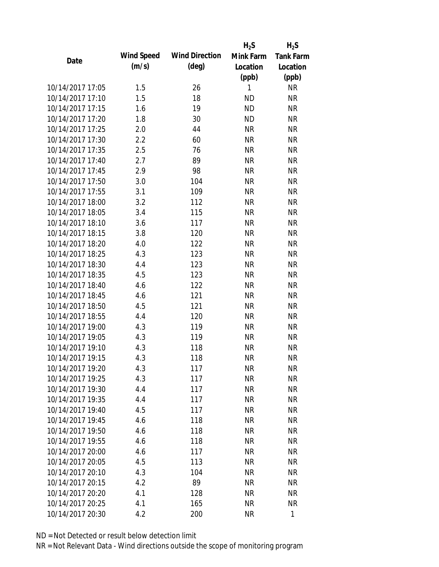|                  |            |                       | $H_2S$    | $H_2S$           |
|------------------|------------|-----------------------|-----------|------------------|
| Date             | Wind Speed | <b>Wind Direction</b> | Mink Farm | <b>Tank Farm</b> |
|                  | (m/s)      | $(\text{deg})$        | Location  | Location         |
|                  |            |                       | (ppb)     | (ppb)            |
| 10/14/2017 17:05 | 1.5        | 26                    | 1         | <b>NR</b>        |
| 10/14/2017 17:10 | 1.5        | 18                    | <b>ND</b> | <b>NR</b>        |
| 10/14/2017 17:15 | 1.6        | 19                    | <b>ND</b> | <b>NR</b>        |
| 10/14/2017 17:20 | 1.8        | 30                    | <b>ND</b> | <b>NR</b>        |
| 10/14/2017 17:25 | 2.0        | 44                    | <b>NR</b> | <b>NR</b>        |
| 10/14/2017 17:30 | 2.2        | 60                    | <b>NR</b> | <b>NR</b>        |
| 10/14/2017 17:35 | 2.5        | 76                    | <b>NR</b> | <b>NR</b>        |
| 10/14/2017 17:40 | 2.7        | 89                    | <b>NR</b> | <b>NR</b>        |
| 10/14/2017 17:45 | 2.9        | 98                    | <b>NR</b> | <b>NR</b>        |
| 10/14/2017 17:50 | 3.0        | 104                   | <b>NR</b> | <b>NR</b>        |
| 10/14/2017 17:55 | 3.1        | 109                   | <b>NR</b> | <b>NR</b>        |
| 10/14/2017 18:00 | 3.2        | 112                   | <b>NR</b> | <b>NR</b>        |
| 10/14/2017 18:05 | 3.4        | 115                   | <b>NR</b> | <b>NR</b>        |
| 10/14/2017 18:10 | 3.6        | 117                   | <b>NR</b> | <b>NR</b>        |
| 10/14/2017 18:15 | 3.8        | 120                   | <b>NR</b> | <b>NR</b>        |
| 10/14/2017 18:20 | 4.0        | 122                   | <b>NR</b> | <b>NR</b>        |
| 10/14/2017 18:25 | 4.3        | 123                   | <b>NR</b> | <b>NR</b>        |
| 10/14/2017 18:30 | 4.4        | 123                   | <b>NR</b> | <b>NR</b>        |
| 10/14/2017 18:35 | 4.5        | 123                   | <b>NR</b> | <b>NR</b>        |
| 10/14/2017 18:40 | 4.6        | 122                   | <b>NR</b> | <b>NR</b>        |
| 10/14/2017 18:45 | 4.6        | 121                   | <b>NR</b> | <b>NR</b>        |
| 10/14/2017 18:50 | 4.5        | 121                   | <b>NR</b> | <b>NR</b>        |
| 10/14/2017 18:55 | 4.4        | 120                   | <b>NR</b> | <b>NR</b>        |
| 10/14/2017 19:00 | 4.3        | 119                   | <b>NR</b> | <b>NR</b>        |
| 10/14/2017 19:05 | 4.3        | 119                   | <b>NR</b> | <b>NR</b>        |
| 10/14/2017 19:10 | 4.3        | 118                   | <b>NR</b> | <b>NR</b>        |
| 10/14/2017 19:15 | 4.3        | 118                   | <b>NR</b> | <b>NR</b>        |
| 10/14/2017 19:20 | 4.3        | 117                   | NR        | NR               |
| 10/14/2017 19:25 | 4.3        | 117                   | <b>NR</b> | <b>NR</b>        |
| 10/14/2017 19:30 | 4.4        | 117                   | <b>NR</b> | <b>NR</b>        |
| 10/14/2017 19:35 | 4.4        | 117                   | <b>NR</b> | <b>NR</b>        |
| 10/14/2017 19:40 | 4.5        | 117                   | <b>NR</b> | <b>NR</b>        |
| 10/14/2017 19:45 | 4.6        | 118                   | <b>NR</b> | <b>NR</b>        |
| 10/14/2017 19:50 | 4.6        | 118                   | <b>NR</b> | <b>NR</b>        |
| 10/14/2017 19:55 | 4.6        | 118                   | <b>NR</b> | <b>NR</b>        |
| 10/14/2017 20:00 | 4.6        | 117                   | <b>NR</b> | <b>NR</b>        |
| 10/14/2017 20:05 | 4.5        | 113                   | NR        | <b>NR</b>        |
| 10/14/2017 20:10 | 4.3        | 104                   | NR        | <b>NR</b>        |
| 10/14/2017 20:15 | 4.2        | 89                    | <b>NR</b> | <b>NR</b>        |
| 10/14/2017 20:20 | 4.1        | 128                   | <b>NR</b> | <b>NR</b>        |
|                  |            |                       |           |                  |
| 10/14/2017 20:25 | 4.1        | 165                   | <b>NR</b> | <b>NR</b>        |
| 10/14/2017 20:30 | 4.2        | 200                   | <b>NR</b> | 1                |